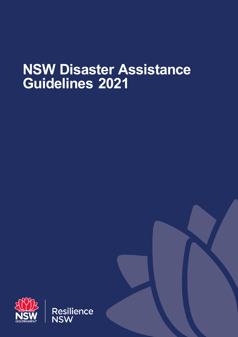# **NSW Disaster Assistance Guidelines 2021**

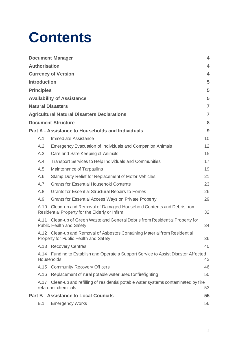# **Contents**

|                                   |                            | <b>Document Manager</b>                                                                                              | 4              |  |  |
|-----------------------------------|----------------------------|----------------------------------------------------------------------------------------------------------------------|----------------|--|--|
| <b>Authorisation</b>              |                            |                                                                                                                      |                |  |  |
|                                   |                            |                                                                                                                      |                |  |  |
|                                   | <b>Currency of Version</b> |                                                                                                                      |                |  |  |
|                                   | <b>Introduction</b>        |                                                                                                                      |                |  |  |
|                                   | <b>Principles</b>          |                                                                                                                      |                |  |  |
| <b>Availability of Assistance</b> |                            |                                                                                                                      |                |  |  |
| <b>Natural Disasters</b>          |                            |                                                                                                                      |                |  |  |
|                                   |                            | <b>Agricultural Natural Disasters Declarations</b>                                                                   | $\overline{7}$ |  |  |
|                                   |                            | <b>Document Structure</b>                                                                                            | 8              |  |  |
|                                   |                            | <b>Part A - Assistance to Households and Individuals</b>                                                             | 9              |  |  |
|                                   | A.1                        | Immediate Assistance                                                                                                 | 10             |  |  |
|                                   | A.2                        | <b>Emergency Evacuation of Individuals and Companion Animals</b>                                                     | 12             |  |  |
|                                   | A.3                        | Care and Safe Keeping of Animals                                                                                     | 15             |  |  |
|                                   | A.4                        | Transport Services to Help Individuals and Communities                                                               | 17             |  |  |
|                                   | A.5                        | Maintenance of Tarpaulins                                                                                            | 19             |  |  |
|                                   | A.6                        | Stamp Duty Relief for Replacement of Motor Vehicles                                                                  | 21             |  |  |
|                                   | A.7                        | <b>Grants for Essential Household Contents</b>                                                                       | 23             |  |  |
|                                   | A.8                        | <b>Grants for Essential Structural Repairs to Homes</b>                                                              | 26             |  |  |
|                                   | A.9                        | Grants for Essential Access Ways on Private Property                                                                 | 29             |  |  |
|                                   | A.10                       | Clean-up and Removal of Damaged Household Contents and Debris from<br>Residential Property for the Elderly or Infirm | 32             |  |  |
|                                   | A.11                       | Clean-up of Green Waste and General Debris from Residential Property for<br><b>Public Health and Safety</b>          | 34             |  |  |
|                                   |                            | A.12 Clean-up and Removal of Asbestos Containing Material from Residential<br>Property for Public Health and Safety  | 36             |  |  |
|                                   |                            | A.13 Recovery Centres                                                                                                | 40             |  |  |
|                                   | A.14<br>Households         | Funding to Establish and Operate a Support Service to Assist Disaster Affected                                       | 42             |  |  |
|                                   |                            | A.15 Community Recovery Officers                                                                                     | 46             |  |  |
|                                   | A.16                       | Replacement of rural potable water used for firefighting                                                             | 50             |  |  |
|                                   | A.17                       | Clean-up and refilling of residential potable water systems contaminated by fire<br>retardant chemicals              | 53             |  |  |
|                                   |                            | <b>Part B - Assistance to Local Councils</b>                                                                         | 55             |  |  |
|                                   | B.1                        | <b>Emergency Works</b>                                                                                               | 56             |  |  |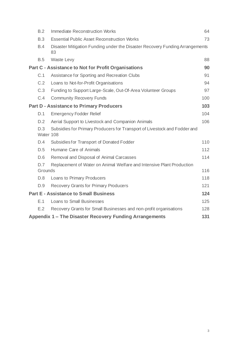|                                                            | B.2                                                                                           | <b>Immediate Reconstruction Works</b>                                              | 64  |  |
|------------------------------------------------------------|-----------------------------------------------------------------------------------------------|------------------------------------------------------------------------------------|-----|--|
|                                                            | B.3                                                                                           | <b>Essential Public Asset Reconstruction Works</b>                                 | 73  |  |
|                                                            | B.4                                                                                           | Disaster Mitigation Funding under the Disaster Recovery Funding Arrangements<br>83 |     |  |
|                                                            | <b>B.5</b>                                                                                    | Waste Levy                                                                         | 88  |  |
| <b>Part C - Assistance to Not for Profit Organisations</b> |                                                                                               |                                                                                    |     |  |
|                                                            | C.1                                                                                           | Assistance for Sporting and Recreation Clubs                                       | 91  |  |
|                                                            | C.2                                                                                           | Loans to Not-for-Profit Organisations                                              | 94  |  |
|                                                            | C.3                                                                                           | Funding to Support Large-Scale, Out-Of-Area Volunteer Groups                       | 97  |  |
|                                                            | C.4                                                                                           | <b>Community Recovery Funds</b>                                                    | 100 |  |
| 103<br><b>Part D - Assistance to Primary Producers</b>     |                                                                                               |                                                                                    |     |  |
|                                                            | D.1                                                                                           | <b>Emergency Fodder Relief</b>                                                     | 104 |  |
|                                                            | D.2                                                                                           | Aerial Support to Livestock and Companion Animals                                  | 106 |  |
|                                                            | D.3<br>Subsidies for Primary Producers for Transport of Livestock and Fodder and<br>Water 108 |                                                                                    |     |  |
|                                                            | D.4                                                                                           | Subsidies for Transport of Donated Fodder                                          | 110 |  |
|                                                            | D.5                                                                                           | Humane Care of Animals                                                             | 112 |  |
|                                                            | D.6                                                                                           | Removal and Disposal of Animal Carcasses                                           | 114 |  |
|                                                            | D.7<br>Grounds                                                                                | Replacement of Water on Animal Welfare and Intensive Plant Production              | 116 |  |
|                                                            | D.8                                                                                           | Loans to Primary Producers                                                         | 118 |  |
|                                                            | D.9                                                                                           | <b>Recovery Grants for Primary Producers</b>                                       | 121 |  |
| <b>Part E - Assistance to Small Business</b><br>124        |                                                                                               |                                                                                    |     |  |
|                                                            | E.1                                                                                           | <b>Loans to Small Businesses</b>                                                   | 125 |  |
|                                                            | E.2                                                                                           | Recovery Grants for Small Businesses and non-profit organisations                  | 128 |  |
| Appendix 1 – The Disaster Recovery Funding Arrangements    |                                                                                               |                                                                                    |     |  |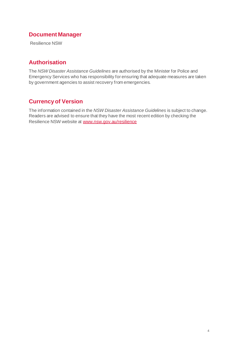# **Document Manager**

Resilience NSW

# **Authorisation**

The *NSW Disaster Assistance Guidelines* are authorised by the Minister for Police and Emergency Services who has responsibility for ensuring that adequate measures are taken by government agencies to assist recovery from emergencies.

# **Currency of Version**

The information contained in the *NSW Disaster Assistance Guidelines* is subject to change. Readers are advised to ensure that they have the most recent edition by checking the Resilience NSW website at [www.nsw.gov.au/resilience](http://www.nsw.gov.au/resilience)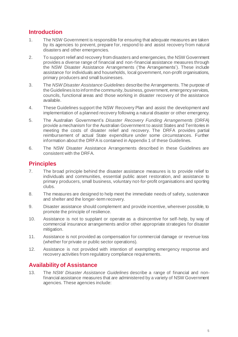# **Introduction**

- 1. The NSW Government is responsible for ensuring that adequate measures are taken by its agencies to prevent, prepare for, respond to and assist recovery from natural disasters and other emergencies.
- 2. To support relief and recovery from disasters and emergencies, the NSW Government provides a diverse range of financial and non-financial assistance measures through the NSW Disaster Assistance Arrangements ('the Arrangements'). These include assistance for individuals and households, local government, non-profit organisations, primary producers and small businesses.
- 3. The *NSW Disaster Assistance Guidelines* describe the Arrangements. The purpose of the Guidelines is to inform the community, business, government, emergency services, councils, functional areas and those working in disaster recovery of the assistance available.
- 4. These Guidelines support the NSW Recovery Plan and assist the development and implementation of a planned recovery following a natural disaster or other emergency.
- 5. The Australian Government's *Disaster Recovery Funding Arrangements* (DRFA) provide a mechanism for the Australian Government to assist States and Territories in meeting the costs of disaster relief and recovery. The DRFA provides partial reimbursement of actual State expenditure under some circumstances. Further information about the DRFA is contained in Appendix 1 of these Guidelines.
- 6. The NSW Disaster Assistance Arrangements described in these Guidelines are consistent with the DRFA.

# **Principles**

- 7. The broad principle behind the disaster assistance measures is to provide relief to individuals and communities, essential public asset restoration, and assistance to primary producers, small business, voluntary not-for-profit organisations and sporting clubs.
- 8. The measures are designed to help meet the immediate needs of safety, sustenance and shelter and the longer-term recovery.
- 9. Disaster assistance should complement and provide incentive, wherever possible, to promote the principle of resilience.
- 10. Assistance is not to supplant or operate as a disincentive for self-help, by way of commercial insurance arrangements and/or other appropriate strategies for disaster mitigation.
- 11. Assistance is not provided as compensation for commercial damage or revenue loss (whether for private or public sector operations).
- 12. Assistance is not provided with intention of exempting emergency response and recovery activities from regulatory compliance requirements.

# **Availability of Assistance**

13. The *NSW Disaster Assistance Guidelines* describe a range of financial and nonfinancial assistance measures that are administered by a variety of NSW Government agencies. These agencies include: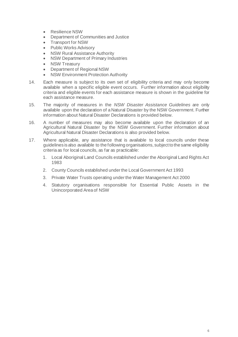- Resilience NSW
- Department of Communities and Justice
- Transport for NSW
- Public Works Advisory
- **NSW Rural Assistance Authority**
- NSW Department of Primary Industries
- **NSW Treasury**
- Department of Regional NSW
- NSW Environment Protection Authority
- 14. Each measure is subject to its own set of eligibility criteria and may only become available when a specific eligible event occurs. Further information about eligibility criteria and eligible events for each assistance measure is shown in the guideline for each assistance measure.
- 15. The majority of measures in the *NSW Disaster Assistance Guidelines* are only available upon the declaration of a Natural Disaster by the NSW Government. Further information about Natural Disaster Declarations is provided below.
- 16. A number of measures may also become available upon the declaration of an Agricultural Natural Disaster by the NSW Government. Further information about Agricultural Natural Disaster Declarations is also provided below.
- 17. Where applicable, any assistance that is available to local councils under these guidelines is also available to the following organisations, subject to the same eligibility criteria as for local councils, as far as practicable:
	- 1. Local Aboriginal Land Councils established under the Aboriginal Land Rights Act 1983
	- 2. County Councils established under the Local Government Act 1993
	- 3. Private Water Trusts operating under the Water Management Act 2000
	- 4. Statutory organisations responsible for Essential Public Assets in the Unincorporated Area of NSW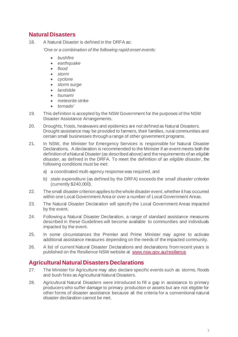# **Natural Disasters**

18. A Natural Disaster is defined in the DRFA as:

*'One or a combination of the following rapid onset events:*

- *bushfire*
- *earthquake*
- *flood*
- *storm*
- *cyclone*
- *storm surge*
- *landslide*
- *tsunami*
- *meteorite strike*
- *tornado'*
- 19. This definition is accepted by the NSW Government for the purposes of the NSW Disaster Assistance Arrangements.
- 20. Droughts, frosts, heatwaves and epidemics are not defined as Natural Disasters. Drought assistance may be provided to farmers, their families, rural communities and certain small businesses through a range of other government programs.
- 21. In NSW, the Minister for Emergency Services is responsible for Natural Disaster Declarations. A declaration is recommended to the Minister if an event meets both the definition of a Natural Disaster (as described above) and the requirements of an *eligible disaster,* as defined in the DRFA. To meet the definition of an *eligible disaster*, the following conditions must be met:
	- a) a coordinated multi-agency response was required, and
	- b) *state expenditure* (as defined by the DRFA) exceeds the *small disaster criterion* (currently \$240,000).
- 22. The small disaster criterion applies to the whole disaster event, whether it has occurred within one Local Government Area or over a number of Local Government Areas.
- 23. The Natural Disaster Declaration will specify the Local Government Areas impacted by the event.
- 24. Following a Natural Disaster Declaration, a range of standard assistance measures described in these Guidelines will become available to communities and individuals impacted by the event.
- 25. In some circumstances the Premier and Prime Minister may agree to activate additional assistance measures depending on the needs of the impacted community.
- 26. A list of current Natural Disaster Declarations and declarations from recent years is published on the Resilience NSW website at [www.nsw.gov.au/resilience](http://www.nsw.gov.au/resilience)

# **Agricultural Natural Disasters Declarations**

- 27. The Minister for Agriculture may also declare specific events such as storms, floods and bush fires as Agricultural Natural Disasters.
- 28. Agricultural Natural Disasters were introduced to fill a gap in assistance to primary producers who suffer damage to primary production or assets but are not eligible for other forms of disaster assistance because all the criteria for a conventional natural disaster declaration cannot be met.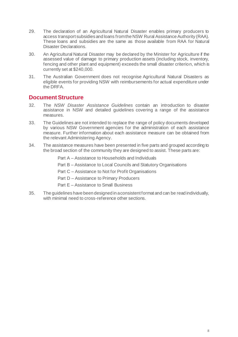- 29. The declaration of an Agricultural Natural Disaster enables primary producers to access transport subsidies and loans from the NSW Rural Assistance Authority (RAA). These loans and subsidies are the same as those available from RAA for Natural Disaster Declarations.
- 30. An Agricultural Natural Disaster may be declared by the Minister for Agriculture if the assessed value of damage to primary production assets (including stock, inventory, fencing and other plant and equipment) exceeds the small disaster criterion, which is currently set at \$240,000.
- 31. The Australian Government does not recognise Agricultural Natural Disasters as eligible events for providing NSW with reimbursements for actual expenditure under the DRFA.

# **Document Structure**

- 32. The *NSW Disaster Assistance Guidelines* contain an introduction to disaster assistance in NSW and detailed guidelines covering a range of the assistance measures.
- 33. The Guidelines are not intended to replace the range of policy documents developed by various NSW Government agencies for the administration of each assistance measure. Further information about each assistance measure can be obtained from the relevant Administering Agency.
- 34. The assistance measures have been presented in five parts and grouped according to the broad section of the community they are designed to assist. These parts are:

Part A – Assistance to Households and Individuals

Part B – Assistance to Local Councils and Statutory Organisations

Part C – Assistance to Not for Profit Organisations

Part D – Assistance to Primary Producers

Part E – Assistance to Small Business

35. The guidelines have been designed in a consistent format and can be read individually, with minimal need to cross-reference other sections.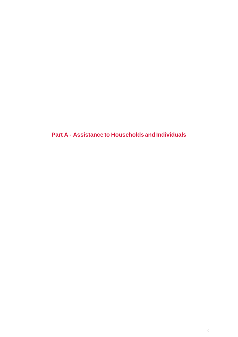**Part A - Assistance to Households and Individuals**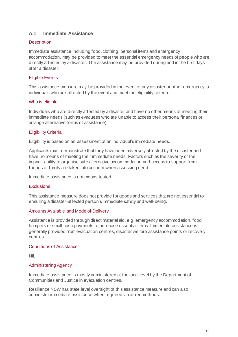# **A.1 Immediate Assistance**

# **Description**

Immediate assistance including food, clothing, personal items and emergency accommodation, may be provided to meet the essential emergency needs of people who are directly affected by a disaster. The assistance may be provided during and in the first days after a disaster.

# Eligible Events

This assistance measure may be provided in the event of any disaster or other emergency to individuals who are affected by the event and meet the eligibility criteria.

# Who is eligible

Individuals who are directly affected by a disaster and have no other means of meeting their immediate needs (such as evacuees who are unable to access their personal finances or arrange alternative forms of assistance).

# Eligibility Criteria

Eligibility is based on an assessment of an individual's immediate needs.

Applicants must demonstrate that they have been adversely affected by the disaster and have no means of meeting their immediate needs. Factors such as the severity of the impact, ability to organise safe alternative accommodation and access to support from friends or family are taken into account when assessing need.

Immediate assistance is not means tested.

# **Exclusions**

This assistance measure does not provide for goods and services that are not essential to ensuring a disaster-affected person's immediate safety and well-being.

# Amounts Available and Mode of Delivery

Assistance is provided through direct material aid, e.g. emergency accommodation, food hampers or small cash payments to purchase essential items. Immediate assistance is generally provided from evacuation centres, disaster welfare assistance points or recovery centres.

# Conditions of Assistance

Nil.

# Administering Agency

Immediate assistance is mostly administered at the local level by the Department of Communities and Justice in evacuation centres.

Resilience NSW has state level oversight of this assistance measure and can also administer immediate assistance when required via other methods.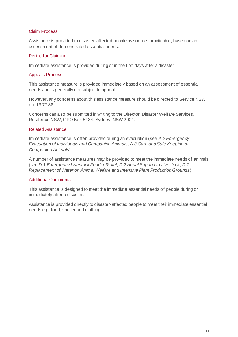# Claim Process

Assistance is provided to disaster-affected people as soon as practicable, based on an assessment of demonstrated essential needs.

# Period for Claiming

Immediate assistance is provided during or in the first days after a disaster.

# Appeals Process

This assistance measure is provided immediately based on an assessment of essential needs and is generally not subject to appeal.

However, any concerns about this assistance measure should be directed to Service NSW on: 13 77 88.

Concerns can also be submitted in writing to the Director, Disaster Welfare Services, Resilience NSW, GPO Box 5434, Sydney, NSW 2001.

# Related Assistance

Immediate assistance is often provided during an evacuation (see *A.2 Emergency Evacuation of Individuals and Companion Animals, A.3 Care and Safe Keeping of Companion Animals*).

A number of assistance measures may be provided to meet the immediate needs of animals (see *D.1 Emergency Livestock Fodder Relief, D.2 Aerial Support to Livestock, D.7 Replacement of Water on Animal Welfare and Intensive Plant Production Grounds*).

# Additional Comments

This assistance is designed to meet the immediate essential needs of people during or immediately after a disaster.

Assistance is provided directly to disaster-affected people to meet their immediate essential needs e.g. food, shelter and clothing.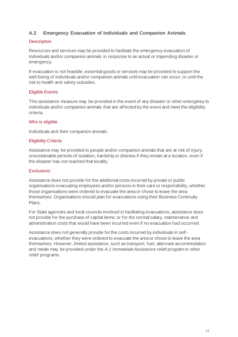# **A.2 Emergency Evacuation of Individuals and Companion Animals**

# **Description**

Resources and services may be provided to facilitate the emergency evacuation of individuals and/or companion animals in response to an actual or impending disaster or emergency.

If evacuation is not feasible, essential goods or services may be provided to support the well-being of individuals and/or companion animals until evacuation can occur, or until the risk to health and safety subsides.

# Eligible Events

This assistance measure may be provided in the event of any disaster or other emergency to individuals and/or companion animals that are affected by the event and meet the eligibility criteria.

# Who is eligible

Individuals and their companion animals.

# Eligibility Criteria

Assistance may be provided to people and/or companion animals that are at risk of injury, unsustainable periods of isolation, hardship or distress if they remain at a location, even if the disaster has not reached that locality.

# **Exclusions**

Assistance does not provide for the additional costs incurred by private or public organisations evacuating employees and/or persons in their care or responsibility, whether those organisations were ordered to evacuate the area or chose to leave the area themselves. Organisations should plan for evacuations using their Business Continuity Plans.

For State agencies and local councils involved in facilitating evacuations, assistance does not provide for the purchase of capital items; or for the normal salary, maintenance and administration costs that would have been incurred even if no evacuation had occurred.

Assistance does not generally provide for the costs incurred by individuals in self evacuations, whether they were ordered to evacuate the area or chose to leave the area themselves. However, limited assistance, such as transport, fuel, alternate accommodation and meals may be provided under the *A.1 Immediate Assistance* relief program or other relief programs.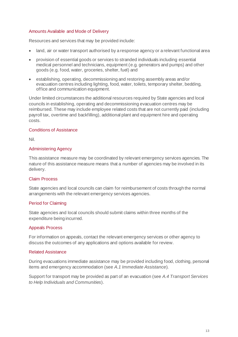# Amounts Available and Mode of Delivery

Resources and services that may be provided include:

- land, air or water transport authorised by a response agency or a relevant functional area
- provision of essential goods or services to stranded individuals including essential medical personnel and technicians, equipment (e.g. generators and pumps) and other goods (e.g. food, water, groceries, shelter, fuel) and
- establishing, operating, decommissioning and restoring assembly areas and/or evacuation centres including lighting, food, water, toilets, temporary shelter, bedding, office and communication equipment.

Under limited circumstances the additional resources required by State agencies and local councils in establishing, operating and decommissioning evacuation centres may be reimbursed. These may include employee related costs that are not currently paid (including payroll tax, overtime and backfilling), additional plant and equipment hire and operating costs.

# Conditions of Assistance

Nil.

# Administering Agency

This assistance measure may be coordinated by relevant emergency services agencies. The nature of this assistance measure means that a number of agencies may be involved in its delivery.

# Claim Process

State agencies and local councils can claim for reimbursement of costs through the normal arrangements with the relevant emergency services agencies.

# Period for Claiming

State agencies and local councils should submit claims within three months of the expenditure being incurred.

# Appeals Process

For information on appeals, contact the relevant emergency services or other agency to discuss the outcomes of any applications and options available for review.

# Related Assistance

During evacuations immediate assistance may be provided including food, clothing, personal items and emergency accommodation (see *A.1 Immediate Assistance*).

Support for transport may be provided as part of an evacuation (see *A.4 Transport Services to Help Individuals and Communities*).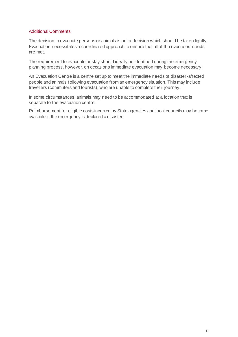# Additional Comments

The decision to evacuate persons or animals is not a decision which should be taken lightly. Evacuation necessitates a coordinated approach to ensure that all of the evacuees' needs are met.

The requirement to evacuate or stay should ideally be identified during the emergency planning process, however, on occasions immediate evacuation may become necessary.

An Evacuation Centre is a centre set up to meet the immediate needs of disaster-affected people and animals following evacuation from an emergency situation. This may include travellers (commuters and tourists), who are unable to complete their journey.

In some circumstances, animals may need to be accommodated at a location that is separate to the evacuation centre.

Reimbursement for eligible costs incurred by State agencies and local councils may become available if the emergency is declared a disaster.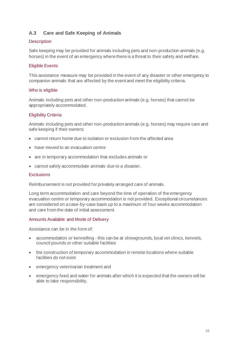# **A.3 Care and Safe Keeping of Animals**

# **Description**

Safe keeping may be provided for animals including pets and non-production animals (e.g. horses) in the event of an emergency where there is a threat to their safety and welfare.

# Eligible Events

This assistance measure may be provided in the event of any disaster or other emergency to companion animals that are affected by the event and meet the eligibility criteria.

# Who is eligible

Animals including pets and other non-production animals (e.g. horses) that cannot be appropriately accommodated.

# Eligibility Criteria

Animals including pets and other non-production animals (e.g. horses) may require care and safe keeping if their owners:

- cannot return home due to isolation or exclusion from the affected area
- have moved to an evacuation centre
- are in temporary accommodation that excludes animals or
- cannot safely accommodate animals due to a disaster.

# **Exclusions**

Reimbursement is not provided for privately arranged care of animals.

Long term accommodation and care beyond the time of operation of the emergency evacuation centre or temporary accommodation is not provided. Exceptional circumstances are considered on a case-by-case basis up to a maximum of four weeks accommodation and care from the date of initial assessment.

# Amounts Available and Mode of Delivery

Assistance can be in the form of:

- accommodation or kennelling this can be at showgrounds, local vet clinics, kennels, council pounds or other suitable facilities
- the construction of temporary accommodation in remote locations where suitable facilities do not exist
- emergency veterinarian treatment and
- emergency feed and water for animals after which it is expected that the owners will be able to take responsibility.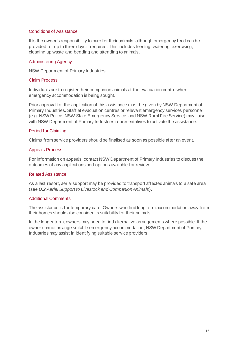# Conditions of Assistance

It is the owner's responsibility to care for their animals, although emergency feed can be provided for up to three days if required. This includes feeding, watering, exercising, cleaning up waste and bedding and attending to animals.

# Administering Agency

NSW Department of Primary Industries.

# Claim Process

Individuals are to register their companion animals at the evacuation centre when emergency accommodation is being sought.

Prior approval for the application of this assistance must be given by NSW Department of Primary Industries. Staff at evacuation centres or relevant emergency services personnel (e.g. NSW Police, NSW State Emergency Service, and NSW Rural Fire Service) may liaise with NSW Department of Primary Industries representatives to activate the assistance.

# Period for Claiming

Claims from service providers should be finalised as soon as possible after an event.

# Appeals Process

For information on appeals, contact NSW Department of Primary Industries to discuss the outcomes of any applications and options available for review.

# Related Assistance

As a last resort, aerial support may be provided to transport affected animals to a safe area (see *D.2 Aerial Support to Livestock and Companion Animals*).

# Additional Comments

The assistance is for temporary care. Owners who find long term accommodation away from their homes should also consider its suitability for their animals.

In the longer term, owners may need to find alternative arrangements where possible. If the owner cannot arrange suitable emergency accommodation, NSW Department of Primary Industries may assist in identifying suitable service providers.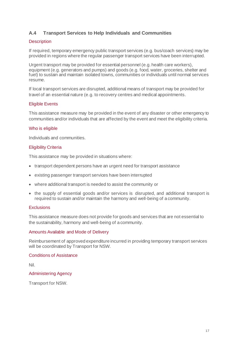# **A.4 Transport Services to Help Individuals and Communities**

# **Description**

If required, temporary emergency public transport services (e.g. bus/coach services) may be provided in regions where the regular passenger transport services have been interrupted.

Urgent transport may be provided for essential personnel (e.g. health care workers), equipment (e.g. generators and pumps) and goods (e.g. food, water, groceries, shelter and fuel) to sustain and maintain isolated towns, communities or individuals until normal services resume.

If local transport services are disrupted, additional means of transport may be provided for travel of an essential nature (e.g. to recovery centres and medical appointments.

# Eligible Events

This assistance measure may be provided in the event of any disaster or other emergency to communities and/or individuals that are affected by the event and meet the eligibility criteria.

# Who is eligible

Individuals and communities.

# Eligibility Criteria

This assistance may be provided in situations where:

- transport dependent persons have an urgent need for transport assistance
- existing passenger transport services have been interrupted
- where additional transport is needed to assist the community or
- the supply of essential goods and/or services is disrupted, and additional transport is required to sustain and/or maintain the harmony and well-being of a community.

# **Exclusions**

This assistance measure does not provide for goods and services that are not essential to the sustainability, harmony and well-being of a community.

# Amounts Available and Mode of Delivery

Reimbursement of approved expenditure incurred in providing temporary transport services will be coordinated by Transport for NSW.

#### Conditions of Assistance

Nil.

# Administering Agency

Transport for NSW.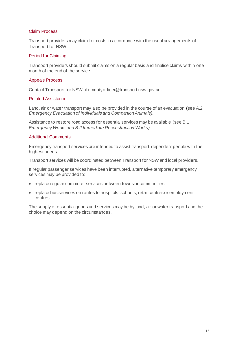# Claim Process

Transport providers may claim for costs in accordance with the usual arrangements of Transport for NSW.

# Period for Claiming

Transport providers should submit claims on a regular basis and finalise claims within one month of the end of the service.

# Appeals Process

Contact Transport for NSW at emdutyofficer@transport.nsw.gov.au.

# Related Assistance

Land, air or water transport may also be provided in the course of an evacuation (see A.2 *Emergency Evacuation of Individuals and Companion Animals).*

Assistance to restore road access for essential services may be available (see B.1 *Emergency Works and B.2 Immediate Reconstruction Works).*

# Additional Comments

Emergency transport services are intended to assist transport-dependent people with the highest needs.

Transport services will be coordinated between Transport for NSW and local providers.

If regular passenger services have been interrupted, alternative temporary emergency services may be provided to:

- replace regular commuter services between towns or communities
- replace bus services on routes to hospitals, schools, retail centres or employment centres.

The supply of essential goods and services may be by land, air or water transport and the choice may depend on the circumstances.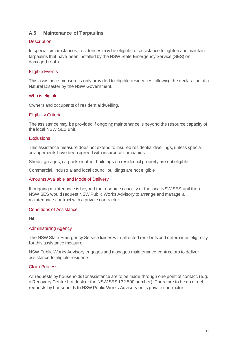# **A.5 Maintenance of Tarpaulins**

# **Description**

In special circumstances, residences may be eligible for assistance to tighten and maintain tarpaulins that have been installed by the NSW State Emergency Service (SES) on damaged roofs.

# Eligible Events

This assistance measure is only provided to eligible residences following the declaration of a Natural Disaster by the NSW Government.

# Who is eligible

Owners and occupants of residential dwelling.

# Eligibility Criteria

The assistance may be provided if ongoing maintenance is beyond the resource capacity of the local NSW SES unit.

# **Exclusions**

This assistance measure does not extend to insured residential dwellings, unless special arrangements have been agreed with insurance companies.

Sheds, garages, carports or other buildings on residential property are not eligible.

Commercial, industrial and local council buildings are not eligible.

# Amounts Available and Mode of Delivery

If ongoing maintenance is beyond the resource capacity of the local NSW SES unit then NSW SES would request NSW Public Works Advisory to arrange and manage a maintenance contract with a private contractor.

# Conditions of Assistance

Nil.

# Administering Agency

The NSW State Emergency Service liaises with affected residents and determines eligibility for this assistance measure.

NSW Public Works Advisory engages and manages maintenance contractors to deliver assistance to eligible residents.

# Claim Process

All requests by households for assistance are to be made through one point of contact, (e.g. a Recovery Centre hot desk or the NSW SES 132 500 number). There are to be no direct requests by households to NSW Public Works Advisory or its private contractor.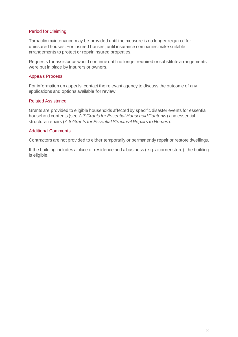# Period for Claiming

Tarpaulin maintenance may be provided until the measure is no longer required for uninsured houses. For insured houses, until insurance companies make suitable arrangements to protect or repair insured properties.

Requests for assistance would continue until no longer required or substitute arrangements were put in place by insurers or owners.

# Appeals Process

For information on appeals, contact the relevant agency to discuss the outcome of any applications and options available for review.

# Related Assistance

Grants are provided to eligible households affected by specific disaster events for essential household contents (see *A.7 Grants for Essential Household Contents*) and essential structural repairs (*A.8 Grants for Essential Structural Repairs to Homes*).

# Additional Comments

Contractors are not provided to either temporarily or permanently repair or restore dwellings.

If the building includes a place of residence and a business (e.g. a corner store), the building is eligible.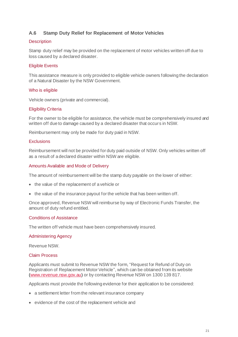# **A.6 Stamp Duty Relief for Replacement of Motor Vehicles**

# **Description**

Stamp duty relief may be provided on the replacement of motor vehicles written off due to loss caused by a declared disaster.

# Eligible Events

This assistance measure is only provided to eligible vehicle owners following the declaration of a Natural Disaster by the NSW Government.

# Who is eligible

Vehicle owners (private and commercial).

# Eligibility Criteria

For the owner to be eligible for assistance, the vehicle must be comprehensively insured and written off due to damage caused by a declared disaster that occurs in NSW.

Reimbursement may only be made for duty paid in NSW.

# **Exclusions**

Reimbursement will not be provided for duty paid outside of NSW. Only vehicles written off as a result of a declared disaster within NSW are eligible.

# Amounts Available and Mode of Delivery

The amount of reimbursement will be the stamp duty payable on the lower of either:

- the value of the replacement of a vehicle or
- the value of the insurance payout for the vehicle that has been written off.

Once approved, Revenue NSW will reimburse by way of Electronic Funds Transfer, the amount of duty refund entitled.

# Conditions of Assistance

The written off vehicle must have been comprehensively insured.

# Administering Agency

Revenue NSW.

# Claim Process

Applicants must submit to Revenue NSW the form, "Request for Refund of Duty on Registration of Replacement Motor Vehicle", which can be obtained from its website [\(www.revenue.nsw.gov.au](http://www.revenue.nsw.gov.au/)) or by contacting Revenue NSW on 1300 139 817.

Applicants must provide the following evidence for their application to be considered:

- a settlement letter from the relevant insurance company
- evidence of the cost of the replacement vehicle and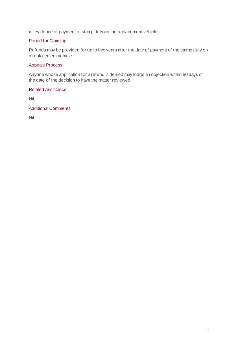• evidence of payment of stamp duty on the replacement vehicle.

# Period for Claiming

Refunds may be provided for up to five years after the date of payment of the stamp duty on a replacement vehicle.

# Appeals Process

Anyone whose application for a refund is denied may lodge an objection within 60 days of the date of the decision to have the matter reviewed.

# Related Assistance

Nil.

# Additional Comments

Nil.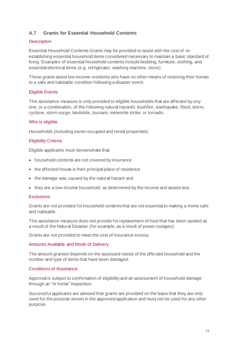# **A.7 Grants for Essential Household Contents**

# **Description**

Essential Household Contents Grants may be provided to assist with the cost of reestablishing essential household items considered necessary to maintain a basic standard of living. Examples of essential household contents include bedding, furniture, clothing, and essential electrical items (e.g. refrigerator, washing machine, stove).

These grants assist low income residents who have no other means of restoring their homes to a safe and habitable condition following a disaster event.

# Eligible Events

This assistance measure is only provided to eligible households that are affected by any one, or a combination, of the following natural hazards: bushfire, earthquake, flood, storm, cyclone, storm surge, landslide, tsunami, meteorite strike; or tornado.

# Who is eligible

Households (including owner occupied and rental properties).

# Eligibility Criteria

Eligible applicants must demonstrate that:

- household contents are not covered by insurance
- the affected house is their principal place of residence
- the damage was caused by the natural hazard and
- they are a low-income household, as determined by the income and assets test.

#### **Exclusions**

Grants are not provided for household contents that are not essential to making a home safe and habitable.

This assistance measure does not provide for replacement of food that has been spoiled as a result of the Natural Disaster (for example, as a result of power outages).

Grants are not provided to meet the cost of insurance excess.

# Amounts Available and Mode of Delivery

The amount granted depends on the assessed needs of the affected household and the number and type of items that have been damaged.

# Conditions of Assistance

Approval is subject to confirmation of eligibility and an assessment of household damage through an "in home" inspection.

Successful applicants are advised that grants are provided on the basis that they are only used for the purpose shown in the approved application and must not be used for any other purpose.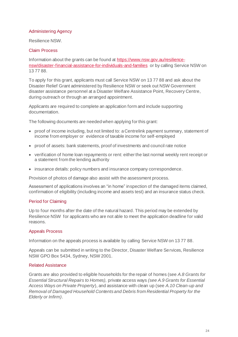# Administering Agency

Resilience NSW.

# Claim Process

Information about the grants can be found a[t https://www.nsw.gov.au/resilience](https://www.nsw.gov.au/resilience-nsw/disaster-financial-assistance-for-individuals-and-families)[nsw/disaster-financial-assistance-for-individuals-and-families](https://www.nsw.gov.au/resilience-nsw/disaster-financial-assistance-for-individuals-and-families) or by calling Service NSW on 13 77 88.

To apply for this grant, applicants must call Service NSW on 13 77 88 and ask about the Disaster Relief Grant administered by Resilience NSW or seek out NSW Government disaster assistance personnel at a Disaster Welfare Assistance Point, Recovery Centre, during outreach or through an arranged appointment.

Applicants are required to complete an application form and include supporting documentation.

The following documents are needed when applying for this grant:

- proof of income including, but not limited to: a Centrelink payment summary, statement of income from employer or evidence of taxable income for self-employed
- proof of assets: bank statements, proof of investments and council rate notice
- verification of home loan repayments or rent: either the last normal weekly rent receipt or a statement from the lending authority
- insurance details: policy numbers and insurance company correspondence.

Provision of photos of damage also assist with the assessment process.

Assessment of applications involves an "in home" inspection of the damaged items claimed, confirmation of eligibility (including income and assets test) and an insurance status check.

# Period for Claiming

Up to four months after the date of the natural hazard. This period may be extended by Resilience NSW for applicants who are not able to meet the application deadline for valid reasons.

# Appeals Process

Information on the appeals process is available by calling Service NSW on 13 77 88.

Appeals can be submitted in writing to the Director, Disaster Welfare Services, Resilience NSW GPO Box 5434, Sydney, NSW 2001.

# Related Assistance

Grants are also provided to eligible households for the repair of homes (see *A.8 Grants for Essential Structural Repairs to Homes),* private access ways *(see A.9 Grants for Essential Access Ways on Private Property*), and assistance with clean up (see *A.10 Clean-up and Removal of Damaged Household Contents and Debris from Residential Property for the Elderly or Infirm)*.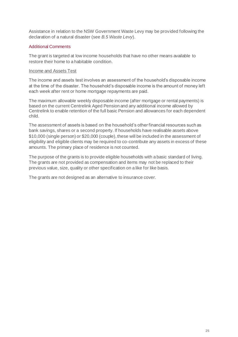Assistance in relation to the NSW Government Waste Levy may be provided following the declaration of a natural disaster (see *B.5 Waste Levy*).

# Additional Comments

The grant is targeted at low income households that have no other means available to restore their home to a habitable condition.

# Income and Assets Test

The income and assets test involves an assessment of the household's disposable income at the time of the disaster. The household's disposable income is the amount of money left each week after rent or home mortgage repayments are paid.

The maximum allowable weekly disposable income (after mortgage or rental payments) is based on the current Centrelink Aged Pension and any additional income allowed by Centrelink to enable retention of the full basic Pension and allowances for each dependent child.

The assessment of assets is based on the household's other financial resources such as bank savings, shares or a second property. If households have realisable assets above \$10,000 (single person) or \$20,000 (couple), these will be included in the assessment of eligibility and eligible clients may be required to co-contribute any assets in excess of these amounts. The primary place of residence is not counted.

The purpose of the grants is to provide eligible households with a basic standard of living. The grants are not provided as compensation and items may not be replaced to their previous value, size, quality or other specification on a like for like basis.

The grants are not designed as an alternative to insurance cover.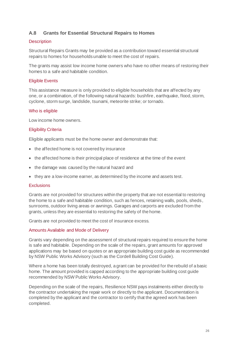# **A.8 Grants for Essential Structural Repairs to Homes**

# **Description**

Structural Repairs Grants may be provided as a contribution toward essential structural repairs to homes for households unable to meet the cost of repairs.

The grants may assist low income home owners who have no other means of restoring their homes to a safe and habitable condition.

# Eligible Events

This assistance measure is only provided to eligible households that are affected by any one, or a combination, of the following natural hazards: bushfire, earthquake, flood, storm, cyclone, storm surge, landslide, tsunami, meteorite strike; or tornado.

# Who is eligible

Low income home owners.

# Eligibility Criteria

Eligible applicants must be the home owner and demonstrate that:

- the affected home is not covered by insurance
- the affected home is their principal place of residence at the time of the event
- the damage was caused by the natural hazard and
- they are a low-income earner, as determined by the income and assets test.

# **Exclusions**

Grants are not provided for structures within the property that are not essential to restoring the home to a safe and habitable condition, such as fences, retaining walls, pools, sheds, sunrooms, outdoor living areas or awnings. Garages and carports are excluded from the grants, unless they are essential to restoring the safety of the home.

Grants are not provided to meet the cost of insurance excess.

# Amounts Available and Mode of Delivery

Grants vary depending on the assessment of structural repairs required to ensure the home is safe and habitable. Depending on the scale of the repairs, grant amounts for approved applications may be based on quotes or an appropriate building cost guide as recommended by NSW Public Works Advisory (such as the Cordell Building Cost Guide).

Where a home has been totally destroyed, a grant can be provided for the rebuild of a basic home. The amount provided is capped according to the appropriate building cost guide recommended by NSW Public Works Advisory.

Depending on the scale of the repairs, Resilience NSW pays instalments either directly to the contractor undertaking the repair work or directly to the applicant. Documentation is completed by the applicant and the contractor to certify that the agreed work has been completed.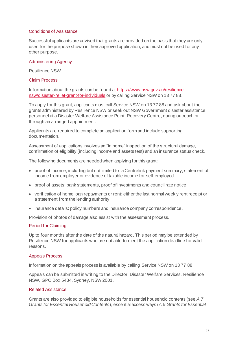# Conditions of Assistance

Successful applicants are advised that grants are provided on the basis that they are only used for the purpose shown in their approved application, and must not be used for any other purpose.

# Administering Agency

Resilience NSW.

# Claim Process

Information about the grants can be found a[t https://www.nsw.gov.au/resilience](https://www.nsw.gov.au/resilience-nsw/disaster-relief-grant-for-individuals)[nsw/disaster-relief-grant-for-individuals](https://www.nsw.gov.au/resilience-nsw/disaster-relief-grant-for-individuals) or by calling Service NSW on 13 77 88.

To apply for this grant, applicants must call Service NSW on 13 77 88 and ask about the grants administered by Resilience NSW or seek out NSW Government disaster assistance personnel at a Disaster Welfare Assistance Point, Recovery Centre, during outreach or through an arranged appointment.

Applicants are required to complete an application form and include supporting documentation.

Assessment of applications involves an "in home" inspection of the structural damage, confirmation of eligibility (including income and assets test) and an insurance status check.

The following documents are needed when applying for this grant:

- proof of income, including but not limited to: a Centrelink payment summary, statement of income from employer or evidence of taxable income for self-employed
- proof of assets: bank statements, proof of investments and council rate notice
- verification of home loan repayments or rent: either the last normal weekly rent receipt or a statement from the lending authority
- insurance details: policy numbers and insurance company correspondence.

Provision of photos of damage also assist with the assessment process.

# Period for Claiming

Up to four months after the date of the natural hazard. This period may be extended by Resilience NSW for applicants who are not able to meet the application deadline for valid reasons.

# Appeals Process

Information on the appeals process is available by calling Service NSW on 13 77 88.

Appeals can be submitted in writing to the Director, Disaster Welfare Services, Resilience NSW, GPO Box 5434, Sydney, NSW 2001.

# Related Assistance

Grants are also provided to eligible households for essential household contents (see *A.7 Grants for Essential Household Contents*), essential access ways (*A.9 Grants for Essential*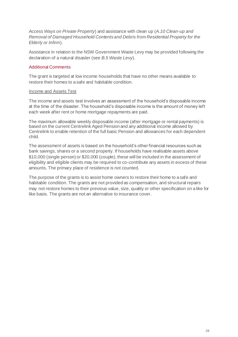*Access Ways on Private Property*) and assistance with clean up (*A.10 Clean-up and Removal of Damaged Household Contents and Debris from Residential Property for the Elderly or Infirm*).

Assistance in relation to the NSW Government Waste Levy may be provided following the declaration of a natural disaster (see *B.5 Waste Levy*).

# Additional Comments

The grant is targeted at low income households that have no other means available to restore their homes to a safe and habitable condition.

# Income and Assets Test

The income and assets test involves an assessment of the household's disposable income at the time of the disaster. The household's disposable income is the amount of money left each week after rent or home mortgage repayments are paid.

The maximum allowable weekly disposable income (after mortgage or rental payments) is based on the current Centrelink Aged Pension and any additional income allowed by Centrelink to enable retention of the full basic Pension and allowances for each dependent child.

The assessment of assets is based on the household's other financial resources such as bank savings, shares or a second property. If households have realisable assets above \$10,000 (single person) or \$20,000 (couple), these will be included in the assessment of eligibility and eligible clients may be required to co-contribute any assets in excess of these amounts. The primary place of residence is not counted.

The purpose of the grants is to assist home owners to restore their home to a safe and habitable condition. The grants are not provided as compensation, and structural repairs may not restore homes to their previous value, size, quality or other specification on a like for like basis. The grants are not an alternative to insurance cover.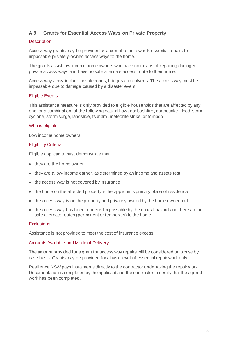# **A.9 Grants for Essential Access Ways on Private Property**

# **Description**

Access way grants may be provided as a contribution towards essential repairs to impassable privately-owned access ways to the home.

The grants assist low income home owners who have no means of repairing damaged private access ways and have no safe alternate access route to their home.

Access ways may include private roads, bridges and culverts. The access way must be impassable due to damage caused by a disaster event.

# Eligible Events

This assistance measure is only provided to eligible households that are affected by any one, or a combination, of the following natural hazards: bushfire, earthquake, flood, storm, cyclone, storm surge, landslide, tsunami, meteorite strike; or tornado.

# Who is eligible

Low income home owners.

# Eligibility Criteria

Eligible applicants must demonstrate that:

- they are the home owner
- they are a low-income earner, as determined by an income and assets test
- the access way is not covered by insurance
- the home on the affected property is the applicant's primary place of residence
- the access way is on the property and privately owned by the home owner and
- the access way has been rendered impassable by the natural hazard and there are no safe alternate routes (permanent or temporary) to the home.

# **Exclusions**

Assistance is not provided to meet the cost of insurance excess.

# Amounts Available and Mode of Delivery

The amount provided for a grant for access way repairs will be considered on a case by case basis. Grants may be provided for a basic level of essential repair work only.

Resilience NSW pays instalments directly to the contractor undertaking the repair work. Documentation is completed by the applicant and the contractor to certify that the agreed work has been completed.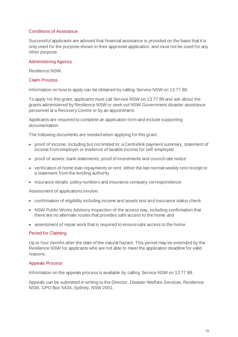# Conditions of Assistance

Successful applicants are advised that financial assistance is provided on the basis that it is only used for the purpose shown in their approved application, and must not be used for any other purpose.

# Administering Agency

Resilience NSW.

# Claim Process

Information on how to apply can be obtained by calling Service NSW on 13 77 88.

To apply for this grant, applicants must call Service NSW on 13 77 88 and ask about the grants administered by Resilience NSW or seek out NSW Government disaster assistance personnel at a Recovery Centre or by an appointment.

Applicants are required to complete an application form and include supporting documentation.

The following documents are needed when applying for this grant:

- proof of income, including but not limited to: a Centrelink payment summary, statement of income from employer or evidence of taxable income for self-employed
- proof of assets: bank statements; proof of investments and council rate notice
- verification of home loan repayments or rent: either the last normal weekly rent receipt or a statement from the lending authority
- insurance details: policy numbers and insurance company correspondence.

Assessment of applications involve:

- confirmation of eligibility including income and assets test and insurance status check
- NSW Public Works Advisory inspection of the access way, including confirmation that there are no alternate routes that provides safe access to the home and
- assessment of repair work that is required to ensure safe access to the home.

# Period for Claiming

Up to four months after the date of the natural hazard. This period may be extended by the Resilience NSW for applicants who are not able to meet the application deadline for valid reasons.

# Appeals Process

Information on the appeals process is available by calling Service NSW on 13 77 88.

Appeals can be submitted in writing to the Director, Disaster Welfare Services, Resilience NSW, GPO Box 5434, Sydney, NSW 2001.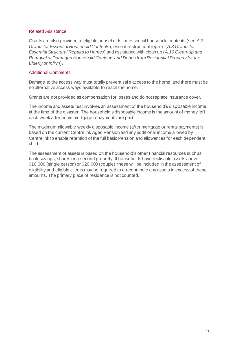# Related Assistance

Grants are also provided to eligible households for essential household contents (see *A.7 Grants for Essential Household Contents*), essential structural repairs (*A.8 Grants for Essential Structural Repairs to Homes*) and assistance with clean up (*A.10 Clean-up and Removal of Damaged Household Contents and Debris from Residential Property for the Elderly or Infirm*).

# Additional Comments

Damage to the access way must totally prevent safe access to the home, and there must be no alternative access ways available to reach the home.

Grants are not provided as compensation for losses and do not replace insurance cover.

The income and assets test involves an assessment of the household's disposable income at the time of the disaster. The household's disposable income is the amount of money left each week after home mortgage repayments are paid.

The maximum allowable weekly disposable income (after mortgage or rental payments) is based on the current Centrelink Aged Pension and any additional income allowed by Centrelink to enable retention of the full basic Pension and allowances for each dependent child.

The assessment of assets is based on the household's other financial resources such as bank savings, shares or a second property. If households have realisable assets above \$10,000 (single person) or \$20,000 (couple), these will be included in the assessment of eligibility and eligible clients may be required to co-contribute any assets in excess of these amounts. The primary place of residence is not counted.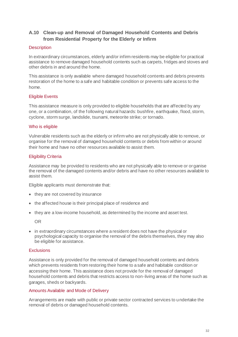# **A.10 Clean-up and Removal of Damaged Household Contents and Debris from Residential Property for the Elderly or Infirm**

# **Description**

In extraordinary circumstances, elderly and/or infirm residents may be eligible for practical assistance to remove damaged household contents such as carpets, fridges and stoves and other debris in and around the home.

This assistance is only available where damaged household contents and debris prevents restoration of the home to a safe and habitable condition or prevents safe access to the home.

# Eligible Events

This assistance measure is only provided to eligible households that are affected by any one, or a combination, of the following natural hazards: bushfire, earthquake, flood, storm, cyclone, storm surge, landslide, tsunami, meteorite strike; or tornado.

# Who is eligible

Vulnerable residents such as the elderly or infirm who are not physically able to remove, or organise for the removal of damaged household contents or debris from within or around their home and have no other resources available to assist them.

# Eligibility Criteria

Assistance may be provided to residents who are not physically able to remove or organise the removal of the damaged contents and/or debris and have no other resources available to assist them.

Eligible applicants must demonstrate that:

- they are not covered by insurance
- the affected house is their principal place of residence and
- they are a low-income household, as determined by the income and asset test.

OR

• in extraordinary circumstances where a resident does not have the physical or psychological capacity to organise the removal of the debris themselves, they may also be eligible for assistance.

# **Exclusions**

Assistance is only provided for the removal of damaged household contents and debris which prevents residents from restoring their home to a safe and habitable condition or accessing their home. This assistance does not provide for the removal of damaged household contents and debris that restricts access to non-living areas of the home such as garages, sheds or backyards.

# Amounts Available and Mode of Delivery

Arrangements are made with public or private sector contracted services to undertake the removal of debris or damaged household contents.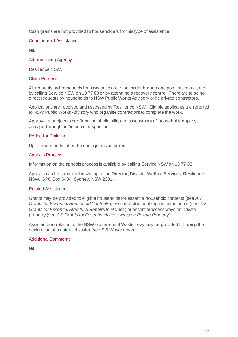Cash grants are not provided to householders for this type of assistance.

# Conditions of Assistance

Nil.

# Administering Agency

Resilience NSW.

# Claim Process

All requests by households for assistance are to be made through one point of contact, e.g. by calling Service NSW on 13 77 88 or by attending a recovery centre. There are to be no direct requests by households to NSW Public Works Advisory or its private contractors.

Applications are received and assessed by Resilience NSW. Eligible applicants are referred to NSW Public Works Advisory who organise contractors to complete the work.

Approval is subject to confirmation of eligibility and assessment of household/property damage through an "in home" inspection.

# Period for Claiming

Up to four months after the damage has occurred.

# Appeals Process

Information on the appeals process is available by calling Service NSW on 13 77 88.

Appeals can be submitted in writing to the Director, Disaster Welfare Services, Resilience NSW, GPO Box 5434, Sydney, NSW 2001.

# Related Assistance

Grants may be provided to eligible households for essential household contents (see *A.7 Grants for Essential Household Contents*), essential structural repairs to the home (see *A.8 Grants for Essential Structural Repairs to Homes*) or essential access ways on private property (see *A.9 Grants for Essential Access ways on Private Property*).

Assistance in relation to the NSW Government Waste Levy may be provided following the declaration of a natural disaster (see *B.5 Waste Levy*).

# Additional Comments

Nil.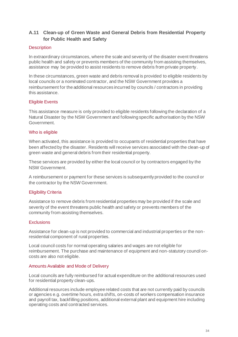# **A.11 Clean-up of Green Waste and General Debris from Residential Property for Public Health and Safety**

# **Description**

In extraordinary circumstances, where the scale and severity of the disaster event threatens public health and safety or prevents members of the community from assisting themselves, assistance may be provided to assist residents to remove debris from private property.

In these circumstances, green waste and debris removal is provided to eligible residents by local councils or a nominated contractor, and the NSW Government provides a reimbursement for the additional resources incurred by councils / contractors in providing this assistance.

# Eligible Events

This assistance measure is only provided to eligible residents following the declaration of a Natural Disaster by the NSW Government and following specific authorisation by the NSW Government.

# Who is eligible

When activated, this assistance is provided to occupants of residential properties that have been affected by the disaster. Residents will receive services associated with the clean-up of green waste and general debris from their residential property.

These services are provided by either the local council or by contractors engaged by the NSW Government.

A reimbursement or payment for these services is subsequently provided to the council or the contractor by the NSW Government.

# Eligibility Criteria

Assistance to remove debris from residential properties may be provided if the scale and severity of the event threatens public health and safety or prevents members of the community from assisting themselves.

# **Exclusions**

Assistance for clean-up is not provided to commercial and industrial properties or the nonresidential component of rural properties.

Local council costs for normal operating salaries and wages are not eligible for reimbursement. The purchase and maintenance of equipment and non-statutory council oncosts are also not eligible.

# Amounts Available and Mode of Delivery

Local councils are fully reimbursed for actual expenditure on the additional resources used for residential property clean-ups.

Additional resources include employee related costs that are not currently paid by councils or agencies e.g. overtime hours, extra shifts, on-costs of workers compensation insurance and payroll tax, backfilling positions, additional external plant and equipment hire including operating costs and contracted services.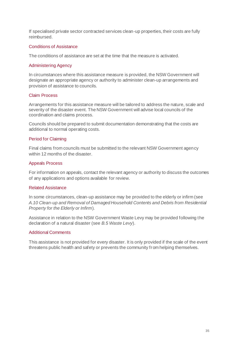If specialised private sector contracted services clean-up properties, their costs are fully reimbursed.

# Conditions of Assistance

The conditions of assistance are set at the time that the measure is activated.

# Administering Agency

In circumstances where this assistance measure is provided, the NSW Government will designate an appropriate agency or authority to administer clean-up arrangements and provision of assistance to councils.

# Claim Process

Arrangements for this assistance measure will be tailored to address the nature, scale and severity of the disaster event. The NSW Government will advise local councils of the coordination and claims process.

Councils should be prepared to submit documentation demonstrating that the costs are additional to normal operating costs.

#### Period for Claiming

Final claims from councils must be submitted to the relevant NSW Government agency within 12 months of the disaster.

#### Appeals Process

For information on appeals, contact the relevant agency or authority to discuss the outcomes of any applications and options available for review.

# Related Assistance

In some circumstances, clean-up assistance may be provided to the elderly or infirm (see *A.10 Clean-up and Removal of Damaged Household Contents and Debris from Residential Property for the Elderly or Infirm*).

Assistance in relation to the NSW Government Waste Levy may be provided following the declaration of a natural disaster (see *B.5 Waste Levy*).

# Additional Comments

This assistance is not provided for every disaster. It is only provided if the scale of the event threatens public health and safety or prevents the community from helping themselves.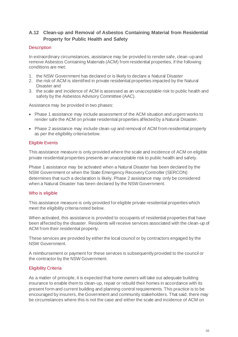# **A.12 Clean-up and Removal of Asbestos Containing Material from Residential Property for Public Health and Safety**

# **Description**

In extraordinary circumstances, assistance may be provided to render safe, clean-up and remove Asbestos Containing Materials (ACM) from residential properties, if the following conditions are met:

- 1. the NSW Government has declared or is likely to declare a Natural Disaster
- 2. the risk of ACM is identified in private residential properties impacted by the Natural Disaster and
- 3. the scale and incidence of ACM is assessed as an unacceptable risk to public health and safety by the Asbestos Advisory Committee (AAC).

Assistance may be provided in two phases:

- Phase 1 assistance may include assessment of the ACM situation and urgent works to render safe the ACM on private residential properties affected by a Natural Disaster.
- Phase 2 assistance may include clean-up and removal of ACM from residential property as per the eligibility criteria below.

# Eligible Events

This assistance measure is only provided where the scale and incidence of ACM on eligible private residential properties presents an unacceptable risk to public health and safety.

Phase 1 assistance may be activated when a Natural Disaster has been declared by the NSW Government or when the State Emergency Recovery Controller (SERCON) determines that such a declaration is likely. Phase 2 assistance may only be considered when a Natural Disaster has been declared by the NSW Government.

# Who is eligible

This assistance measure is only provided for eligible private residential properties which meet the eligibility criteria noted below.

When activated, this assistance is provided to occupants of residential properties that have been affected by the disaster. Residents will receive services associated with the clean-up of ACM from their residential property.

These services are provided by either the local council or by contractors engaged by the NSW Government.

A reimbursement or payment for these services is subsequently provided to the council or the contractor by the NSW Government.

# Eligibility Criteria

As a matter of principle, it is expected that home owners will take out adequate building insurance to enable them to clean-up, repair or rebuild their homes in accordance with its present form and current building and planning control requirements. This practice is to be encouraged by insurers, the Government and community stakeholders. That said, there may be circumstances where this is not the case and either the scale and incidence of ACM on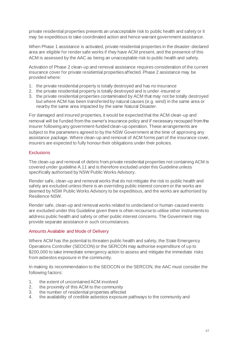private residential properties presents an unacceptable risk to public health and safety or it may be expeditious to take coordinated action and hence warrant government assistance.

When Phase 1 assistance is activated, private residential properties in the disaster-declared area are eligible for render safe works if they have ACM present, and the presence of this ACM is assessed by the AAC as being an unacceptable risk to public health and safety.

Activation of Phase 2 clean-up and removal assistance requires consideration of the current insurance cover for private residential properties affected. Phase 2 assistance may be provided where:

- 1. the private residential property is totally destroyed and has no insurance
- 2. the private residential property is totally destroyed and is under-insured or
- 3. the private residential properties contaminated by ACM that may not be totally destroyed but where ACM has been transferred by natural causes (e.g. wind) in the same area or nearby the same area impacted by the same Natural Disaster.

For damaged and insured properties, it would be expected that the ACM clean-up and removal will be funded from the owner's insurance policy and if necessary recouped from the insurer following any government-funded clean-up operation. These arrangements are subject to the parameters agreed to by the NSW Government at the time of approving any assistance package. Where clean-up and removal of ACM forms part of the insurance cover, insurers are expected to fully honour their obligations under their policies.

### **Exclusions**

The clean-up and removal of debris from private residential properties not containing ACM is covered under guideline A.11 and is therefore excluded under this Guideline unless specifically authorised by NSW Public Works Advisory.

Render safe, clean-up and removal works that do not mitigate the risk to public health and safety are excluded unless there is an overriding public interest concern or the works are deemed by NSW Public Works Advisory to be expeditious, and the works are authorised by Resilience NSW.

Render safe, clean-up and removal works related to undeclared or human-caused events are excluded under this Guideline given there is often recourse to utilise other instruments to address public health and safety or other public interest concerns. The Government may provide separate assistance in such circumstances.

### Amounts Available and Mode of Delivery

Where ACM has the potential to threaten public health and safety, the State Emergency Operations Controller (SEOCON) or the SERCON may authorise expenditure of up to \$200,000 to take immediate emergency action to assess and mitigate the immediate risks from asbestos exposure in the community.

In making its recommendation to the SEOCON or the SERCON, the AAC must consider the following factors:

- 1. the extent of uncontained ACM involved
- 2. the proximity of this ACM to the community
- 3. the number of residential properties affected
- 4. the availability of credible asbestos exposure pathways to the community and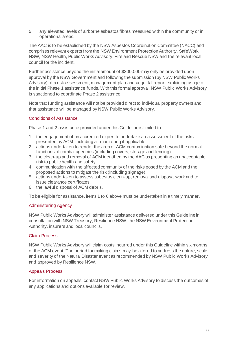5. any elevated levels of airborne asbestos fibres measured within the community or in operational areas.

The AAC is to be established by the NSW Asbestos Coordination Committee (NACC) and comprises relevant experts from the NSW Environment Protection Authority, SafeWork NSW, NSW Health, Public Works Advisory, Fire and Rescue NSW and the relevant local council for the incident.

Further assistance beyond the initial amount of \$200,000 may only be provided upon approval by the NSW Government and following the submission (by NSW Public Works Advisory) of a risk assessment, management plan and acquittal report explaining usage of the initial Phase 1 assistance funds. With this formal approval, NSW Public Works Advisory is sanctioned to coordinate Phase 2 assistance.

Note that funding assistance will not be provided direct to individual property owners and that assistance will be managed by NSW Public Works Advisory.

# Conditions of Assistance

Phase 1 and 2 assistance provided under this Guideline is limited to:

- 1. the engagement of an accredited expert to undertake an assessment of the risks presented by ACM, including air monitoring if applicable.
- 2. actions undertaken to render the area of ACM contamination safe beyond the normal functions of combat agencies (including covers, storage and fencing).
- 3. the clean-up and removal of ACM identified by the AAC as presenting an unacceptable risk to public health and safety.
- 4. communication with the affected community of the risks posed by the ACM and the proposed actions to mitigate the risk (including signage).
- 5. actions undertaken to assess asbestos clean-up, removal and disposal work and to issue clearance certificates.
- 6. the lawful disposal of ACM debris.

To be eligible for assistance, items 1 to 6 above must be undertaken in a timely manner.

# Administering Agency

NSW Public Works Advisory will administer assistance delivered under this Guideline in consultation with NSW Treasury, Resilience NSW, the NSW Environment Protection Authority, insurers and local councils.

# Claim Process

NSW Public Works Advisory will claim costs incurred under this Guideline within six months of the ACM event. The period for making claims may be altered to address the nature, scale and severity of the Natural Disaster event as recommended by NSW Public Works Advisory and approved by Resilience NSW.

# Appeals Process

For information on appeals, contact NSW Public Works Advisory to discuss the outcomes of any applications and options available for review.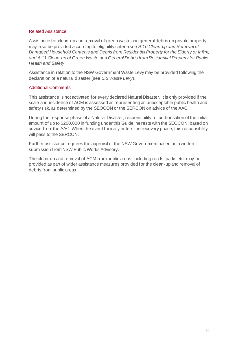### Related Assistance

Assistance for clean-up and removal of green waste and general debris on private property may also be provided according to eligibility criteria see *A.10 Clean-up and Removal of Damaged Household Contents and Debris from Residential Property for the Elderly or Infirm, and A.11 Clean-up of Green Waste and General Debris from Residential Property for Public Health and Safety*.

Assistance in relation to the NSW Government Waste Levy may be provided following the declaration of a natural disaster (see *B.5 Waste Levy*).

## Additional Comments

This assistance is not activated for every declared Natural Disaster. It is only provided if the scale and incidence of ACM is assessed as representing an unacceptable public health and safety risk, as determined by the SEOCON or the SERCON on advice of the AAC.

During the response phase of a Natural Disaster, responsibility for authorisation of the initial amount of up to \$200,000 in funding under this Guideline rests with the SEOCON, based on advice from the AAC. When the event formally enters the recovery phase, this responsibility will pass to the SERCON.

Further assistance requires the approval of the NSW Government based on a written submission from NSW Public Works Advisory.

The clean-up and removal of ACM from public areas, including roads, parks etc. may be provided as part of wider assistance measures provided for the clean-up and removal of debris from public areas.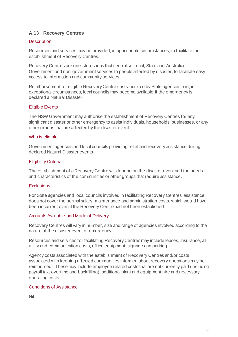# **A.13 Recovery Centres**

# **Description**

Resources and services may be provided, in appropriate circumstances, to facilitate the establishment of Recovery Centres.

Recovery Centres are one‐stop‐shops that centralise Local, State and Australian Government and non-government services to people affected by disaster, to facilitate easy access to information and community services.

Reimbursement for eligible Recovery Centre costs incurred by State agencies and, in exceptional circumstances, local councils may become available if the emergency is declared a Natural Disaster.

## Eligible Events

The NSW Government may authorise the establishment of Recovery Centres for any significant disaster or other emergency to assist individuals, households, businesses, or any other groups that are affected by the disaster event.

### Who is eligible

Government agencies and local councils providing relief and recovery assistance during declared Natural Disaster events.

## Eligibility Criteria

The establishment of a Recovery Centre will depend on the disaster event and the needs and characteristics of the communities or other groups that require assistance.

### **Exclusions**

For State agencies and local councils involved in facilitating Recovery Centres, assistance does not cover the normal salary, maintenance and administration costs, which would have been incurred, even if the Recovery Centre had not been established.

### Amounts Available and Mode of Delivery

Recovery Centres will vary in number, size and range of agencies involved according to the nature of the disaster event or emergency.

Resources and services for facilitating Recovery Centres may include leases, insurance, all utility and communication costs, office equipment, signage and parking.

Agency costs associated with the establishment of Recovery Centres and/or costs associated with keeping affected communities informed about recovery operations may be reimbursed. These may include employee related costs that are not currently paid (including payroll tax, overtime and backfilling), additional plant and equipment hire and necessary operating costs.

## Conditions of Assistance

Nil.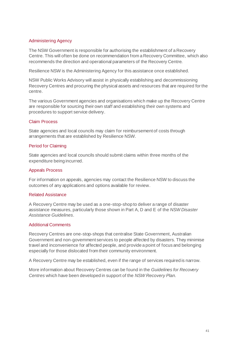## Administering Agency

The NSW Government is responsible for authorising the establishment of a Recovery Centre. This will often be done on recommendation from a Recovery Committee, which also recommends the direction and operational parameters of the Recovery Centre.

Resilience NSW is the Administering Agency for this assistance once established.

NSW Public Works Advisory will assist in physically establishing and decommissioning Recovery Centres and procuring the physical assets and resources that are required for the centre.

The various Government agencies and organisations which make up the Recovery Centre are responsible for sourcing their own staff and establishing their own systems and procedures to support service delivery.

### Claim Process

State agencies and local councils may claim for reimbursement of costs through arrangements that are established by Resilience NSW.

## Period for Claiming

State agencies and local councils should submit claims within three months of the expenditure being incurred.

### Appeals Process

For information on appeals, agencies may contact the Resilience NSW to discuss the outcomes of any applications and options available for review.

### Related Assistance

A Recovery Centre may be used as a one-stop-shop to deliver a range of disaster assistance measures, particularly those shown in Part A, D and E of the *NSW Disaster Assistance Guidelines*.

### Additional Comments

Recovery Centres are one-stop-shops that centralise State Government, Australian Government and non-government services to people affected by disasters. They minimise travel and inconvenience for affected people, and provide a point of focus and belonging especially for those dislocated from their community environment.

A Recovery Centre may be established, even if the range of services required is narrow.

More information about Recovery Centres can be found in the *Guidelines for Recovery Centres* which have been developed in support of the *NSW Recovery Plan.*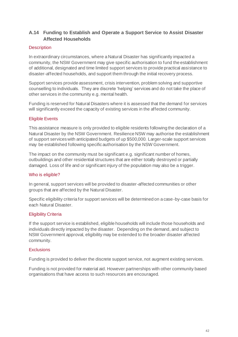# **A.14 Funding to Establish and Operate a Support Service to Assist Disaster Affected Households**

## **Description**

In extraordinary circumstances, where a Natural Disaster has significantly impacted a community, the NSW Government may give specific authorisation to fund the establishment of additional, designated and time limited support services to provide practical assistance to disaster-affected households, and support them through the initial recovery process.

Support services provide assessment, crisis intervention, problem solving and supportive counselling to individuals. They are discrete 'helping' services and do not take the place of other services in the community e.g. mental health.

Funding is reserved for Natural Disasters where it is assessed that the demand for services will significantly exceed the capacity of existing services in the affected community.

## Eligible Events

This assistance measure is only provided to eligible residents following the declaration of a Natural Disaster by the NSW Government. Resilience NSW may authorise the establishment of support services with anticipated budgets of up \$500,000. Larger-scale support services may be established following specific authorisation by the NSW Government.

The impact on the community must be significant e.g. significant number of homes, outbuildings and other residential structures that are either totally destroyed or partially damaged. Loss of life and or significant injury of the population may also be a trigger.

### Who is eligible?

In general, support services will be provided to disaster-affected communities or other groups that are affected by the Natural Disaster.

Specific eligibility criteria for support services will be determined on a case-by-case basis for each Natural Disaster.

# Eligibility Criteria

If the support service is established, eligible households will include those households and individuals directly impacted by the disaster. Depending on the demand, and subject to NSW Government approval, eligibility may be extended to the broader disaster affected community.

### **Exclusions**

Funding is provided to deliver the discrete support service, not augment existing services.

Funding is not provided for material aid. However partnerships with other community based organisations that have access to such resources are encouraged.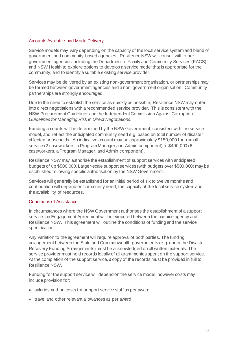## Amounts Available and Mode Delivery

Service models may vary depending on the capacity of the local service system and blend of government and community-based agencies. Resilience NSW will consult with other government agencies including the Department of Family and Community Services (FACS) and NSW Health to explore options to develop a service model that is appropriate for the community, and to identify a suitable existing service provider.

Services may be delivered by an existing non-government organisation, or partnerships may be formed between government agencies and a non-government organisation. Community partnerships are strongly encouraged.

Due to the need to establish the service as quickly as possible, Resilience NSW may enter into direct negotiations with a recommended service provider. This is consistent with the NSW Procurement Guidelines and the Independent Commission Against Corruption – *Guidelines for Managing Risk in Direct Negotiations.*

Funding amounts will be determined by the NSW Government, consistent with the service model, and reflect the anticipated community need e.g. based on total number of disaster affected households. An indicative amount may be approximately \$150,000 for a small service (2 caseworkers, a Program Manager and Admin component) to \$400,000 (6 caseworkers, a Program Manager, and Admin component).

Resilience NSW may authorise the establishment of support services with anticipated budgets of up \$500,000. Larger-scale support services (with budgets over \$500,000) may be established following specific authorisation by the NSW Government.

Services will generally be established for an initial period of six to twelve months and continuation will depend on community need, the capacity of the local service system and the availability of resources.

### Conditions of Assistance

In circumstances where the NSW Government authorises the establishment of a support service, an Engagement Agreement will be executed between the auspice agency and Resilience NSW. This agreement will outline the conditions of funding and the service specification.

Any variation to the agreement will require approval of both parties. The funding arrangement between the State and Commonwealth governments (e.g. under the Disaster Recovery Funding Arrangements) must be acknowledged on all written materials. The service provider must hold records locally of all grant monies spent on the support service. At the completion of the support service, a copy of the records must be provided in full to Resilience NSW.

Funding for the support service will depend on the service model, however costs may include provision for:

- salaries and on costs for support service staff as per award
- travel and other relevant allowances as per award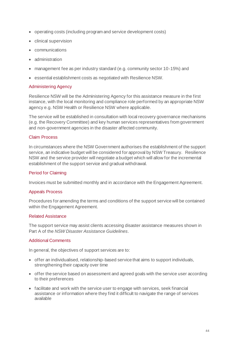- operating costs (including program and service development costs)
- clinical supervision
- communications
- administration
- management fee as per industry standard (e.g. community sector 10-15%) and
- essential establishment costs as negotiated with Resilience NSW.

## Administering Agency

Resilience NSW will be the Administering Agency for this assistance measure in the first instance, with the local monitoring and compliance role performed by an appropriate NSW agency e.g. NSW Health or Resilience NSW where applicable.

The service will be established in consultation with local recovery governance mechanisms (e.g. the Recovery Committee) and key human services representatives from government and non-government agencies in the disaster affected community.

## Claim Process

In circumstances where the NSW Government authorises the establishment of the support service, an indicative budget will be considered for approval by NSW Treasury. Resilience NSW and the service provider will negotiate a budget which will allow for the incremental establishment of the support service and gradual withdrawal.

### Period for Claiming

Invoices must be submitted monthly and in accordance with the Engagement Agreement.

### Appeals Process

Procedures for amending the terms and conditions of the support service will be contained within the Engagement Agreement.

### Related Assistance

The support service may assist clients accessing disaster assistance measures shown in Part A of the *NSW Disaster Assistance Guidelines*.

### Additional Comments

In general, the objectives of support services are to:

- offer an individualised, relationship-based service that aims to support individuals, strengthening their capacity over time
- offer the service based on assessment and agreed goals with the service user according to their preferences
- facilitate and work with the service user to engage with services, seek financial assistance or information where they find it difficult to navigate the range of services available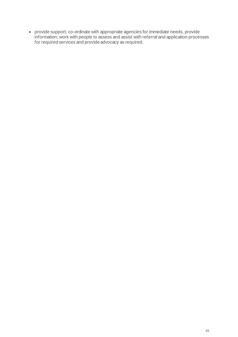• provide support; co-ordinate with appropriate agencies for immediate needs, provide information; work with people to assess and assist with referral and application processes for required services and provide advocacy as required.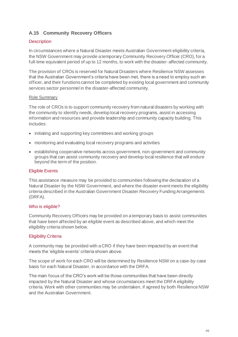# **A.15 Community Recovery Officers**

# **Description**

In circumstances where a Natural Disaster meets Australian Government eligibility criteria, the NSW Government may provide a temporary Community Recovery Officer (CRO), for a full-time equivalent period of up to 12 months, to work with the disaster-affected community.

The provision of CROs is reserved for Natural Disasters where Resilience NSW assesses that the Australian Government's criteria have been met, there is a need to employ such an officer, and their functions cannot be completed by existing local government and community services sector personnel in the disaster-affected community.

### Role Summary

The role of CROs is to support community recovery from natural disasters by working with the community to identify needs, develop local recovery programs, assist in accessing information and resources and provide leadership and community capacity building. This includes:

- initiating and supporting key committees and working groups
- monitoring and evaluating local recovery programs and activities
- establishing cooperative networks across government, non-government and community groups that can assist community recovery and develop local resilience that will endure beyond the term of the position.

### Eligible Events

This assistance measure may be provided to communities following the declaration of a Natural Disaster by the NSW Government, and where the disaster event meets the eligibility criteria described in the Australian Government Disaster Recovery Funding Arrangements (DRFA).

### Who is eligible?

Community Recovery Officers may be provided on a temporary basis to assist communities that have been affected by an eligible event as described above, and which meet the eligibility criteria shown below.

### Eligibility Criteria

A community may be provided with a CRO if they have been impacted by an event that meets the 'eligible events' criteria shown above.

The scope of work for each CRO will be determined by Resilience NSW on a case-by-case basis for each Natural Disaster, in accordance with the DRFA.

The main focus of the CRO's work will be those communities that have been directly impacted by the Natural Disaster and whose circumstances meet the DRFA eligibility criteria. Work with other communities may be undertaken, if agreed by both Resilience NSW and the Australian Government.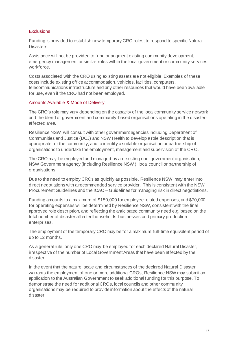## **Exclusions**

Funding is provided to establish new temporary CRO roles, to respond to specific Natural Disasters.

Assistance will not be provided to fund or augment existing community development, emergency management or similar roles within the local government or community services workforce.

Costs associated with the CRO using existing assets are not eligible. Examples of these costs include existing office accommodation, vehicles, facilities, computers, telecommunications infrastructure and any other resources that would have been available for use, even if the CRO had not been employed.

### Amounts Available & Mode of Delivery

The CRO's role may vary depending on the capacity of the local community service network and the blend of government and community-based organisations operating in the disasteraffected area.

Resilience NSW will consult with other government agencies including Department of Communities and Justice (DCJ) and NSW Health to develop a role description that is appropriate for the community, and to identify a suitable organisation or partnership of organisations to undertake the employment, management and supervision of the CRO.

The CRO may be employed and managed by an existing non-government organisation, NSW Government agency (including Resilience NSW ), local council or partnership of organisations.

Due to the need to employ CROs as quickly as possible, Resilience NSW may enter into direct negotiations with a recommended service provider. This is consistent with the NSW Procurement Guidelines and the ICAC – Guidelines for managing risk in direct negotiations.

Funding amounts to a maximum of \$150,000 for employee related expenses, and \$70,000 for operating expenses will be determined by Resilience NSW, consistent with the final approved role description, and reflecting the anticipated community need e.g. based on the total number of disaster affected households, businesses and primary production enterprises.

The employment of the temporary CRO may be for a maximum full-time equivalent period of up to 12 months.

As a general rule, only one CRO may be employed for each declared Natural Disaster, irrespective of the number of Local Government Areas that have been affected by the disaster.

In the event that the nature, scale and circumstances of the declared Natural Disaster warrants the employment of one or more additional CROs, Resilience NSW may submit an application to the Australian Government to seek additional funding for this purpose. To demonstrate the need for additional CROs, local councils and other community organisations may be required to provide information about the effects of the natural disaster.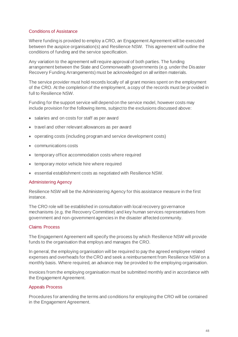## Conditions of Assistance

Where funding is provided to employ a CRO, an Engagement Agreement will be executed between the auspice organisation(s) and Resilience NSW. This agreement will outline the conditions of funding and the service specification.

Any variation to the agreement will require approval of both parties. The funding arrangement between the State and Commonwealth governments (e.g. under the Disaster Recovery Funding Arrangements) must be acknowledged on all written materials.

The service provider must hold records locally of all grant monies spent on the employment of the CRO. At the completion of the employment, a copy of the records must be provided in full to Resilience NSW.

Funding for the support service will depend on the service model, however costs may include provision for the following items, subject to the exclusions discussed above:

- salaries and on costs for staff as per award
- travel and other relevant allowances as per award
- operating costs (including program and service development costs)
- communications costs
- temporary office accommodation costs where required
- temporary motor vehicle hire where required
- essential establishment costs as negotiated with Resilience NSW.

#### Administering Agency

Resilience NSW will be the Administering Agency for this assistance measure in the first instance.

The CRO role will be established in consultation with local recovery governance mechanisms (e.g. the Recovery Committee) and key human services representatives from government and non-government agencies in the disaster affected community.

#### Claims Process

The Engagement Agreement will specify the process by which Resilience NSW will provide funds to the organisation that employs and manages the CRO.

In general, the employing organisation will be required to pay the agreed employee related expenses and overheads for the CRO and seek a reimbursement from Resilience NSW on a monthly basis. Where required, an advance may be provided to the employing organisation.

Invoices from the employing organisation must be submitted monthly and in accordance with the Engagement Agreement.

### Appeals Process

Procedures for amending the terms and conditions for employing the CRO will be contained in the Engagement Agreement.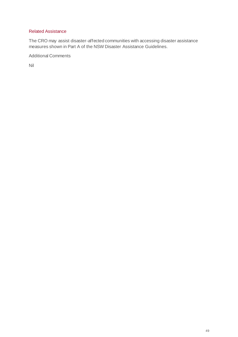## Related Assistance

The CRO may assist disaster-affected communities with accessing disaster assistance measures shown in Part A of the NSW Disaster Assistance Guidelines.

Additional Comments

Nil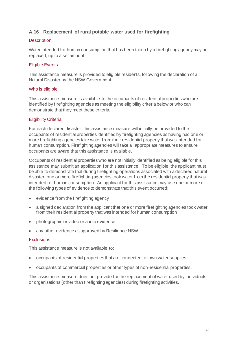# **A.16 Replacement of rural potable water used for firefighting**

## **Description**

Water intended for human consumption that has been taken by a firefighting agency may be replaced, up to a set amount.

# Eligible Events

This assistance measure is provided to eligible residents, following the declaration of a Natural Disaster by the NSW Government.

# Who is eligible

This assistance measure is available to the occupants of residential properties who are identified by firefighting agencies as meeting the eligibility criteria below or who can demonstrate that they meet these criteria.

# Eligibility Criteria

For each declared disaster, this assistance measure will initially be provided to the occupants of residential properties identified by firefighting agencies as having had one or more firefighting agencies take water from their residential property that was intended for human consumption. Firefighting agencies will take all appropriate measures to ensure occupants are aware that this assistance is available.

Occupants of residential properties who are not initially identified as being eligible for this assistance may submit an application for this assistance. To be eligible, the applicant must be able to demonstrate that during firefighting operations associated with a declared natural disaster, one or more firefighting agencies took water from the residential property that was intended for human consumption. An applicant for this assistance may use one or more of the following types of evidence to demonstrate that this event occurred:

- evidence from the firefighting agency
- a signed declaration from the applicant that one or more firefighting agencies took water from their residential property that was intended for human consumption
- photographic or video or audio evidence
- any other evidence as approved by Resilience NSW.

# **Exclusions**

This assistance measure is not available to:

- occupants of residential properties that are connected to town water supplies
- occupants of commercial properties or other types of non-residential properties.

This assistance measure does not provide for the replacement of water used by individuals or organisations (other than firefighting agencies) during firefighting activities.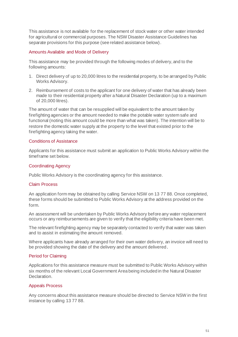This assistance is not available for the replacement of stock water or other water intended for agricultural or commercial purposes. The NSW Disaster Assistance Guidelines has separate provisions for this purpose (see related assistance below).

## Amounts Available and Mode of Delivery

This assistance may be provided through the following modes of delivery, and to the following amounts:

- 1. Direct delivery of up to 20,000 litres to the residential property, to be arranged by Public Works Advisory.
- 2. Reimbursement of costs to the applicant for one delivery of water that has already been made to their residential property after a Natural Disaster Declaration (up to a maximum of 20,000 litres).

The amount of water that can be resupplied will be equivalent to the amount taken by firefighting agencies or the amount needed to make the potable water system safe and functional (noting this amount could be more than what was taken). The intention will be to restore the domestic water supply at the property to the level that existed prior to the firefighting agency taking the water.

### Conditions of Assistance

Applicants for this assistance must submit an application to Public Works Advisory within the timeframe set below.

# Coordinating Agency

Public Works Advisory is the coordinating agency for this assistance.

### Claim Process

An application form may be obtained by calling Service NSW on 13 77 88. Once completed, these forms should be submitted to Public Works Advisory at the address provided on the form.

An assessment will be undertaken by Public Works Advisory before any water replacement occurs or any reimbursements are given to verify that the eligibility criteria have been met.

The relevant firefighting agency may be separately contacted to verify that water was taken and to assist in estimating the amount removed.

Where applicants have already arranged for their own water delivery, an invoice will need to be provided showing the date of the delivery and the amount delivered.

### Period for Claiming

Applications for this assistance measure must be submitted to Public Works Advisory within six months of the relevant Local Government Area being included in the Natural Disaster Declaration.

# Appeals Process

Any concerns about this assistance measure should be directed to Service NSW in the first instance by calling 13 77 88.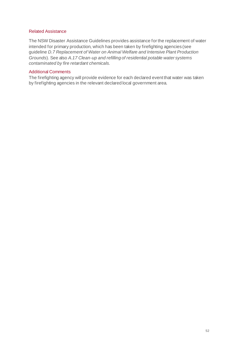### Related Assistance

The NSW Disaster Assistance Guidelines provides assistance for the replacement of water intended for primary production, which has been taken by firefighting agencies (see guideline *D.7 Replacement of Water on Animal Welfare and Intensive Plant Production Grounds*). See also *A.17 Clean-up and refilling of residential potable water systems contaminated by fire retardant chemicals.*

### Additional Comments

The firefighting agency will provide evidence for each declared event that water was taken by firefighting agencies in the relevant declared local government area.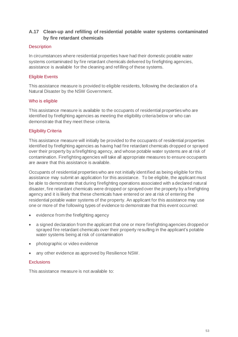# **A.17 Clean-up and refilling of residential potable water systems contaminated by fire retardant chemicals**

# **Description**

In circumstances where residential properties have had their domestic potable water systems contaminated by fire retardant chemicals delivered by firefighting agencies, assistance is available for the cleaning and refilling of these systems.

# Eligible Events

This assistance measure is provided to eligible residents, following the declaration of a Natural Disaster by the NSW Government.

## Who is eligible

This assistance measure is available to the occupants of residential properties who are identified by firefighting agencies as meeting the eligibility criteria below or who can demonstrate that they meet these criteria.

# Eligibility Criteria

This assistance measure will initially be provided to the occupants of residential properties identified by firefighting agencies as having had fire retardant chemicals dropped or sprayed over their property by a firefighting agency, and whose potable water systems are at risk of contamination. Firefighting agencies will take all appropriate measures to ensure occupants are aware that this assistance is available.

Occupants of residential properties who are not initially identified as being eligible for this assistance may submit an application for this assistance. To be eligible, the applicant must be able to demonstrate that during firefighting operations associated with a declared natural disaster, fire retardant chemicals were dropped or sprayed over the property by a firefighting agency and it is likely that these chemicals have entered or are at risk of entering the residential potable water systems of the property. An applicant for this assistance may use one or more of the following types of evidence to demonstrate that this event occurred:

- evidence from the firefighting agency
- a signed declaration from the applicant that one or more firefighting agencies dropped or sprayed fire retardant chemicals over their property resulting in the applicant's potable water systems being at risk of contamination
- photographic or video evidence
- any other evidence as approved by Resilience NSW.

# **Exclusions**

This assistance measure is not available to: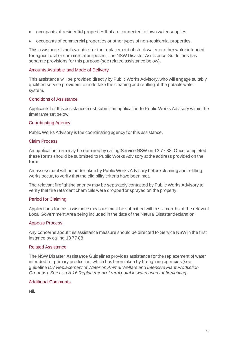- occupants of residential properties that are connected to town water supplies
- occupants of commercial properties or other types of non-residential properties.

This assistance is not available for the replacement of stock water or other water intended for agricultural or commercial purposes. The NSW Disaster Assistance Guidelines has separate provisions for this purpose (see related assistance below).

### Amounts Available and Mode of Delivery

This assistance will be provided directly by Public Works Advisory, who will engage suitably qualified service providers to undertake the cleaning and refilling of the potable water system.

### Conditions of Assistance

Applicants for this assistance must submit an application to Public Works Advisory within the timeframe set below.

## Coordinating Agency

Public Works Advisory is the coordinating agency for this assistance.

### Claim Process

An application form may be obtained by calling Service NSW on 13 77 88. Once completed, these forms should be submitted to Public Works Advisory at the address provided on the form.

An assessment will be undertaken by Public Works Advisory before cleaning and refilling works occur, to verify that the eligibility criteria have been met.

The relevant firefighting agency may be separately contacted by Public Works Advisory to verify that fire retardant chemicals were dropped or sprayed on the property.

### Period for Claiming

Applications for this assistance measure must be submitted within six months of the relevant Local Government Area being included in the date of the Natural Disaster declaration.

### Appeals Process

Any concerns about this assistance measure should be directed to Service NSW in the first instance by calling 13 77 88.

### Related Assistance

The NSW Disaster Assistance Guidelines provides assistance for the replacement of water intended for primary production, which has been taken by firefighting agencies (see guideline *D.7 Replacement of Water on Animal Welfare and Intensive Plant Production Grounds*). See also *A.16 Replacement of rural potable water used for firefighting*.

### Additional Comments

Nil.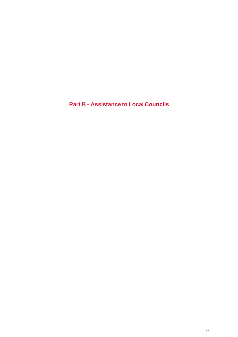**Part B - Assistance to Local Councils**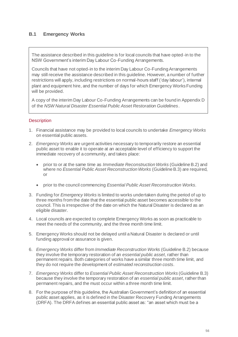# **B.1 Emergency Works**

The assistance described in this guideline is for local councils that have opted-in to the NSW Government's interim Day Labour Co-Funding Arrangements.

Councils that have not opted-in to the interim Day Labour Co-Funding Arrangements may still receive the assistance described in this guideline. However, a number of further restrictions will apply, including restrictions on normal-hours staff ('day labour'), internal plant and equipment hire, and the number of days for which Emergency Works Funding will be provided.

A copy of the interim Day Labour Co-Funding Arrangements can be found in Appendix D of the *NSW Natural Disaster Essential Public Asset Restoration Guidelines*.

## **Description**

- 1. Financial assistance may be provided to local councils to undertake *Emergency Works* on essential public assets.
- 2. *Emergency Works* are urgent activities necessary to temporarily restore an essential public asset to enable it to operate at an acceptable level of efficiency to support the immediate recovery of a community, and takes place:
	- prior to or at the same time as *Immediate Reconstruction Works* (Guideline B.2) and where no *Essential Public Asset Reconstruction Works* (Guideline B.3) are required, or
	- prior to the council commencing *Essential Public Asset Reconstruction Works.*
- 3. Funding for *Emergency Works* is limited to works undertaken during the period of up to three months from the date that the essential public asset becomes accessible to the council. This is irrespective of the date on which the Natural Disaster is declared as an eligible disaster.
- 4. Local councils are expected to complete Emergency Works as soon as practicable to meet the needs of the community, and the three month time limit.
- 5. Emergency Works should not be delayed until a Natural Disaster is declared or until funding approval or assurance is given.
- 6. *Emergency Works* differ from *Immediate Reconstruction Works* (Guideline B.2) because they involve the temporary restoration of an *essential public asset*, rather than permanent repairs. Both categories of works have a similar three month time limit, and they do not require the development of *estimated reconstruction costs*.
- 7. *Emergency Works* differ to *Essential Public Asset Reconstruction Works* (Guideline B.3) because they involve the temporary restoration of an *essential public asset*, rather than permanent repairs, and the must occur within a three month time limit.
- 8. For the purpose of this guideline, the Australian Government's definition of an essential public asset applies, as it is defined in the Disaster Recovery Funding Arrangements (DRFA). The DRFA defines an essential public asset as: "an asset which must be a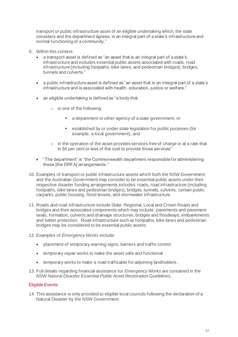transport or public infrastructure asset of an eligible undertaking which, the state considers and the department agrees, is an integral part of a state's infrastructure and normal functioning of a community."

- 9. Within this context:
	- a transport asset is defined as "an asset that is an integral part of a state's infrastructure and includes essential public assets associated with roads, road infrastructure (including footpaths, bike lanes, and pedestrian bridges), bridges, tunnels and culverts."
	- a public infrastructure asset is defined as "an asset that is an integral part of a state's infrastructure and is associated with health, education, justice or welfare."
	- an eligible undertaking is defined as "a body that:
		- o is one of the following:
			- a department or other agency of a state government, or
			- established by or under state legislation for public purposes (for example, a local government), and
		- $\circ$  in the operation of the asset provides services free of charge or at a rate that is 50 per cent or less of the cost to provide those services"
	- "The department" is "the Commonwealth department responsible for administering these [the DRFA] arrangements."
- 10. Examples of transport or public infrastructure assets which both the NSW Government and the Australian Government may consider to be essential public assets under their respective disaster funding arrangements includes: roads, road infrastructure (including footpaths, bike lanes and pedestrian bridges), bridges, tunnels, culverts, certain public carparks, public housing, flood levees, and stormwater infrastructure.
- 11. Roads and road infrastructure include State, Regional, Local and Crown Roads and bridges and their associated components which may include: pavements and pavement seals, formation, culverts and drainage structures, bridges and floodways, embankments and batter protection. Road infrastructure such as footpaths, bike lanes and pedestrian bridges may be considered to be essential public assets.
- 12. Examples of *Emergency Works* include:
	- placement of temporary warning signs, barriers and traffic control
	- temporary repair works to make the asset safe and functional
	- temporary works to make a road trafficable for adjoining landholders.
- 13. Full details regarding financial assistance for *Emergency Works* are contained in the *NSW Natural Disaster Essential Public Asset Restoration Guidelines*.

# Eligible Events

14. This assistance is only provided to eligible local councils following the declaration of a Natural Disaster by the NSW Government.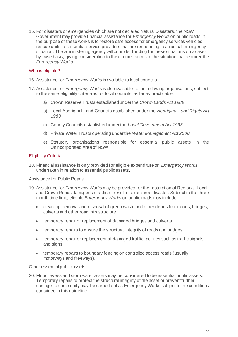15. For disasters or emergencies which are not declared Natural Disasters, the NSW Government may provide financial assistance for *Emergency Works* on public roads, if the purpose of these works is to restore safe access for emergency services vehicles, rescue units, or essential service providers that are responding to an actual emergency situation. The administering agency will consider funding for these situations on a caseby-case basis, giving consideration to the circumstances of the situation that required the *Emergency Works*.

### Who is eligible?

- 16. Assistance for *Emergency Works* is available to local councils.
- 17. Assistance for *Emergency Works* is also available to the following organisations, subject to the same eligibility criteria as for local councils, as far as practicable:
	- a) Crown Reserve Trusts established under the *Crown Lands Act 1989*
	- b) Local Aboriginal Land Councils established under the *Aboriginal Land Rights Act 1983*
	- c) County Councils established under the *Local Government Act 1993*
	- d) Private Water Trusts operating under the *Water Management Act 2000*
	- e) Statutory organisations responsible for essential public assets in the Unincorporated Area of NSW.

### Eligibility Criteria

18. Financial assistance is only provided for eligible expenditure on *Emergency Works* undertaken in relation to essential public assets.

### Assistance for Public Roads

- 19. Assistance for *Emergency Works* may be provided for the restoration of Regional, Local and Crown Roads damaged as a direct result of a declared disaster. Subject to the three month time limit, eligible *Emergency Works* on public roads may include:
	- clean-up, removal and disposal of green waste and other debris from roads, bridges, culverts and other road infrastructure
	- temporary repair or replacement of damaged bridges and culverts
	- temporary repairs to ensure the structural integrity of roads and bridges
	- temporary repair or replacement of damaged traffic facilities such as traffic signals and signs
	- temporary repairs to boundary fencing on controlled access roads (usually motorways and freeways).

#### Other essential public assets

20. Flood levees and stormwater assets may be considered to be essential public assets. Temporary repairs to protect the structural integrity of the asset or prevent further damage to community may be carried out as Emergency Works subject to the conditions contained in this guideline.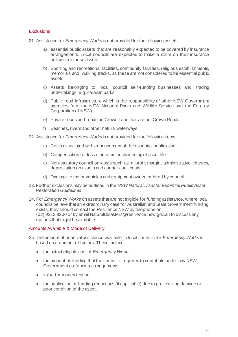## **Exclusions**

21. Assistance for *Emergency Works* is not provided for the following assets:

- a) essential public assets that are reasonably expected to be covered by insurance arrangements. Local councils are expected to make a claim on their insurance policies for these assets
- b) Sporting and recreational facilities, community facilities, religious establishments, memorials and, walking tracks, as these are not considered to be essential public assets
- c) Assets belonging to local council self-funding businesses and trading undertakings, e.g. caravan parks
- d) Public road infrastructure which is the responsibility of other NSW Government agencies (e.g. the NSW National Parks and Wildlife Service and the Forestry Corporation of NSW)
- e) Private roads and roads on Crown Land that are not Crown Roads
- f) Beaches, rivers and other natural waterways.
- 22. Assistance for *Emergency Works* is not provided for the following items:
	- a) Costs associated with enhancement of the essential public asset
	- b) Compensation for loss of income or shortening of asset life
	- c) Non-statutory council on-costs such as a profit margin, administrative charges, depreciation on assets and council audit costs
	- d) Damage to motor vehicles and equipment owned or hired by council.
- 23. Further exclusions may be outlined in the *NSW Natural Disaster Essential Public Asset Restoration Guidelines*.
- 24. For *Emergency Works* on assets that are not eligible for funding assistance, where local councils believe that an extraordinary case for Australian and State Government funding exists, they should contact the Resilience NSW by telephone on (02) 9212 9200 or by emai[l NaturalDisasters@resilience.nsw.gov.au](mailto:NaturalDisasters@resilience.nsw.gov.au) to discuss any options that might be available.

### Amounts Available & Mode of Delivery

- 25. The amount of financial assistance available to local councils for *Emergency Works* is based on a number of factors. These include:
	- the actual eligible cost of *Emergency Works*
	- the amount of funding that the council is required to contribute under any NSW Government co-funding arrangements
	- value for money testing
	- the application of funding reductions (if applicable) due to pre-existing damage or poor condition of the asset.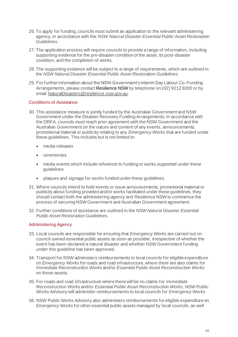- 26. To apply for funding, councils must submit an application to the relevant administering agency, in accordance with the *NSW Natural Disaster Essential Public Asset Restoration Guidelines*.
- 27. The application process will require councils to provide a range of information, including supporting evidence for the pre-disaster condition of the asset, its post-disaster condition, and the completion of works.
- 28. The supporting evidence will be subject to a range of requirements, which are outlined in the *NSW Natural Disaster Essential Public Asset Restoration Guidelines*.
- 29. For further information about the NSW Government's interim Day Labour Co-Funding Arrangements, please contact Resilience NSW by telephone on (02) 9212 9200 or by email NaturalDisasters@resilience.nsw.gov.au.

## Conditions of Assistance

- 30. This assistance measure is jointly funded by the Australian Government and NSW Government under the Disaster Recovery Funding Arrangements. In accordance with the DRFA, councils must reach prior agreement with the NSW Government and the Australian Government on the nature and content of any events, announcements, promotional material or publicity relating to any *Emergency Works* that are funded under these guidelines. This includes but is not limited to:
	- media releases
	- ceremonies
	- media events which include reference to funding or works supported under these guidelines
	- plaques and signage for works funded under these guidelines.
- 31. Where councils intend to hold events or issue announcements, promotional material or publicity about funding provided and/or works facilitated under these guidelines, they should contact both the administering agency and Resilience NSW to commence the process of securing NSW Government and Australian Government agreement.
- 32. Further conditions of assistance are outlined in the *NSW Natural Disaster Essential Public Asset Restoration Guidelines*.

# Administering Agency

- 33. Local councils are responsible for ensuring that *Emergency Works* are carried out on council-owned essential public assets as soon as possible, irrespective of whether the event has been declared a natural disaster and whether NSW Government funding under this guideline has been approved.
- 34. Transport for NSW administers reimbursements to local councils for eligible expenditure on *Emergency Works* for roads and road infrastructure, where there are also claims for *Immediate Reconstruction Works* and/or *Essential Public Asset Reconstruction Works*  on those assets.
- 35. For roads and road infrastructure where there will be no claims for *Immediate Reconstruction Works* and/or *Essential Public Asset Reconstruction Works,* NSW Public Works Advisory will administer reimbursements to local councils for *Emergency Works*.
- 36. NSW Public Works Advisory also administers reimbursements for eligible expenditure on *Emergency Works* for other essential public assets managed by local councils, as well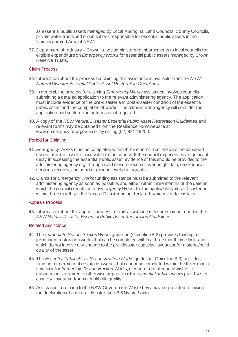as essential public assets managed by Local Aboriginal Land Councils, County Councils, private water trusts and organisations responsible for essential public assets in the Unincorporated Area of NSW.

37. Department of Industry – Crown Lands administers reimbursements to local councils for eligible expenditure on *Emergency Works* for essential public assets managed by Crown Reserve Trusts.

## Claim Process

- 38. Information about the process for claiming this assistance is available from the *NSW Natural Disaster Essential Public Asset Restoration Guidelines*.
- 39. In general, the process for claiming *Emergency Works* assistance involves councils submitting a detailed application to the relevant administering agency. The application must include evidence of the pre-disaster and post-disaster condition of the essential public asset, and the completion of works. The administering agency will consider the application and seek further information if required.
- 40. A copy of the *NSW Natural Disaster Essential Public Asset Restoration Guidelines* and relevant forms may be obtained from the Resilience NSW website at [www.emergency.nsw.gov.au](http://www.emergency.nsw.gov.au/) or by calling (02) 9212 9200.

# Period for Claiming

- 41. *Emergency Works* must be completed within three months from the date the damaged essential public asset is accessible to the council. If the council experiences a significant delay in accessing the essential public asset, evidence of this should be provided to the administering agency e.g. through road closure records, river height data, emergency services records, and aerial or ground level photographs.
- 42. Claims for *Emergency Works* funding assistance must be submitted to the relevant administering agency as soon as possible, and either within three months of the date on which the council completes all *Emergency Works* for the applicable Natural Disaster or within three months of the Natural Disaster being declared, whichever date is later.

### Appeals Process

43. Information about the appeals process for this assistance measure may be found in the *NSW Natural Disaster Essential Public Asset Restoration Guidelines*.

### Related Assistance

- 44. The *Immediate Reconstruction Works* guideline (Guideline B.2) provides funding for permanent restoration works that can be completed within a three month time limit, and which do not involve any change to the pre-disaster capacity, layout and/or material/build quality of the asset.
- 45. The *Essential Public Asset Reconstruction Works* guideline (Guideline B.3) provides funding for permanent restoration works that cannot be completed within the three month time limit for *Immediate Reconstruction Works*, or where a local council wishes to enhance or is required to otherwise depart from the *essential public asset's* pre-disaster capacity, layout and/or material/build quality.
- 46. Assistance in relation to the NSW Government Waste Levy may be provided following the declaration of a natural disaster (see *B.5 Waste Levy*).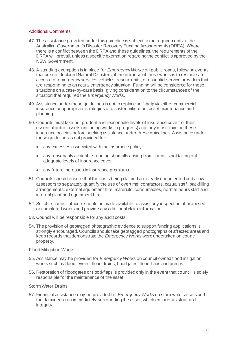## Additional Comments

- 47. The assistance provided under this guideline is subject to the requirements of the Australian Government's Disaster Recovery Funding Arrangements (DRFA). Where there is a conflict between the DRFA and these guidelines, the requirements of the DRFA will prevail, unless a specific exemption regarding the conflict is approved by the NSW Government.
- 48. A standing exemption is in place for *Emergency Works* on public roads, following events that are not declared Natural Disasters, if the purpose of these works is to restore safe access for emergency services vehicles, rescue units, or essential service providers that are responding to an actual emergency situation. Funding will be considered for these situations on a case-by-case basis, giving consideration to the circumstances of the situation that required the *Emergency Works*.
- 49. Assistance under these guidelines is not to replace self-help via either commercial insurance or appropriate strategies of disaster mitigation, asset maintenance and planning.
- 50. Councils must take out prudent and reasonable levels of insurance cover for their essential public assets (including works in progress) and they must claim on these insurance policies before seeking assistance under these guidelines. Assistance under these guidelines is not provided for:
	- any excesses associated with the insurance policy
	- any reasonably avoidable funding shortfalls arising from councils not taking out adequate levels of insurance cover
	- any future increases in insurance premiums.
- 51. Councils should ensure that the costs being claimed are clearly documented and allow assessors to separately quantify the use of overtime, contractors, casual staff, backfilling arrangements, external equipment hire, materials, consumables, normal-hours staff and internal plant and equipment hire.
- 52. Suitable council officers should be made available to assist any inspection of proposed or completed works and provide any additional claim information.
- 53. Council will be responsible for any audit costs.
- 54. The provision of geotagged photographic evidence to support funding applications is strongly encouraged. Councils should take geotagged photographs of affected areas and keep records that demonstrate the *Emergency Works* were undertaken on council property.

### Flood Mitigation Works

- 55. Assistance may be provided for *Emergency Works* on council-owned flood mitigation works such as flood levees, flood drains, floodgates, flood-flaps and pumps.
- 56. Restoration of floodgates or flood-flaps is provided only in the event that council is solely responsible for the maintenance of the asset.

### Storm Water Drains

57. Financial assistance may be provided for *Emergency Works* on stormwater assets and the damaged area immediately surrounding the asset, which ensures its structural integrity.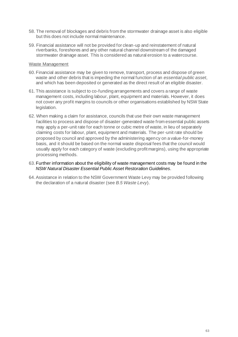- 58. The removal of blockages and debris from the stormwater drainage asset is also eligible but this does not include normal maintenance.
- 59. Financial assistance will not be provided for clean-up and reinstatement of natural riverbanks, foreshores and any other natural channel downstream of the damaged stormwater drainage asset. This is considered as natural erosion to a watercourse.

### Waste Management

- 60. Financial assistance may be given to remove, transport, process and dispose of green waste and other debris that is impeding the normal function of an *essential public asset*, and which has been deposited or generated as the direct result of an eligible disaster.
- 61. This assistance is subject to co-funding arrangements and covers a range of waste management costs, including labour, plant, equipment and materials. However, it does not cover any profit margins to councils or other organisations established by NSW State legislation.
- 62. When making a claim for assistance, councils that use their own waste management facilities to process and dispose of disaster-generated waste from essential public assets may apply a per-unit rate for each tonne or cubic metre of waste, in lieu of separately claiming costs for labour, plant, equipment and materials. The per-unit rate should be proposed by council and approved by the administering agency on a value-for-money basis, and it should be based on the normal waste disposal fees that the council would usually apply for each category of waste (excluding profit margins), using the appropriate processing methods.
- 63. Further information about the eligibility of waste management costs may be found in the *NSW Natural Disaster Essential Public Asset Restoration Guidelines*.
- 64.Assistance in relation to the NSW Government Waste Levy may be provided following the declaration of a natural disaster (see *B.5 Waste Levy*).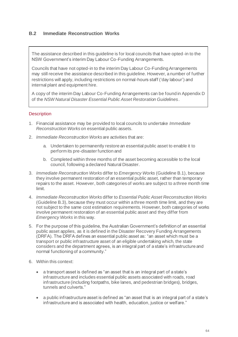# **B.2 Immediate Reconstruction Works**

The assistance described in this guideline is for local councils that have opted-in to the NSW Government's interim Day Labour Co-Funding Arrangements.

Councils that have not opted-in to the interim Day Labour Co-Funding Arrangements may still receive the assistance described in this guideline. However, a number of further restrictions will apply, including restrictions on normal-hours staff ('day labour') and internal plant and equipment hire.

A copy of the interim Day Labour Co-Funding Arrangements can be found in Appendix D of the *NSW Natural Disaster Essential Public Asset Restoration Guidelines*.

## **Description**

- 1. Financial assistance may be provided to local councils to undertake *Immediate Reconstruction Works* on essential public assets.
- 2. *Immediate Reconstruction Works* are activities that are:
	- a. Undertaken to permanently restore an essential public asset to enable it to perform its pre-disaster function and
	- b. Completed within three months of the asset becoming accessible to the local council, following a declared Natural Disaster.
- 3. *Immediate Reconstruction Works* differ to *Emergency Works* (Guideline B.1), because they involve permanent restoration of an essential public asset, rather than temporary repairs to the asset. However, both categories of works are subject to a three month time limit.
- 4. *Immediate Reconstruction Works* differ to *Essential Public Asset Reconstruction Works* (Guideline B.3), because they must occur within a three month time limit, and they are not subject to the same cost estimation requirements. However, both categories of works involve permanent restoration of an essential public asset and they differ from *Emergency Works* in this way.
- 5. For the purpose of this guideline, the Australian Government's definition of an essential public asset applies, as it is defined in the Disaster Recovery Funding Arrangements (DRFA). The DRFA defines an essential public asset as: "an asset which must be a transport or public infrastructure asset of an eligible undertaking which, the state considers and the department agrees, is an integral part of a state's infrastructure and normal functioning of a community."
- 6. Within this context:
	- a transport asset is defined as "an asset that is an integral part of a state's infrastructure and includes essential public assets associated with roads, road infrastructure (including footpaths, bike lanes, and pedestrian bridges), bridges, tunnels and culverts."
	- a public infrastructure asset is defined as "an asset that is an integral part of a state's infrastructure and is associated with health, education, justice or welfare."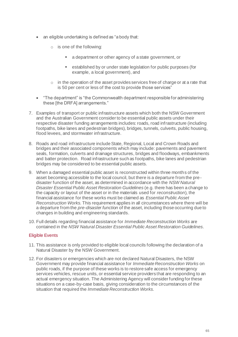- an eligible undertaking is defined as "a body that:
	- o is one of the following:
		- a department or other agency of a state government, or
		- established by or under state legislation for public purposes (for example, a local government), and
	- $\circ$  in the operation of the asset provides services free of charge or at a rate that is 50 per cent or less of the cost to provide those services"
- "The department" is "the Commonwealth department responsible for administering these [the DRFA] arrangements."
- 7. Examples of transport or public infrastructure assets which both the NSW Government and the Australian Government consider to be essential public assets under their respective disaster funding arrangements includes: roads, road infrastructure (including footpaths, bike lanes and pedestrian bridges), bridges, tunnels, culverts, public housing, flood levees, and stormwater infrastructure.
- 8. Roads and road infrastructure include State, Regional, Local and Crown Roads and bridges and their associated components which may include: pavements and pavement seals, formation, culverts and drainage structures, bridges and floodways, embankments and batter protection. Road infrastructure such as footpaths, bike lanes and pedestrian bridges may be considered to be essential public assets.
- 9. When a damaged essential public asset is reconstructed within three months of the asset becoming accessible to the local council, but there is a departure from the predisaster function of the asset, as determined in accordance with the *NSW Natural Disaster Essential Public Asset Restoration Guidelines* (e.g. there has been a change to the capacity or layout of the asset or in the materials used for *reconstruction*), the financial assistance for these works must be claimed as *Essential Public Asset Reconstruction Works*. This requirement applies in all circumstances where there will be a departure from the *pre-disaster function* of the asset, including those occurring due to changes in building and engineering standards.
- 10. Full details regarding financial assistance for *Immediate Reconstruction Works* are contained in the *NSW Natural Disaster Essential Public Asset Restoration Guidelines*.

# Eligible Events

- 11. This assistance is only provided to eligible local councils following the declaration of a Natural Disaster by the NSW Government.
- 12. For disasters or emergencies which are not declared Natural Disasters, the NSW Government may provide financial assistance for *Immediate Reconstruction Works* on public roads, if the purpose of these works is to restore safe access for emergency services vehicles, rescue units, or essential service providers that are responding to an actual emergency situation. The Administering Agency will consider funding for these situations on a case-by-case basis, giving consideration to the circumstances of the situation that required the *Immediate Reconstruction Works*.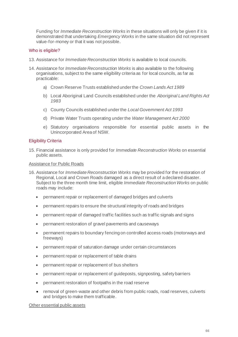Funding for *Immediate Reconstruction Works* in these situations will only be given if it is demonstrated that undertaking *Emergency Works* in the same situation did not represent value-for-money or that it was not possible.

## Who is eligible?

- 13. Assistance for *Immediate Reconstruction Works* is available to local councils.
- 14. Assistance for *Immediate Reconstruction Works* is also available to the following organisations, subject to the same eligibility criteria as for local councils, as far as practicable:
	- a) Crown Reserve Trusts established under the *Crown Lands Act 1989*
	- b) Local Aboriginal Land Councils established under the *Aboriginal Land Rights Act 1983*
	- c) County Councils established under the *Local Government Act 1993*
	- d) Private Water Trusts operating under the *Water Management Act 2000*
	- e) Statutory organisations responsible for essential public assets in the Unincorporated Area of NSW.

### Eligibility Criteria

15. Financial assistance is only provided for *Immediate Reconstruction Works* on essential public assets.

### Assistance for Public Roads

- 16. Assistance for *Immediate Reconstruction Works* may be provided for the restoration of Regional, Local and Crown Roads damaged as a direct result of a declared disaster. Subject to the three month time limit, eligible *Immediate Reconstruction Works* on public roads may include:
	- permanent repair or replacement of damaged bridges and culverts
	- permanent repairs to ensure the structural integrity of roads and bridges
	- permanent repair of damaged traffic facilities such as traffic signals and signs
	- permanent restoration of gravel pavements and causeways
	- permanent repairs to boundary fencing on controlled access roads (motorways and freeways)
	- permanent repair of saturation damage under certain circumstances
	- permanent repair or replacement of table drains
	- permanent repair or replacement of bus shelters
	- permanent repair or replacement of guideposts, signposting, safety barriers
	- permanent restoration of footpaths in the road reserve
	- removal of green-waste and other debris from public roads, road reserves, culverts and bridges to make them trafficable.

Other essential public assets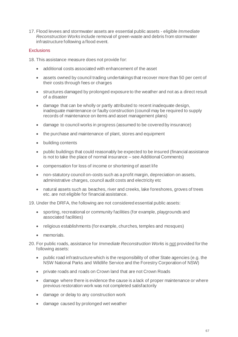17. Flood levees and stormwater assets are essential public assets - eligible *Immediate Reconstruction Works* include removal of green-waste and debris from stormwater infrastructure following a flood event.

## **Exclusions**

18. This assistance measure does not provide for:

- additional costs associated with enhancement of the asset
- assets owned by council trading undertakings that recover more than 50 per cent of their costs through fees or charges
- structures damaged by prolonged exposure to the weather and not as a direct result of a disaster
- damage that can be wholly or partly attributed to recent inadequate design, inadequate maintenance or faulty construction (council may be required to supply records of maintenance on items and asset management plans)
- damage to council works in progress (assumed to be covered by insurance)
- the purchase and maintenance of plant, stores and equipment
- building contents
- public buildings that could reasonably be expected to be insured (financial assistance is not to take the place of normal insurance – see Additional Comments)
- compensation for loss of income or shortening of asset life
- non-statutory council on-costs such as a profit margin, depreciation on assets, administrative charges, council audit costs and electricity etc
- natural assets such as beaches, river and creeks, lake foreshores, groves of trees etc. are not eligible for financial assistance.
- 19. Under the DRFA, the following are not considered essential public assets:
	- sporting, recreational or community facilities (for example, playgrounds and associated facilities)
	- religious establishments (for example, churches, temples and mosques)
	- memorials.
- 20. For public roads, assistance for *Immediate Reconstruction Works* is not provided for the following assets:
	- public road infrastructure which is the responsibility of other State agencies (e.g. the NSW National Parks and Wildlife Service and the Forestry Corporation of NSW)
	- private roads and roads on Crown land that are not Crown Roads
	- damage where there is evidence the cause is a lack of proper maintenance or where previous restoration work was not completed satisfactorily
	- damage or delay to any construction work
	- damage caused by prolonged wet weather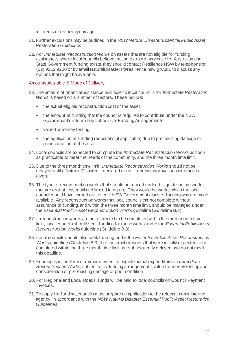- items of recurring damage.
- 21. Further exclusions may be outlined in the *NSW Natural Disaster Essential Public Asset Restoration Guidelines*.
- 22. For *Immediate Reconstruction Works* on assets that are not eligible for funding assistance, where local councils believe that an extraordinary case for Australian and State Government funding exists, they should contact Resilience NSW by telephone on (02) 9212 9200 or by emai[l NaturalDisasters@resilience.nsw.gov.au](mailto:NaturalDisasters@resilience.nsw.gov.au), to discuss any options that might be available.

### Amounts Available & Mode of Delivery

- 23. The amount of financial assistance available to local councils for *Immediate Restoration Works* is based on a number of factors. These include:
	- the actual eligible reconstruction cost of the asset
	- the amount of funding that the council is required to contribute under the NSW Government's interim Day Labour Co-Funding Arrangements
	- value for money testing
	- the application of funding reductions (if applicable) due to pre-existing damage or poor condition of the asset.
- 24. Local councils are expected to complete the *Immediate Reconstruction Works* as soon as practicable to meet the needs of the community, and the three month time limit.
- 25. Due to the three month time limit, *Immediate Reconstruction Works* should not be delayed until a Natural Disaster is declared or until funding approval or assurance is given.
- 26. The type of reconstruction works that should be funded under this guideline are works that are urgent, essential and limited in nature. They would be works which the local council would have carried out, even if NSW Government disaster funding was not made available. Any reconstruction works that local councils cannot complete without assurance of funding, and within the three month time limit, should be managed under the *Essential Public Asset Reconstruction Works* guideline (Guideline B.3).
- 27. If reconstruction works are not expected to be completed within the three month time limit, local councils should seek funding for these works under the *Essential Public Asset Reconstruction Works* guideline (Guideline B.3).
- 28. Local councils should also seek funding under the *Essential Public Asset Reconstruction Works* guideline (Guideline B.3) if reconstruction works that were initially expected to be completed within the three month time limit are subsequently delayed and do not meet this deadline.
- 29. Funding is in the form of reimbursement of eligible actual expenditure on *Immediate Reconstruction Works*, subject to co-funding arrangements, value for money testing and consideration of pre-existing damage or poor condition.
- 30. For Regional and Local Roads, funds will be paid to local councils on Council Payment Invoices.
- 31. To apply for funding, councils must prepare an application to the relevant administering agency, in accordance with the *NSW Natural Disaster Essential Public Asset Restoration Guidelines*.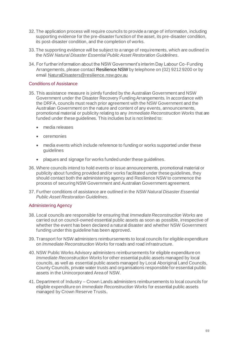- 32. The application process will require councils to provide a range of information, including supporting evidence for the pre-disaster function of the asset, its pre-disaster condition, its post-disaster condition, and the completion of works.
- 33. The supporting evidence will be subject to a range of requirements, which are outlined in the *NSW Natural Disaster Essential Public Asset Restoration Guidelines*.
- 34. For further information about the NSW Government's interim Day Labour Co-Funding Arrangements, please contact Resilience NSW by telephone on (02) 9212 9200 or by email NaturalDisasters@resilience.nsw.gov.au

### Conditions of Assistance

- 35. This assistance measure is jointly funded by the Australian Government and NSW Government under the Disaster Recovery Funding Arrangements. In accordance with the DRFA, councils must reach prior agreement with the NSW Government and the Australian Government on the nature and content of any events, announcements, promotional material or publicity relating to any *Immediate Reconstruction Works* that are funded under these guidelines. This includes but is not limited to:
	- media releases
	- ceremonies
	- media events which include reference to funding or works supported under these guidelines
	- plaques and signage for works funded under these guidelines.
- 36. Where councils intend to hold events or issue announcements, promotional material or publicity about funding provided and/or works facilitated under these guidelines, they should contact both the administering agency and Resilience NSW to commence the process of securing NSW Government and Australian Government agreement.
- 37. Further conditions of assistance are outlined in the *NSW Natural Disaster Essential Public Asset Restoration Guidelines*.

### Administering Agency

- 38. Local councils are responsible for ensuring that *Immediate Reconstruction Works* are carried out on council-owned essential public assets as soon as possible, irrespective of whether the event has been declared a natural disaster and whether NSW Government funding under this guideline has been approved.
- 39. Transport for NSW administers reimbursements to local councils for eligible expenditure on *Immediate Reconstruction Works* for roads and road infrastructure.
- 40. NSW Public Works Advisory administers reimbursements for eligible expenditure on *Immediate Reconstruction Works* for other essential public assets managed by local councils, as well as essential public assets managed by Local Aboriginal Land Councils, County Councils, private water trusts and organisations responsible for essential public assets in the Unincorporated Area of NSW.
- 41. Department of Industry Crown Lands administers reimbursements to local councils for eligible expenditure on *Immediate Reconstruction Works* for essential public assets managed by Crown Reserve Trusts.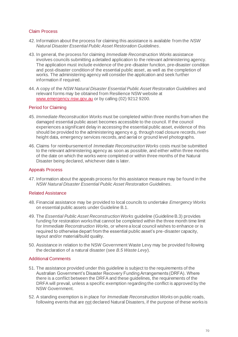### Claim Process

- 42. Information about the process for claiming this assistance is available from the *NSW Natural Disaster Essential Public Asset Restoration Guidelines*.
- 43. In general, the process for claiming *Immediate Reconstruction Works* assistance involves councils submitting a detailed application to the relevant administering agency. The application must include evidence of the pre-disaster function, pre-disaster condition and post-disaster condition of the essential public asset, as well as the completion of works. The administering agency will consider the application and seek further information if required.
- 44. A copy of the *NSW Natural Disaster Essential Public Asset Restoration Guidelines* and relevant forms may be obtained from Resilience NSW website at [www.emergency.nsw.gov.au](http://www.emergency.nsw.gov.au/) or by calling (02) 9212 9200.

### Period for Claiming

- 45. *Immediate Reconstruction Works* must be completed within three months from when the damaged essential public asset becomes accessible to the council. If the council experiences a significant delay in accessing the essential public asset, evidence of this should be provided to the administering agency e.g. through road closure records, river height data, emergency services records, and aerial or ground level photographs.
- 46. Claims for reimbursement of *Immediate Reconstruction Works* costs must be submitted to the relevant administering agency as soon as possible, and either within three months of the date on which the works were completed or within three months of the Natural Disaster being declared, whichever date is later.

#### Appeals Process

47. Information about the appeals process for this assistance measure may be found in the *NSW Natural Disaster Essential Public Asset Restoration Guidelines*.

#### Related Assistance

- 48. Financial assistance may be provided to local councils to undertake *Emergency Works* on essential public assets under Guideline B.1.
- 49. The *Essential Public Asset Reconstruction Works* guideline (Guideline B.3) provides funding for restoration works that cannot be completed within the three month time limit for *Immediate Reconstruction Works*, or where a local council wishes to enhance or is required to otherwise depart from the essential public asset's pre-disaster capacity, layout and/or material/build quality.
- 50. Assistance in relation to the NSW Government Waste Levy may be provided following the declaration of a natural disaster (see *B.5 Waste Levy*).

### Additional Comments

- 51. The assistance provided under this guideline is subject to the requirements of the Australian Government's Disaster Recovery Funding Arrangements (DRFA). Where there is a conflict between the DRFA and these guidelines, the requirements of the DRFA will prevail, unless a specific exemption regarding the conflict is approved by the NSW Government.
- 52. A standing exemption is in place for *Immediate Reconstruction Works* on public roads, following events that are not declared Natural Disasters, if the purpose of these works is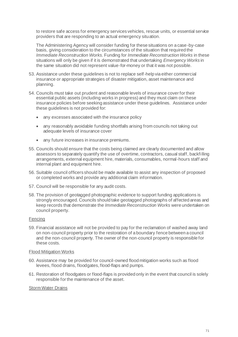to restore safe access for emergency services vehicles, rescue units, or essential service providers that are responding to an actual emergency situation.

The Administering Agency will consider funding for these situations on a case-by-case basis, giving consideration to the circumstances of the situation that required the *Immediate Reconstruction Works*. Funding for *Immediate Reconstruction Works* in these situations will only be given if it is demonstrated that undertaking *Emergency Works* in the same situation did not represent value-for-money or that it was not possible.

- 53. Assistance under these guidelines is not to replace self-help via either commercial insurance or appropriate strategies of disaster mitigation, asset maintenance and planning.
- 54. Councils must take out prudent and reasonable levels of insurance cover for their essential public assets (including works in progress) and they must claim on these insurance policies before seeking assistance under these guidelines. Assistance under these guidelines is not provided for:
	- any excesses associated with the insurance policy
	- any reasonably avoidable funding shortfalls arising from councils not taking out adequate levels of insurance cover
	- any future increases in insurance premiums.
- 55. Councils should ensure that the costs being claimed are clearly documented and allow assessors to separately quantify the use of overtime, contractors, casual staff, backfilling arrangements, external equipment hire, materials, consumables, normal-hours staff and internal plant and equipment hire.
- 56. Suitable council officers should be made available to assist any inspection of proposed or completed works and provide any additional claim information.
- 57. Council will be responsible for any audit costs.
- 58. The provision of geotagged photographic evidence to support funding applications is strongly encouraged. Councils should take geotagged photographs of affected areas and keep records that demonstrate the *Immediate Reconstruction Works* were undertaken on council property.

### Fencing

59. Financial assistance will not be provided to pay for the reclamation of washed away land on non-council property prior to the restoration of a boundary fence between a council and the non-council property. The owner of the non-council property is responsible for these costs.

#### Flood Mitigation Works

- 60. Assistance may be provided for council-owned flood mitigation works such as flood levees, flood drains, floodgates, flood-flaps and pumps.
- 61. Restoration of floodgates or flood-flaps is provided only in the event that council is solely responsible for the maintenance of the asset.

#### Storm Water Drains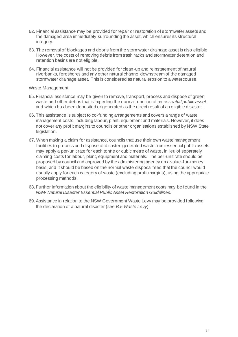- 62. Financial assistance may be provided for repair or restoration of stormwater assets and the damaged area immediately surrounding the asset, which ensures its structural integrity.
- 63. The removal of blockages and debris from the stormwater drainage asset is also eligible. However, the costs of removing debris from trash racks and stormwater detention and retention basins are not eligible.
- 64. Financial assistance will not be provided for clean-up and reinstatement of natural riverbanks, foreshores and any other natural channel downstream of the damaged stormwater drainage asset. This is considered as natural erosion to a watercourse.

### Waste Management

- 65. Financial assistance may be given to remove, transport, process and dispose of green waste and other debris that is impeding the normal function of an *essential public asset*, and which has been deposited or generated as the direct result of an eligible disaster.
- 66. This assistance is subject to co-funding arrangements and covers a range of waste management costs, including labour, plant, equipment and materials. However, it does not cover any profit margins to councils or other organisations established by NSW State legislation.
- 67. When making a claim for assistance, councils that use their own waste management facilities to process and dispose of disaster-generated waste from essential public assets may apply a per-unit rate for each tonne or cubic metre of waste, in lieu of separately claiming costs for labour, plant, equipment and materials. The per-unit rate should be proposed by council and approved by the administering agency on a value-for-money basis, and it should be based on the normal waste disposal fees that the council would usually apply for each category of waste (excluding profit margins), using the appropriate processing methods.
- 68. Further information about the eligibility of waste management costs may be found in the *NSW Natural Disaster Essential Public Asset Restoration Guidelines*.
- 69.Assistance in relation to the NSW Government Waste Levy may be provided following the declaration of a natural disaster (see *B.5 Waste Levy*).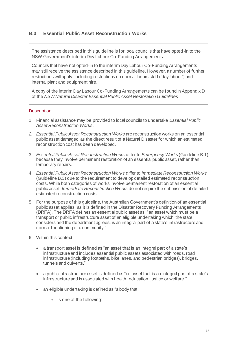# **B.3 Essential Public Asset Reconstruction Works**

The assistance described in this guideline is for local councils that have opted-in to the NSW Government's interim Day Labour Co-Funding Arrangements.

Councils that have not opted-in to the interim Day Labour Co-Funding Arrangements may still receive the assistance described in this guideline. However, a number of further restrictions will apply, including restrictions on normal-hours staff ('day labour') and internal plant and equipment hire.

A copy of the interim Day Labour Co-Funding Arrangements can be found in Appendix D of the *NSW Natural Disaster Essential Public Asset Restoration Guidelines*.

## **Description**

- 1. Financial assistance may be provided to local councils to undertake *Essential Public Asset Reconstruction Works*.
- *2. Essential Public Asset Reconstruction Works* are reconstruction works on an essential public asset damaged as the direct result of a Natural Disaster for which an estimated reconstruction cost has been developed.
- 3. *Essential Public Asset Reconstruction Works* differ to *Emergency Works* (Guideline B.1), because they involve permanent restoration of an essential public asset, rather than temporary repairs.
- 4. *Essential Public Asset Reconstruction Works* differ to *Immediate Reconstruction Works* (Guideline B.3) due to the requirement to develop detailed estimated reconstruction costs. While both categories of works involve permanent restoration of an essential public asset, *Immediate Reconstruction Works* do not require the submission of detailed estimated reconstruction costs.
- 5. For the purpose of this guideline, the Australian Government's definition of an essential public asset applies, as it is defined in the Disaster Recovery Funding Arrangements (DRFA). The DRFA defines an essential public asset as: "an asset which must be a transport or public infrastructure asset of an eligible undertaking which, the state considers and the department agrees, is an integral part of a state's infrastructure and normal functioning of a community."
- 6. Within this context:
	- a transport asset is defined as "an asset that is an integral part of a state's infrastructure and includes essential public assets associated with roads, road infrastructure (including footpaths, bike lanes, and pedestrian bridges), bridges, tunnels and culverts."
	- a public infrastructure asset is defined as "an asset that is an integral part of a state's infrastructure and is associated with health, education, justice or welfare."
	- an eligible undertaking is defined as "a body that:
		- o is one of the following: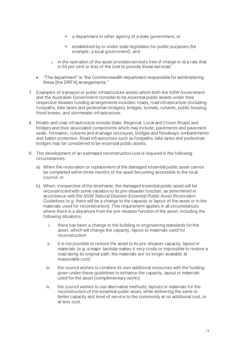- a department or other agency of a state government, or
- established by or under state legislation for public purposes (for example, a local government), and
- $\circ$  in the operation of the asset provides services free of charge or at a rate that is 50 per cent or less of the cost to provide those services"
- "The department" is "the Commonwealth department responsible for administering these [the DRFA] arrangements."
- 7. Examples of transport or public infrastructure assets which both the NSW Government and the Australian Government consider to be essential public assets under their respective disaster funding arrangements includes: roads, road infrastructure (including footpaths, bike lanes and pedestrian bridges), bridges, tunnels, culverts, public housing, flood levees, and stormwater infrastructure.
- 8. Roads and road infrastructure include State, Regional, Local and Crown Roads and bridges and their associated components which may include: pavements and pavement seals, formation, culverts and drainage structures, bridges and floodways, embankments and batter protection. Road infrastructure such as footpaths, bike lanes and pedestrian bridges may be considered to be essential public assets.
- 9. The development of an estimated reconstruction cost is required in the following circumstances:
	- a) When the restoration or replacement of the damaged essential public asset cannot be completed within three months of the asset becoming accessible to the local council, or
	- b) When, irrespective of the timeframe, the damaged essential public asset will be reconstructed with some variation to its pre-disaster function, as determined in accordance with the *NSW Natural Disaster Essential Public Asset Restoration Guidelines* (e.g. there will be a change to the capacity or layout of the asset or in the materials used for reconstruction). This requirement applies in all circumstances where there is a departure from the pre-disaster function of the asset, including the following situations:
		- i. there has been a change to the building or engineering standards for the asset, which will change the capacity, layout or materials used for reconstruction
		- ii. it is not possible to restore the asset to its pre-disaster capacity, layout or materials (e.g. a major landslip makes it very costly or impossible to restore a road along its original path; the materials are no longer available at reasonable cost)
		- iii. the council wishes to combine its own additional resources with the funding given under these guidelines to enhance the capacity, layout or materials used for the asset (complementary works)
		- iv. the council wishes to use alternative methods, layouts or materials for the reconstruction of the essential public asset, while delivering the same or better capacity and level of service to the community at no additional cost, or at less cost.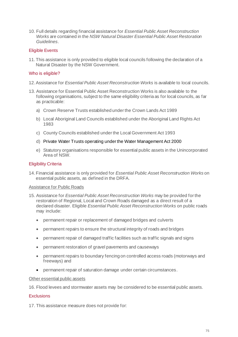10. Full details regarding financial assistance for *Essential Public Asset Reconstruction Works* are contained in the *NSW Natural Disaster Essential Public Asset Restoration Guidelines*.

#### Eligible Events

11. This assistance is only provided to eligible local councils following the declaration of a Natural Disaster by the NSW Government.

# Who is eligible?

- 12.Assistance for *Essential Public Asset Reconstruction Works* is available to local councils.
- 13. Assistance for Essential Public Asset Reconstruction Works is also available to the following organisations, subject to the same eligibility criteria as for local councils, as far as practicable:
	- a) Crown Reserve Trusts established under the Crown Lands Act 1989
	- b) Local Aboriginal Land Councils established under the Aboriginal Land Rights Act 1983
	- c) County Councils established under the Local Government Act 1993
	- d) Private Water Trusts operating under the Water Management Act 2000
	- e) Statutory organisations responsible for essential public assets in the Unincorporated Area of NSW.

# Eligibility Criteria

14. Financial assistance is only provided for *Essential Public Asset Reconstruction Works* on essential public assets, as defined in the DRFA.

#### Assistance for Public Roads

- 15. Assistance for *Essential Public Asset Reconstruction Works* may be provided for the restoration of Regional, Local and Crown Roads damaged as a direct result of a declared disaster. Eligible *Essential Public Asset Reconstruction Works* on public roads may include:
	- permanent repair or replacement of damaged bridges and culverts
	- permanent repairs to ensure the structural integrity of roads and bridges
	- permanent repair of damaged traffic facilities such as traffic signals and signs
	- permanent restoration of gravel pavements and causeways
	- permanent repairs to boundary fencing on controlled access roads (motorways and freeways) and
	- permanent repair of saturation damage under certain circumstances.

#### Other essential public assets

16. Flood levees and stormwater assets may be considered to be essential public assets.

### **Exclusions**

17. This assistance measure does not provide for: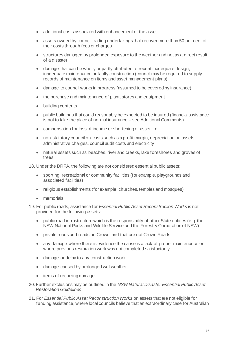- additional costs associated with enhancement of the asset
- assets owned by council trading undertakings that recover more than 50 per cent of their costs through fees or charges
- structures damaged by prolonged exposure to the weather and not as a direct result of a disaster
- damage that can be wholly or partly attributed to recent inadequate design, inadequate maintenance or faulty construction (council may be required to supply records of maintenance on items and asset management plans)
- damage to council works in progress (assumed to be covered by insurance)
- the purchase and maintenance of plant, stores and equipment
- building contents
- public buildings that could reasonably be expected to be insured (financial assistance is not to take the place of normal insurance – see Additional Comments)
- compensation for loss of income or shortening of asset life
- non-statutory council on-costs such as a profit margin, depreciation on assets, administrative charges, council audit costs and electricity
- natural assets such as beaches, river and creeks, lake foreshores and groves of trees.

18. Under the DRFA, the following are not considered essential public assets:

- sporting, recreational or community facilities (for example, playgrounds and associated facilities)
- religious establishments (for example, churches, temples and mosques)
- memorials.
- 19. For public roads, assistance for *Essential Public Asset Reconstruction Works* is not provided for the following assets:
	- public road infrastructure which is the responsibility of other State entities (e.g. the NSW National Parks and Wildlife Service and the Forestry Corporation of NSW)
	- private roads and roads on Crown land that are not Crown Roads
	- any damage where there is evidence the cause is a lack of proper maintenance or where previous restoration work was not completed satisfactorily
	- damage or delay to any construction work
	- damage caused by prolonged wet weather
	- items of recurring damage.
- 20. Further exclusions may be outlined in the *NSW Natural Disaster Essential Public Asset Restoration Guidelines*.
- 21. For *Essential Public Asset Reconstruction Works* on assets that are not eligible for funding assistance, where local councils believe that an extraordinary case for Australian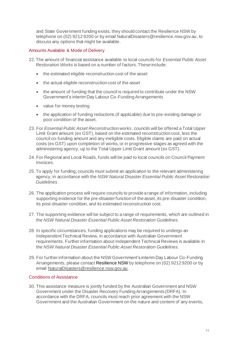and State Government funding exists, they should contact the Resilience NSW by telephone on (02) 9212 9200 or by emai[l NaturalDisasters@resilience.nsw.gov.au](mailto:NaturalDisasters@resilience.nsw.gov.au), to discuss any options that might be available.

## Amounts Available & Mode of Delivery

- 22. The amount of financial assistance available to local councils for *Essential Public Asset Restoration Works* is based on a number of factors. These include:
	- the estimated eligible reconstruction cost of the asset
	- the actual eligible reconstruction cost of the asset
	- the amount of funding that the council is required to contribute under the NSW Government's interim Day Labour Co-Funding Arrangements
	- value for money testing
	- the application of funding reductions (if applicable) due to pre-existing damage or poor condition of the asset.
- 23. For *Essential Public Asset Reconstruction works*, councils will be offered a Total Upper Limit Grant amount (ex GST), based on the estimated reconstruction cost, less the council co-funding amount and any ineligible costs. Eligible claims are paid on actual costs (ex GST) upon completion of works, or in progressive stages as agreed with the administering agency, up to the Total Upper Limit Grant amount (ex GST).
- 24. For Regional and Local Roads, funds will be paid to local councils on Council Payment Invoices.
- 25. To apply for funding, councils must submit an application to the relevant administering agency, in accordance with the *NSW Natural Disaster Essential Public Asset Restoration Guidelines*.
- 26. The application process will require councils to provide a range of information, including supporting evidence for the pre-disaster function of the asset, its pre-disaster condition, its post-disaster condition, and its estimated reconstruction cost.
- 27. The supporting evidence will be subject to a range of requirements, which are outlined in the *NSW Natural Disaster Essential Public Asset Restoration Guidelines*.
- 28. In specific circumstances, funding applications may be required to undergo an Independent Technical Review, in accordance with Australian Government requirements. Further information about Independent Technical Reviews is available in the *NSW Natural Disaster Essential Public Asset Restoration Guidelines*.
- 29. For further information about the NSW Government's interim Day Labour Co-Funding Arrangements, please contact Resilience NSW by telephone on (02) 9212 9200 or by email NaturalDisasters@resilience.nsw.gov.au.

#### Conditions of Assistance

30. This assistance measure is jointly funded by the Australian Government and NSW Government under the Disaster Recovery Funding Arrangements (DRFA). In accordance with the DRFA, councils must reach prior agreement with the NSW Government and the Australian Government on the nature and content of any events,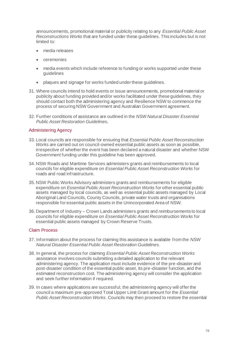announcements, promotional material or publicity relating to any *Essential Public Asset Reconstructions Works* that are funded under these guidelines. This includes but is not limited to:

- media releases
- **ceremonies**
- media events which include reference to funding or works supported under these guidelines
- plaques and signage for works funded under these guidelines.
- 31. Where councils intend to hold events or issue announcements, promotional material or publicity about funding provided and/or works facilitated under these guidelines, they should contact both the administering agency and Resilience NSW to commence the process of securing NSW Government and Australian Government agreement.
- 32. Further conditions of assistance are outlined in the *NSW Natural Disaster Essential Public Asset Restoration Guidelines.*

# Administering Agency

- 33. Local councils are responsible for ensuring that *Essential Public Asset Reconstruction Works* are carried out on council-owned essential public assets as soon as possible, irrespective of whether the event has been declared a natural disaster and whether NSW Government funding under this guideline has been approved.
- 34. NSW Roads and Maritime Services administers grants and reimbursements to local councils for eligible expenditure on *Essential Public Asset Reconstruction Works* for roads and road infrastructure.
- 35. NSW Public Works Advisory administers grants and reimbursements for eligible expenditure on *Essential Public Asset Reconstruction Works* for other essential public assets managed by local councils, as well as essential public assets managed by Local Aboriginal Land Councils, County Councils, private water trusts and organisations responsible for essential public assets in the Unincorporated Area of NSW.
- 36. Department of Industry Crown Lands administers grants and reimbursements to local councils for eligible expenditure on *Essential Public Asset Reconstruction Works* for essential public assets managed by Crown Reserve Trusts.

# Claim Process

- 37. Information about the process for claiming this assistance is available from the *NSW Natural Disaster Essential Public Asset Restoration Guidelines*.
- 38. In general, the process for claiming *Essential Public Asset Reconstruction Works*  assistance involves councils submitting a detailed application to the relevant administering agency. The application must include evidence of the pre-disaster and post-disaster condition of the essential public asset, its pre-disaster function, and the estimated reconstruction cost. The administering agency will consider the application and seek further information if required.
- 39. In cases where applications are successful, the administering agency will offer the council a maximum pre-approved Total Upper Limit Grant amount for the *Essential Public Asset Reconstruction Works*. Councils may then proceed to restore the essential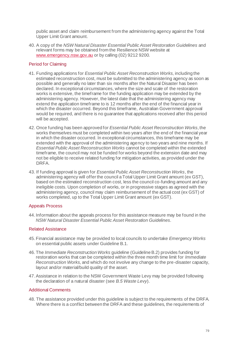public asset and claim reimbursement from the administering agency against the Total Upper Limit Grant amount.

40. A copy of the *NSW Natural Disaster Essential Public Asset Restoration Guidelines* and relevant forms may be obtained from the Resilience NSW website at [www.emergency.nsw.gov.au](http://www.emergency.nsw.gov.au/) or by calling (02) 9212 9200.

# Period for Claiming

- 41. Funding applications for *Essential Public Asset Reconstruction Works*, including the estimated reconstruction cost, must be submitted to the administering agency as soon as possible and generally no later than six months after the Natural Disaster has been declared. In exceptional circumstances, where the size and scale of the restoration works is extensive, the timeframe for the funding application may be extended by the administering agency. However, the latest date that the administering agency may extend the application timeframe to is 12 months after the end of the financial year in which the disaster occurred. Beyond this timeframe, Australian Government approval would be required, and there is no guarantee that applications received after this period will be accepted.
- 42. Once funding has been approved for *Essential Public Asset Reconstruction Works*, the works themselves must be completed within two years after the end of the financial year in which the disaster occurred. In exceptional circumstances, this timeframe may be extended with the approval of the administering agency to two years and nine months. If *Essential Public Asset Reconstruction Works* cannot be completed within the extended timeframe, the council may not be funded for works beyond the extension date and may not be eligible to receive related funding for mitigation activities, as provided under the DRFA.
- 43. If funding approval is given for *Essential Public Asset Reconstruction Works*, the administering agency will offer the council a Total Upper Limit Grant amount (ex GST), based on the estimated reconstruction cost, less the council co-funding amount and any ineligible costs. Upon completion of works, or in progressive stages as agreed with the administering agency, council may claim reimbursement of the actual cost (ex GST) of works completed, up to the Total Upper Limit Grant amount (ex GST).

#### Appeals Process

44. Information about the appeals process for this assistance measure may be found in the *NSW Natural Disaster Essential Public Asset Restoration Guidelines*.

#### Related Assistance

- 45. Financial assistance may be provided to local councils to undertake *Emergency Works* on essential public assets under Guideline B.1.
- 46. The *Immediate Reconstruction Works* guideline (Guideline B.2) provides funding for restoration works that can be completed within the three month time limit for *Immediate Reconstruction Works*, and which do not involve any change to the pre-disaster capacity, layout and/or material/build quality of the asset.
- 47.Assistance in relation to the NSW Government Waste Levy may be provided following the declaration of a natural disaster (see *B.5 Waste Levy*).

## Additional Comments

48. The assistance provided under this guideline is subject to the requirements of the DRFA. Where there is a conflict between the DRFA and these guidelines, the requirements of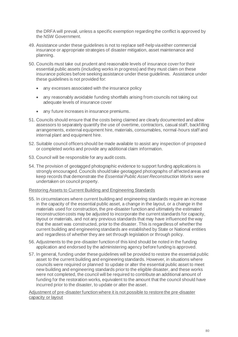the DRFA will prevail, unless a specific exemption regarding the conflict is approved by the NSW Government.

- 49. Assistance under these guidelines is not to replace self-help via either commercial insurance or appropriate strategies of disaster mitigation, asset maintenance and planning.
- 50. Councils must take out prudent and reasonable levels of insurance cover for their essential public assets (including works in progress) and they must claim on these insurance policies before seeking assistance under these guidelines. Assistance under these guidelines is not provided for:
	- any excesses associated with the insurance policy
	- any reasonably avoidable funding shortfalls arising from councils not taking out adequate levels of insurance cover
	- any future increases in insurance premiums.
- 51. Councils should ensure that the costs being claimed are clearly documented and allow assessors to separately quantify the use of overtime, contractors, casual staff, backfilling arrangements, external equipment hire, materials, consumables, normal-hours staff and internal plant and equipment hire.
- 52. Suitable council officers should be made available to assist any inspection of proposed or completed works and provide any additional claim information.
- 53. Council will be responsible for any audit costs.
- 54. The provision of geotagged photographic evidence to support funding applications is strongly encouraged. Councils should take geotagged photographs of affected areas and keep records that demonstrate the *Essential Public Asset Reconstruction Works* were undertaken on council property.

#### Restoring Assets to Current Building and Engineering Standards

- 55. In circumstances where current building and engineering standards require an increase in the capacity of the essential public asset, a change in the layout, or a change in the materials used for construction, the pre-disaster function and ultimately the estimated reconstruction costs may be adjusted to incorporate the current standards for capacity, layout or materials, and not any previous standards that may have influenced the way that the asset was constructed, prior to the disaster. This is regardless of whether the current building and engineering standards are established by State or National entities and regardless of whether they are set through legislation or through policy.
- 56. Adjustments to the pre-disaster function of this kind should be noted in the funding application and endorsed by the administering agency before funding is approved.
- 57. In general, funding under these guidelines will be provided to restore the essential public asset to the current building and engineering standards. However, in situations where councils were required or planned to update or alter the essential public asset to meet new building and engineering standards prior to the eligible disaster, and these works were not completed, the council will be required to contribute an additional amount of funding for the restoration works, equivalent to the amount that the council should have incurred prior to the disaster, to update or alter the asset.

Adjustment of pre-disaster function where it is not possible to restore the pre-disaster capacity or layout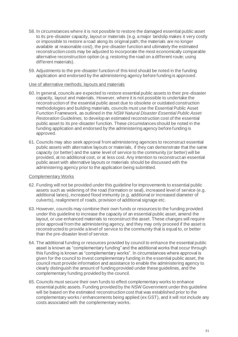- 58. In circumstances where it is not possible to restore the damaged essential public asset to its pre-disaster capacity, layout or materials (e.g. a major landslip makes it very costly or impossible to restore a road along its original path; the materials are no longer available at reasonable cost), the pre-disaster function and ultimately the estimated reconstruction costs may be adjusted to incorporate the most economically comparable alternative reconstruction option (e.g. restoring the road on a different route; using different materials).
- 59. Adjustments to the pre-disaster function of this kind should be noted in the funding application and endorsed by the administering agency before funding is approved.

#### Use of alternative methods, layouts and materials

- 60. In general, councils are expected to restore essential public assets to their pre-disaster capacity, layout and materials. However, where it is not possible to undertake the reconstruction of the essential public asset due to obsolete or outdated construction methodologies and building materials, councils must use the Essential Public Asset Function Framework, as outlined in the *NSW Natural Disaster Essential Public Asset Restoration Guidelines,* to develop an estimated reconstruction cost of the essential public asset to its pre-disaster function. These circumstances should be noted in the funding application and endorsed by the administering agency before funding is approved.
- 61. Councils may also seek approval from administering agencies to reconstruct essential public assets with alternative layouts or materials, if they can demonstrate that the same capacity (or better) and the same level of service to the community (or better) will be provided, at no additional cost, or at less cost. Any intention to reconstruct an essential public asset with alternative layouts or materials should be discussed with the administering agency prior to the application being submitted.

#### Complementary Works

- 62. Funding will not be provided under this guideline for improvements to essential public assets such as widening of the road (formation or seal), increased level of service (e.g. additional lanes), increased flood immunity (e.g. additional or increased diameter of culverts), realignment of roads, provision of additional signage etc.
- 63. However, councils may combine their own funds or resources to the funding provided under this guideline to increase the capacity of an essential public asset, amend the layout, or use enhanced materials to reconstruct the asset. These changes will require prior approval from the administering agency, and they may only proceed if the asset is reconstructed to provide a level of service to the community that is equal to, or better than the pre-disaster level of service.
- 64. The additional funding or resources provided by council to enhance the essential public asset is known as "complementary funding" and the additional works that occur through this funding is known as "complementary works". In circumstances where approval is given for the council to invest complementary funding in the essential public asset, the council must provide information and assistance to enable the administering agency to clearly distinguish the amount of funding provided under these guidelines, and the complementary funding provided by the council.
- 65. Councils must secure their own funds to effect complementary works to enhance essential public assets. Funding provided by the NSW Government under this guideline will be based on the estimated reconstruction cost that was established prior to the complementary works / enhancements being applied (ex GST), and it will not include any costs associated with the complementary works.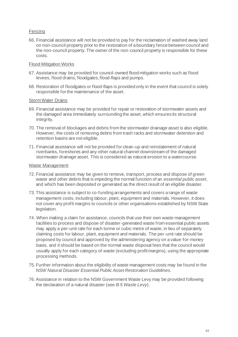# Fencing

66. Financial assistance will not be provided to pay for the reclamation of washed away land on non-council property prior to the restoration of a boundary fence between council and the non-council property. The owner of the non-council property is responsible for these costs.

#### Flood Mitigation Works

- 67. Assistance may be provided for council-owned flood mitigation works such as flood levees, flood drains, floodgates, flood-flaps and pumps.
- 68. Restoration of floodgates or flood-flaps is provided only in the event that council is solely responsible for the maintenance of the asset.

#### Storm Water Drains

- 69. Financial assistance may be provided for repair or restoration of stormwater assets and the damaged area immediately surrounding the asset, which ensures its structural integrity.
- 70. The removal of blockages and debris from the stormwater drainage asset is also eligible. However, the costs of removing debris from trash racks and stormwater detention and retention basins are not eligible.
- 71. Financial assistance will not be provided for clean-up and reinstatement of natural riverbanks, foreshores and any other natural channel downstream of the damaged stormwater drainage asset. This is considered as natural erosion to a watercourse.

#### Waste Management

- 72. Financial assistance may be given to remove, transport, process and dispose of green waste and other debris that is impeding the normal function of an *essential public asset*, and which has been deposited or generated as the direct result of an eligible disaster.
- 73. This assistance is subject to co-funding arrangements and covers a range of waste management costs, including labour, plant, equipment and materials. However, it does not cover any profit margins to councils or other organisations established by NSW State legislation.
- 74. When making a claim for assistance, councils that use their own waste management facilities to process and dispose of disaster-generated waste from essential public assets may apply a per-unit rate for each tonne or cubic metre of waste, in lieu of separately claiming costs for labour, plant, equipment and materials. The per-unit rate should be proposed by council and approved by the administering agency on a value-for-money basis, and it should be based on the normal waste disposal fees that the council would usually apply for each category of waste (excluding profit margins), using the appropriate processing methods.
- 75. Further information about the eligibility of waste management costs may be found in the *NSW Natural Disaster Essential Public Asset Restoration Guidelines*.
- 76.Assistance in relation to the NSW Government Waste Levy may be provided following the declaration of a natural disaster (see *B.5 Waste Levy*).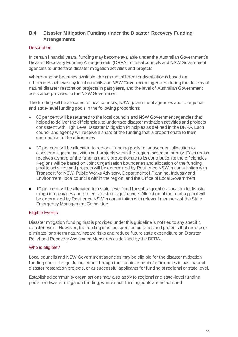# **B.4 Disaster Mitigation Funding under the Disaster Recovery Funding Arrangements**

# **Description**

In certain financial years, funding may become available under the Australian Government's Disaster Recovery Funding Arrangements (DRFA) for local councils and NSW Government agencies to undertake disaster mitigation activities and projects.

Where funding becomes available, the amount offered for distribution is based on efficiencies achieved by local councils and NSW Government agencies during the delivery of natural disaster restoration projects in past years, and the level of Australian Government assistance provided to the NSW Government.

The funding will be allocated to local councils, NSW government agencies and to regional and state-level funding pools in the following proportions:

- 60 per cent will be returned to the local councils and NSW Government agencies that helped to deliver the efficiencies, to undertake disaster mitigation activities and projects consistent with High Level Disaster Mitigation Principles as defined in the DRFA. Each council and agency will receive a share of the funding that is proportionate to their contribution to the efficiencies
- 30 per cent will be allocated to regional funding pools for subsequent allocation to disaster mitigation activities and projects within the region, based on priority. Each region receives a share of the funding that is proportionate to its contribution to the efficiencies. Regions will be based on Joint Organisation boundaries and allocation of the funding pool to activities and projects will be determined by Resilience NSW in consultation with Transport for NSW, Public Works Advisory, Department of Planning, Industry and Environment, local councils within the region, and the Office of Local Government
- 10 per cent will be allocated to a state-level fund for subsequent reallocation to disaster mitigation activities and projects of state significance. Allocation of the funding pool will be determined by Resilience NSW in consultation with relevant members of the State Emergency Management Committee.

# Eligible Events

Disaster mitigation funding that is provided under this guideline is not tied to any specific disaster event. However, the funding must be spent on activities and projects that reduce or eliminate long-term natural hazard risks and reduce future state expenditure on Disaster Relief and Recovery Assistance Measures as defined by the DFRA.

# Who is eligible?

Local councils and NSW Government agencies may be eligible for the disaster mitigation funding under this guideline, either through their achievement of efficiencies in past natural disaster restoration projects, or as successful applicants for funding at regional or state level.

Established community organisations may also apply to regional and state-level funding pools for disaster mitigation funding, where such funding pools are established.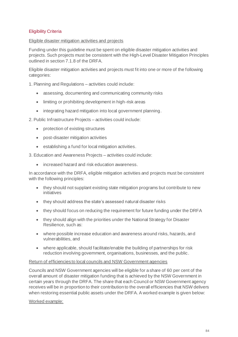# Eligibility Criteria

### Eligible disaster mitigation activities and projects

Funding under this guideline must be spent on eligible disaster mitigation activities and projects. Such projects must be consistent with the High-Level Disaster Mitigation Principles outlined in section 7.1.8 of the DRFA.

Eligible disaster mitigation activities and projects must fit into one or more of the following categories:

1. Planning and Regulations – activities could include:

- assessing, documenting and communicating community risks
- limiting or prohibiting development in high-risk areas
- integrating hazard mitigation into local government planning.

2. Public Infrastructure Projects – activities could include:

- protection of existing structures
- post-disaster mitigation activities
- establishing a fund for local mitigation activities.

3. Education and Awareness Projects – activities could include:

• increased hazard and risk education awareness.

In accordance with the DRFA, eligible mitigation activities and projects must be consistent with the following principles:

- they should not supplant existing state mitigation programs but contribute to new initiatives
- they should address the state's assessed natural disaster risks
- they should focus on reducing the requirement for future funding under the DRFA
- they should align with the priorities under the National Strategy for Disaster Resilience, such as:
- where possible increase education and awareness around risks, hazards, and vulnerabilities, and
- where applicable, should facilitate/enable the building of partnerships for risk reduction involving government, organisations, businesses, and the public.

#### Return of efficiencies to local councils and NSW Government agencies

Councils and NSW Government agencies will be eligible for a share of 60 per cent of the overall amount of disaster mitigation funding that is achieved by the NSW Government in certain years through the DRFA. The share that each Council or NSW Government agency receives will be in proportion to their contribution to the overall efficiencies that NSW delivers when restoring essential public assets under the DRFA. A worked example is given below:

#### Worked example: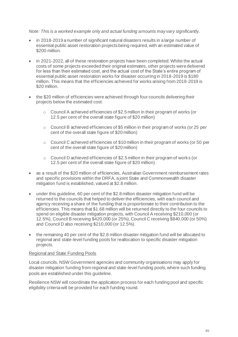#### *Note: This is a worked example only and actual funding amounts may vary significantly.*

- in 2018-2019 a number of significant natural disasters results in a large number of essential public asset restoration projects being required, with an estimated value of \$200 million.
- in 2021-2022, all of these restoration projects have been completed. Whilst the actual costs of some projects exceeded their original estimates, other projects were delivered for less than their estimated cost, and the actual cost of the State's entire program of essential public asset restoration works for disaster occurring in 2018-2019 is \$180 million. This means that the efficiencies achieved for works arising from 2018-2019 is \$20 million.
- the \$20 million of efficiencies were achieved through four councils delivering their projects below the estimated cost:
	- o Council A achieved efficiencies of \$2.5 million in their program of works (or 12.5 per cent of the overall state figure of \$20 million)
	- o Council B achieved efficiencies of \$5 million in their program of works (or 25 per cent of the overall state figure of \$20 million)
	- $\circ$  Council C achieved efficiencies of \$10 million in their program of works (or 50 per cent of the overall state figure of \$20 million)
	- o Council D achieved efficiencies of \$2.5 million in their program of works (or 12.5 per cent of the overall state figure of \$20 million).
- as a result of the \$20 million of efficiencies, Australian Government reimbursement rates and specific provisions within the DRFA, a joint State and Commonwealth disaster mitigation fund is established, valued at \$2.8 million.
- under this guideline, 60 per cent of the \$2.8 million disaster mitigation fund will be returned to the councils that helped to deliver the efficiencies, with each council and agency receiving a share of the funding that is proportionate to their contribution to the efficiencies. This means that \$1.68 million will be returned directly to the four councils to spend on eligible disaster mitigation projects, with Council A receiving \$210,000 (or 12.5%), Council B receiving \$420,000 (or 25%), Council C receiving \$840,000 (or 50%) and Council D also receiving \$210,000 (or 12.5%).
- the remaining 40 per cent of the \$2.8 million disaster mitigation fund will be allocated to regional and state-level funding pools for reallocation to specific disaster mitigation projects.

#### Regional and State Funding Pools

Local councils, NSW Government agencies and community organisations may apply for disaster mitigation funding from regional and state-level funding pools, where such funding pools are established under this guideline.

Resilience NSW will coordinate the application process for each funding pool and specific eligibility criteria will be provided for each funding round.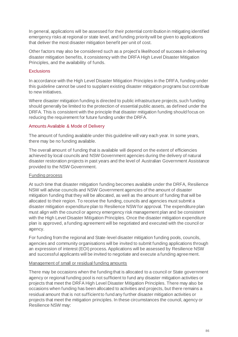In general, applications will be assessed for their potential contribution in mitigating identified emergency risks at regional or state level, and funding priority will be given to applications that deliver the most disaster mitigation benefit per unit of cost.

Other factors may also be considered such as a project's likelihood of success in delivering disaster mitigation benefits, it consistency with the DRFA High Level Disaster Mitigation Principles, and the availability of funds.

## **Exclusions**

In accordance with the High Level Disaster Mitigation Principles in the DRFA, funding under this guideline cannot be used to supplant existing disaster mitigation programs but contribute to new initiatives.

Where disaster mitigation funding is directed to public infrastructure projects, such funding should generally be limited to the protection of essential public assets, as defined under the DRFA. This is consistent with the principle that disaster mitigation funding should focus on reducing the requirement for future funding under the DRFA.

# Amounts Available & Mode of Delivery

The amount of funding available under this guideline will vary each year. In some years, there may be no funding available.

The overall amount of funding that is available will depend on the extent of efficiencies achieved by local councils and NSW Government agencies during the delivery of natural disaster restoration projects in past years and the level of Australian Government Assistance provided to the NSW Government.

# Funding process

At such time that disaster mitigation funding becomes available under the DRFA, Resilience NSW will advise councils and NSW Government agencies of the amount of disaster mitigation funding that they will be allocated, as well as the amount of funding that will be allocated to their region. To receive the funding, councils and agencies must submit a disaster mitigation expenditure plan to Resilience NSW for approval. The expenditure plan must align with the council or agency emergency risk management plan and be consistent with the High Level Disaster Mitigation Principles. Once the disaster mitigation expenditure plan is approved, a funding agreement will be negotiated and executed with the council or agency.

For funding from the regional and State-level disaster mitigation funding pools, councils, agencies and community organisations will be invited to submit funding applications through an expression of interest (EOI) process. Applications will be assessed by Resilience NSW and successful applicants will be invited to negotiate and execute a funding agreement.

#### Management of small or residual funding amounts

There may be occasions when the funding that is allocated to a council or State government agency or regional funding pool is not sufficient to fund any disaster mitigation activities or projects that meet the DRFA High Level Disaster Mitigation Principles. There may also be occasions when funding has been allocated to activities and projects, but there remains a residual amount that is not sufficient to fund any further disaster mitigation activities or projects that meet the mitigation principles. In these circumstances the council, agency or Resilience NSW may: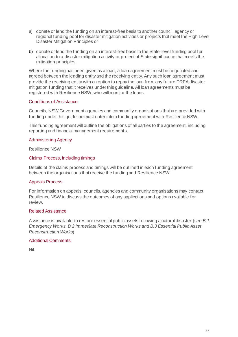- a) donate or lend the funding on an interest-free basis to another council, agency or regional funding pool for disaster mitigation activities or projects that meet the High Level Disaster Mitigation Principles or
- b) donate or lend the funding on an interest-free basis to the State-level funding pool for allocation to a disaster mitigation activity or project of State significance that meets the mitigation principles.

Where the funding has been given as a loan, a loan agreement must be negotiated and agreed between the lending entity and the receiving entity. Any such loan agreement must provide the receiving entity with an option to repay the loan from any future DRFA disaster mitigation funding that it receives under this guideline. All loan agreements must be registered with Resilience NSW, who will monitor the loans.

## Conditions of Assistance

Councils, NSW Government agencies and community organisations that are provided with funding under this guideline must enter into a funding agreement with Resilience NSW.

This funding agreement will outline the obligations of all parties to the agreement, including reporting and financial management requirements.

## Administering Agency

Resilience NSW

## Claims Process, including timings

Details of the claims process and timings will be outlined in each funding agreement between the organisations that receive the funding and Resilience NSW.

#### Appeals Process

For information on appeals, councils, agencies and community organisations may contact Resilience NSW to discuss the outcomes of any applications and options available for review.

### Related Assistance

Assistance is available to restore essential public assets following a natural disaster (see *B.1 Emergency Works, B.2 Immediate Reconstruction Works and B.3 Essential Public Asset Reconstruction Works*)

#### Additional Comments

Nil.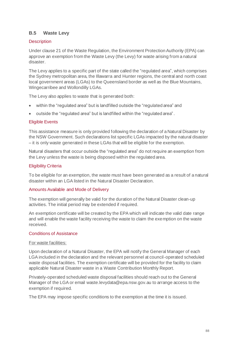# **B.5 Waste Levy**

# **Description**

Under clause 21 of the Waste Regulation, the Environment Protection Authority (EPA) can approve an exemption from the Waste Levy (the Levy) for waste arising from a natural disaster.

The Levy applies to a specific part of the state called the ["regulated area"](https://www.epa.nsw.gov.au/your-environment/waste/waste-levy/levy-regulated-area-and-levy-rates), which comprises the Sydney metropolitan area, the Illawarra and Hunter regions, the central and north coast local government areas (LGAs) to the Queensland border as well as the Blue Mountains, Wingecarribee and Wollondilly LGAs.

The Levy also applies to waste that is generated both:

- within the "regulated area" but is landfilled outside the "regulated area" and
- outside the "regulated area" but is landfilled within the "regulated area".

# Eligible Events

This assistance measure is only provided following the declaration of a Natural Disaster by the NSW Government. Such declarations list specific LGAs impacted by the natural disaster – it is only waste generated in these LGAs that will be eligible for the exemption.

Natural disasters that occur outside the "regulated area" do not require an exemption from the Levy unless the waste is being disposed within the regulated area.

# Eligibility Criteria

To be eligible for an exemption, the waste must have been generated as a result of a natural disaster within an LGA listed in the Natural Disaster Declaration.

#### Amounts Available and Mode of Delivery

The exemption will generally be valid for the duration of the Natural Disaster clean-up activities. The initial period may be extended if required.

An exemption certificate will be created by the EPA which will indicate the valid date range and will enable the waste facility receiving the waste to claim the exemption on the waste received.

#### Conditions of Assistance

#### For waste facilities:

Upon declaration of a Natural Disaster, the EPA will notify the General Manager of each LGA included in the declaration and the relevant personnel at council-operated scheduled waste disposal facilities. The exemption certificate will be provided for the facility to claim applicable Natural Disaster waste in a Waste Contribution Monthly Report.

Privately-operated scheduled waste disposal facilities should reach out to the General Manager of the LGA or email waste.levydata@epa.nsw.gov.au to arrange access to the exemption if required.

The EPA may impose specific conditions to the exemption at the time it is issued.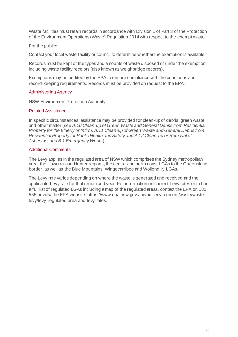Waste facilities must retain records in accordance with Division 1 of Part 3 of the Protection of the Environment Operations (Waste) Regulation 2014 with respect to the exempt waste.

### For the public:

Contact your local waste facility or council to determine whether the exemption is available.

Records must be kept of the types and amounts of waste disposed of under the exemption, including waste facility receipts (also known as weighbridge records).

Exemptions may be audited by the EPA to ensure compliance with the conditions and record-keeping requirements. Records must be provided on request to the EPA.

## Administering Agency

NSW Environment Protection Authority

#### Related Assistance

In specific circumstances, assistance may be provided for clean-up of debris, green waste and other matter (see *A.10 Clean-up of Green Waste and General Debris from Residential Property for the Elderly or Infirm, A.11 Clean-up of Green Waste and General Debris from Residential Property for Public Health and Safety and A.12 Clean-up or Removal of Asbestos, and B.1 Emergency Works*).

## Additional Comments

The Levy applies in the regulated area of NSW which comprises the Sydney metropolitan area, the Illawarra and Hunter regions, the central and north coast LGAs to the Queensland border, as well as the Blue Mountains, Wingecarribee and Wollondilly LGAs.

The Levy rate varies depending on where the waste is generated and received and the applicable Levy rate for that region and year. For information on current Levy rates or to find a full list of regulated LGAs including a map of the regulated areas, contact the EPA on 131 555 or view the EPA website: https://www.epa.nsw.gov.au/your-environment/waste/wastelevy/levy-regulated-area-and-levy-rates.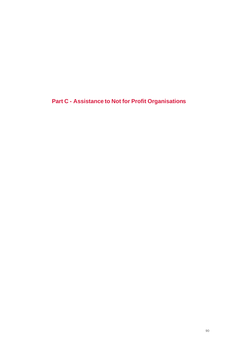**Part C - Assistance to Not for Profit Organisations**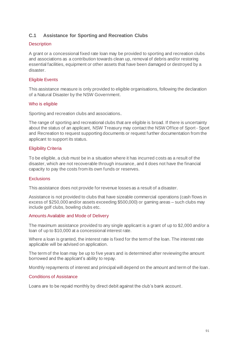# **C.1 Assistance for Sporting and Recreation Clubs**

# **Description**

A grant or a concessional fixed rate loan may be provided to sporting and recreation clubs and associations as a contribution towards clean up, removal of debris and/or restoring essential facilities, equipment or other assets that have been damaged or destroyed by a disaster.

# Eligible Events

This assistance measure is only provided to eligible organisations, following the declaration of a Natural Disaster by the NSW Government.

## Who is eligible

Sporting and recreation clubs and associations.

The range of sporting and recreational clubs that are eligible is broad. If there is uncertainty about the status of an applicant, NSW Treasury may contact the NSW Office of Sport - Sport and Recreation to request supporting documents or request further documentation from the applicant to support its status.

## Eligibility Criteria

To be eligible, a club must be in a situation where it has incurred costs as a result of the disaster, which are not recoverable through insurance, and it does not have the financial capacity to pay the costs from its own funds or reserves.

#### **Exclusions**

This assistance does not provide for revenue losses as a result of a disaster.

Assistance is not provided to clubs that have sizeable commercial operations (cash flows in excess of \$250,000 and/or assets exceeding \$500,000) or gaming areas – such clubs may include golf clubs, bowling clubs etc.

#### Amounts Available and Mode of Delivery

The maximum assistance provided to any single applicant is a grant of up to \$2,000 and/or a loan of up to \$10,000 at a concessional interest rate.

Where a loan is granted, the interest rate is fixed for the term of the loan. The interest rate applicable will be advised on application.

The term of the loan may be up to five years and is determined after reviewing the amount borrowed and the applicant's ability to repay.

Monthly repayments of interest and principal will depend on the amount and term of the loan.

#### Conditions of Assistance

Loans are to be repaid monthly by direct debit against the club's bank account.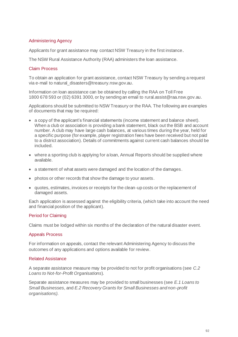# Administering Agency

Applicants for grant assistance may contact NSW Treasury in the first instance.

The NSW Rural Assistance Authority (RAA) administers the loan assistance.

#### Claim Process

To obtain an application for grant assistance, contact NSW Treasury by sending a request via e-mail to natural disasters@treasury.nsw.gov.au.

Information on loan assistance can be obtained by calling the RAA on Toll Free 1800 678 593 or (02) 6391 3000, or by sending an email to [rural.assist@raa.nsw.gov.au.](mailto:rural.assist@raa.nsw.gov.au)

Applications should be submitted to NSW Treasury or the RAA. The following are examples of documents that may be required:

- a copy of the applicant's financial statements (income statement and balance sheet). When a club or association is providing a bank statement, black out the BSB and account number. A club may have large cash balances, at various times during the year, held for a specific purpose (for example, player registration fees have been received but not paid to a district association). Details of commitments against current cash balances should be included.
- where a sporting club is applying for a loan, Annual Reports should be supplied where available.
- a statement of what assets were damaged and the location of the damages.
- photos or other records that show the damage to your assets.
- quotes, estimates, invoices or receipts for the clean-up costs or the replacement of damaged assets.

Each application is assessed against the eligibility criteria, (which take into account the need and financial position of the applicant).

#### Period for Claiming

Claims must be lodged within six months of the declaration of the natural disaster event.

#### Appeals Process

For information on appeals, contact the relevant Administering Agency to discuss the outcomes of any applications and options available for review.

#### Related Assistance

A separate assistance measure may be provided to not for profit organisations (see *C.2 Loans to Not-for-Profit Organisations*).

Separate assistance measures may be provided to small businesses (see *E.1 Loans to Small Businesses*, and *E.2 Recovery Grants for Small Businesses and non-profit organisations)*.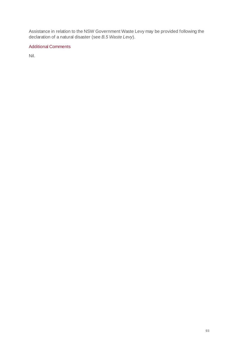Assistance in relation to the NSW Government Waste Levy may be provided following the declaration of a natural disaster (see *B.5 Waste Levy*).

# Additional Comments

Nil.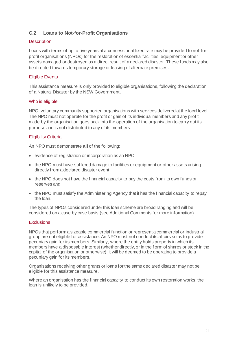# **C.2 Loans to Not-for-Profit Organisations**

# **Description**

Loans with terms of up to five years at a concessional fixed rate may be provided to not-forprofit organisations (NPOs) for the restoration of essential facilities, equipment or other assets damaged or destroyed as a direct result of a declared disaster. These funds may also be directed towards temporary storage or leasing of alternate premises.

# Eligible Events

This assistance measure is only provided to eligible organisations, following the declaration of a Natural Disaster by the NSW Government.

## Who is eligible

NPO, voluntary community supported organisations with services delivered at the local level. The NPO must not operate for the profit or gain of its individual members and any profit made by the organisation goes back into the operation of the organisation to carry out its purpose and is not distributed to any of its members.

# Eligibility Criteria

An NPO must demonstrate **all** of the following:

- evidence of registration or incorporation as an NPO
- the NPO must have suffered damage to facilities or equipment or other assets arising directly from a declared disaster event
- the NPO does not have the financial capacity to pay the costs from its own funds or reserves and
- the NPO must satisfy the Administering Agency that it has the financial capacity to repay the loan.

The types of NPOs considered under this loan scheme are broad ranging and will be considered on a case by case basis (see Additional Comments for more information).

#### **Exclusions**

NPOs that perform a sizeable commercial function or represent a commercial or industrial group are not eligible for assistance. An NPO must not conduct its affairs so as to provide pecuniary gain for its members. Similarly, where the entity holds property in which its members have a disposable interest (whether directly, or in the f orm of shares or stock in the capital of the organisation or otherwise), it will be deemed to be operating to provide a pecuniary gain for its members.

Organisations receiving other grants or loans for the same declared disaster may not be eligible for this assistance measure.

Where an organisation has the financial capacity to conduct its own restoration works, the loan is unlikely to be provided.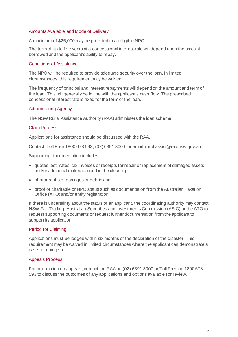### Amounts Available and Mode of Delivery

A maximum of \$25,000 may be provided to an eligible NPO.

The term of up to five years at a concessional interest rate will depend upon the amount borrowed and the applicant's ability to repay.

### Conditions of Assistance

The NPO will be required to provide adequate security over the loan. In limited circumstances, this requirement may be waived.

The frequency of principal and interest repayments will depend on the amount and term of the loan. This will generally be in line with the applicant's cash flow. The prescribed concessional interest rate is fixed for the term of the loan.

## Administering Agency

The NSW Rural Assistance Authority (RAA) administers the loan scheme.

## Claim Process

Applications for assistance should be discussed with the RAA.

Contact: Toll Free 1800 678 593, (02) 6391 3000, or email: rural.assist@raa.nsw.gov.au.

Supporting documentation includes:

- quotes, estimates, tax invoices or receipts for repair or replacement of damaged assets and/or additional materials used in the clean-up
- photographs of damages or debris and
- proof of charitable or NPO status such as documentation from the Australian Taxation Office (ATO) and/or entity registration.

If there is uncertainty about the status of an applicant, the coordinating authority may contact NSW Fair Trading, Australian Securities and Investments Commission (ASIC) or the ATO to request supporting documents or request further documentation from the applicant to support its application.

#### Period for Claiming

Applications must be lodged within six months of the declaration of the disaster. This requirement may be waived in limited circumstances where the applicant can demonstrate a case for doing so.

#### Appeals Process

For information on appeals, contact the RAA on (02) 6391 3000 or Toll Free on 1800 678 593 to discuss the outcomes of any applications and options available for review.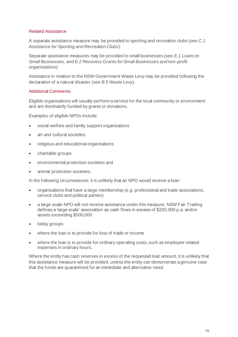### Related Assistance

A separate assistance measure may be provided to sporting and recreation clubs (see *C.1 Assistance for Sporting and Recreation Clubs*).

Separate assistance measures may be provided to small businesses (see *E.1 Loans to Small Businesses, and E.2 Recovery Grants for Small Businesses and non-profit organisations*).

Assistance in relation to the NSW Government Waste Levy may be provided following the declaration of a natural disaster (see *B.5 Waste Levy*).

## Additional Comments

Eligible organisations will usually perform a service for the local community or environment and are dominantly funded by grants or donations.

Examples of eligible NPOs include:

- social welfare and family support organisations
- art and cultural societies
- religious and educational organisations
- charitable groups
- environmental protection societies and
- animal protection societies.

In the following circumstances, it is unlikely that an NPO would receive a loan:

- organisations that have a large membership (e.g. professional and trade associations, service clubs and political parties)
- a large scale NPO will not receive assistance under this measure. NSW Fair Trading defines a 'large scale' association as cash flows in excess of \$250,000 p.a. and/or assets exceeding \$500,000
- lobby groups
- where the loan is to provide for loss of trade or income
- where the loan is to provide for ordinary operating costs, such as employee related expenses in ordinary hours.

Where the entity has cash reserves in excess of the requested loan amount, it is unlikely that this assistance measure will be provided, unless the entity can demonstrate a genuine case that the funds are quarantined for an immediate and alternative need.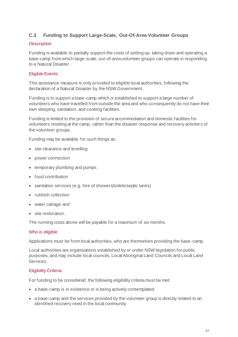# **C.3 Funding to Support Large-Scale, Out-Of-Area Volunteer Groups**

## **Description**

Funding is available to partially support the costs of setting up, taking down and operating a base-camp from which large-scale, out-of-area volunteer groups can operate in responding to a Natural Disaster.

# Eligible Events

This assistance measure is only provided to eligible local authorities, following the declaration of a Natural Disaster by the NSW Government.

Funding is to support a base-camp which is established to support a large number of volunteers who have travelled from outside the area and who consequently do not have their own sleeping, sanitation, and cooking facilities.

Funding is limited to the provision of secure accommodation and domestic facilities for volunteers residing at the camp, rather than the disaster response and recovery activities of the volunteer groups.

Funding may be available for such things as:

- site clearance and levelling
- power connection
- temporary plumbing and pumps
- food contribution
- sanitation services (e.g. hire of showers/toilets/septic tanks)
- rubbish collection
- water cartage and
- site restoration.

The running costs above will be payable for a maximum of six months.

# Who is eligible

Applications must be from local authorities, who are themselves providing the base-camp.

Local authorities are organisations established by or under NSW legislation for public purposes, and may include local councils, Local Aboriginal Land Councils and Local Land Services.

# Eligibility Criteria

For funding to be considered, the following eligibility criteria must be met:

- a base-camp is in existence or is being actively contemplated
- a base-camp and the services provided by the volunteer group is directly related to an identified recovery need in the local community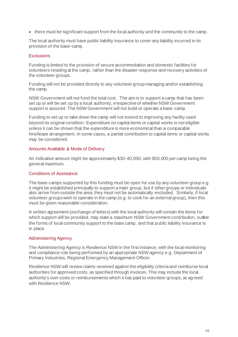• there must be significant support from the local authority and the community to the camp.

The local authority must have public liability insurance to cover any liability incurred in its provision of the base-camp.

## **Exclusions**

Funding is limited to the provision of secure accommodation and domestic facilities for volunteers residing at the camp, rather than the disaster response and recovery activities of the volunteer groups.

Funding will not be provided directly to any volunteer group managing and/or establishing the camp.

NSW Government will not fund the total cost. The aim is to support a camp that has been set up or will be set up by a local authority, irrespective of whether NSW Government support is assured. The NSW Government will not build or operate a base-camp.

Funding to set up or take down the camp will not extend to improving any facility used beyond its original condition. Expenditure on capital items or capital works is not eligible unless it can be shown that the expenditure is more economical than a comparable hire/lease arrangement. In some cases, a partial contribution to capital items or capital works may be considered.

## Amounts Available & Mode of Delivery

An indicative amount might be approximately \$30-40,000, with \$50,000 per camp being the general maximum.

# Conditions of Assistance

The base-camps supported by this funding must be open for use by any volunteer group e.g. it might be established principally to support a main group, but if other groups or individuals also arrive from outside the area, they must not be automatically excluded. Similarly, if local volunteer groups wish to operate in the camp (e.g. to cook for an external group), then this must be given reasonable consideration.

A written agreement (exchange of letters) with the local authority will contain the items for which support will be provided, may state a maximum NSW Government contribution, outline the forms of local community support to the base camp, and that public liability insurance is in place.

# Administering Agency

The Administering Agency is Resilience NSW in the first instance, with the local monitoring and compliance role being performed by an appropriate NSW agency e.g. Department of Primary Industries, Regional Emergency Management Officer.

Resilience NSW will review claims received against the eligibility criteria and reimburse local authorities for approved costs, as specified through invoices. This may include the local authority's own costs or reimbursements which it has paid to volunteer groups, as agreed with Resilience NSW.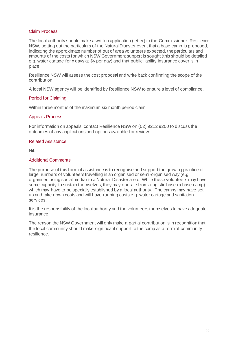#### Claim Process

The local authority should make a written application (letter) to the Commissioner, Resilience NSW, setting out the particulars of the Natural Disaster event that a base camp is proposed, indicating the approximate number of out of area volunteers expected, the particulars and amounts of the costs for which NSW Government support is sought (this should be detailed e.g. water cartage for x days at \$y per day) and that public liability insurance cover is in place.

Resilience NSW will assess the cost proposal and write back confirming the scope of the contribution.

A local NSW agency will be identified by Resilience NSW to ensure a level of compliance.

#### Period for Claiming

Within three months of the maximum six month period claim.

#### Appeals Process

For information on appeals, contact Resilience NSW on (02) 9212 9200 to discuss the outcomes of any applications and options available for review.

#### Related Assistance

Nil.

#### Additional Comments

The purpose of this form of assistance is to recognise and support the growing practice of large numbers of volunteers travelling in an organised or semi-organised way (e.g. organised using social media) to a Natural Disaster area. While these volunteers may have some capacity to sustain themselves, they may operate from a logistic base (a base camp) which may have to be specially established by a local authority. The camps may have set up and take down costs and will have running costs e.g. water cartage and sanitation services.

It is the responsibility of the local authority and the volunteers themselves to have adequate insurance.

The reason the NSW Government will only make a partial contribution is in recognition that the local community should make significant support to the camp as a form of community resilience.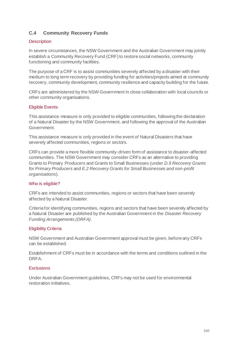# **C.4 Community Recovery Funds**

## **Description**

In severe circumstances, the NSW Government and the Australian Government may jointly establish a Community Recovery Fund (CRF) to restore social networks, community functioning and community facilities.

The purpose of a CRF is to assist communities severely affected by a disaster with their medium to long term recovery by providing funding for activities/projects aimed at community recovery, community development, community resilience and capacity building for the future.

CRFs are administered by the NSW Government in close collaboration with local councils or other community organisations.

## Eligible Events

This assistance measure is only provided to eligible communities, following the declaration of a Natural Disaster by the NSW Government, and following the approval of the Australian Government.

This assistance measure is only provided in the event of Natural Disasters that have severely affected communities, regions or sectors.

CRFs can provide a more flexible community-driven form of assistance to disaster-affected communities. The NSW Government may consider CRFs as an alternative to providing Grants to Primary Producers and Grants to Small Businesses (under *D.9 Recovery Grants for Primary Producers* and *E.2 Recovery Grants for Small Businesses and non-profit organisations*).

#### Who is eligible?

CRFs are intended to assist communities, regions or sectors that have been severely affected by a Natural Disaster.

Criteria for identifying communities, regions and sectors that have been severely affected by a Natural Disaster are published by the Australian Government in the *Disaster Recovery Funding Arrangements (DRFA)*.

#### Eligibility Criteria

NSW Government and Australian Government approval must be given, before any CRFs can be established.

Establishment of CRFs must be in accordance with the terms and conditions outlined in the DRFA.

#### **Exclusions**

Under Australian Government guidelines, CRFs may not be used for environmental restoration initiatives.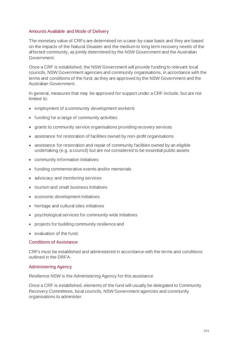### Amounts Available and Mode of Delivery

The monetary value of CRFs are determined on a case-by-case basis and they are based on the impacts of the Natural Disaster and the medium to long term recovery needs of the affected community, as jointly determined by the NSW Government and the Australian Government.

Once a CRF is established, the NSW Government will provide funding to relevant local councils, NSW Government agencies and community organisations, in accordance with the terms and conditions of the fund, as they are approved by the NSW Government and the Australian Government.

In general, measures that may be approved for support under a CRF include, but are not limited to:

- employment of a community development worker/s
- funding for a range of community activities
- grants to community service organisations providing recovery services
- assistance for restoration of facilities owned by non-profit organisations
- assistance for restoration and repair of community facilities owned by an eligible undertaking (e.g. a council) but are not considered to be essential public assets
- community information initiatives
- funding commemorative events and/or memorials
- advocacy and monitoring services
- tourism and small business initiatives
- economic development initiatives
- heritage and cultural sites initiatives
- psychological services for community wide initiatives
- projects for building community resilience and
- evaluation of the fund.

### Conditions of Assistance

CRFs must be established and administered in accordance with the terms and conditions outlined in the DRFA.

#### Administering Agency

Resilience NSW is the Administering Agency for this assistance

Once a CRF is established, elements of the fund will usually be delegated to Community Recovery Committees, local councils, NSW Government agencies and community organisations to administer.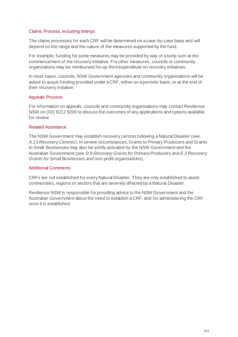#### Claims Process, including timings

The claims processes for each CRF will be determined on a case-by-case basis and will depend on the range and the nature of the measures supported by the fund.

For example, funding for some measures may be provided by way of a lump sum at the commencement of the recovery initiative. For other measures, councils or community organisations may be reimbursed for up-front expenditure on recovery initiatives.

In most cases, councils, NSW Government agencies and community organisations will be asked to acquit funding provided under a CRF, either on a periodic basis, or at the end of their recovery initiative.

#### Appeals Process

For information on appeals, councils and community organisations may contact Resilience NSW on (02) 9212 9200 to discuss the outcomes of any applications and options available for review.

#### Related Assistance

The NSW Government may establish recovery centres following a Natural Disaster (see *A.13 Recovery Centres*). In severe circumstances, Grants to Primary Producers and Grants to Small Businesses may also be jointly activated by the NSW Government and the Australian Government (see *D.9 Recovery Grants for Primary Producers* and *E.2 Recovery Grants for Small Businesses and non-profit organisations*).

#### Additional Comments

CRFs are not established for every Natural Disaster. They are only established to assist communities, regions or sectors that are severely affected by a Natural Disaster.

Resilience NSW is responsible for providing advice to the NSW Government and the Australian Government about the need to establish a CRF, and for administering the CRF once it is established.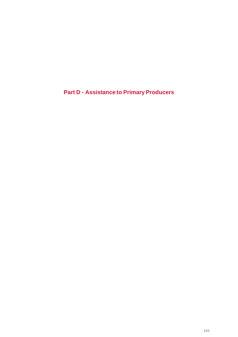**Part D - Assistance to Primary Producers**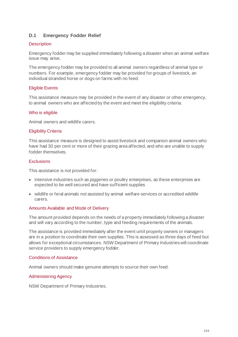# **D.1 Emergency Fodder Relief**

## **Description**

Emergency fodder may be supplied immediately following a disaster when an animal welfare issue may arise.

The emergency fodder may be provided to all animal owners regardless of animal type or numbers. For example, emergency fodder may be provided for groups of livestock, an individual stranded horse or dogs on farms with no feed.

# Eligible Events

This assistance measure may be provided in the event of any disaster or other emergency, to animal owners who are affected by the event and meet the eligibility criteria.

#### Who is eligible

Animal owners and wildlife carers.

#### Eligibility Criteria

This assistance measure is designed to assist livestock and companion animal owners who have had 30 per cent or more of their grazing area affected, and who are unable to supply fodder themselves.

#### Exclusions

This assistance is not provided for:

- intensive industries such as piggeries or poultry enterprises, as these enterprises are expected to be well secured and have sufficient supplies
- wildlife or feral animals not assisted by animal welfare services or accredited wildlife carers.

#### Amounts Available and Mode of Delivery

The amount provided depends on the needs of a property immediately following a disaster and will vary according to the number, type and feeding requirements of the animals.

The assistance is provided immediately after the event until property owners or managers are in a position to coordinate their own supplies. This is assessed as three days of feed but allows for exceptional circumstances. NSW Department of Primary Industries will coordinate service providers to supply emergency fodder.

#### Conditions of Assistance

Animal owners should make genuine attempts to source their own feed.

#### Administering Agency

NSW Department of Primary Industries.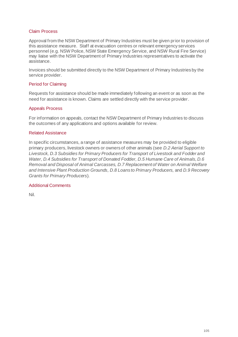#### Claim Process

Approval from the NSW Department of Primary Industries must be given prior to provision of this assistance measure. Staff at evacuation centres or relevant emergency services personnel (e.g. NSW Police, NSW State Emergency Service, and NSW Rural Fire Service) may liaise with the NSW Department of Primary Industries representatives to activate the assistance.

Invoices should be submitted directly to the NSW Department of Primary Industries by the service provider.

#### Period for Claiming

Requests for assistance should be made immediately following an event or as soon as the need for assistance is known. Claims are settled directly with the service provider.

#### Appeals Process

For information on appeals, contact the NSW Department of Primary Industries to discuss the outcomes of any applications and options available for review.

#### Related Assistance

In specific circumstances, a range of assistance measures may be provided to eligible primary producers, livestock owners or owners of other animals (see *D.2 Aerial Support to Livestock, D.3 Subsidies for Primary Producers for Transport of Livestock and Fodder and Water, D.4 Subsidies for Transport of Donated Fodder, D.5 Humane Care of Animals, D.6 Removal and Disposal of Animal Carcasses, D.7 Replacement of Water on Animal Welfare and Intensive Plant Production Grounds, D.8 Loans to Primary Producers,* and *D.9 Recovery Grants for Primary Producers*).

#### Additional Comments

Nil.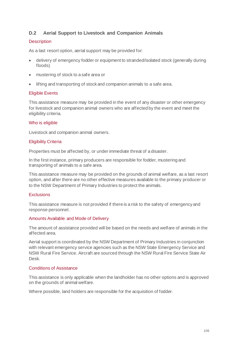# **D.2 Aerial Support to Livestock and Companion Animals**

## **Description**

As a last resort option, aerial support may be provided for:

- delivery of emergency fodder or equipment to stranded/isolated stock (generally during floods)
- mustering of stock to a safe area or
- lifting and transporting of stock and companion animals to a safe area.

#### Eligible Events

This assistance measure may be provided in the event of any disaster or other emergency for livestock and companion animal owners who are affected by the event and meet the eligibility criteria.

## Who is eligible

Livestock and companion animal owners.

#### Eligibility Criteria

Properties must be affected by, or under immediate threat of a disaster.

In the first instance, primary producers are responsible for fodder, mustering and transporting of animals to a safe area.

This assistance measure may be provided on the grounds of animal welfare, as a last resort option, and after there are no other effective measures available to the primary producer or to the NSW Department of Primary Industries to protect the animals.

#### **Exclusions**

This assistance measure is not provided if there is a risk to the safety of emergency and response personnel.

#### Amounts Available and Mode of Delivery

The amount of assistance provided will be based on the needs and welfare of animals in the affected area.

Aerial support is coordinated by the NSW Department of Primary Industries in conjunction with relevant emergency service agencies such as the NSW State Emergency Service and NSW Rural Fire Service. Aircraft are sourced through the NSW Rural Fire Service State Air Desk.

#### Conditions of Assistance

This assistance is only applicable when the landholder has no other options and is approved on the grounds of animal welfare.

Where possible, land holders are responsible for the acquisition of fodder.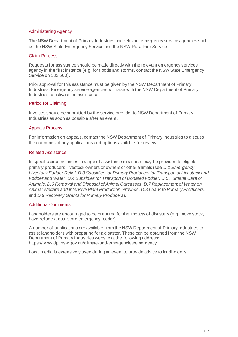### Administering Agency

The NSW Department of Primary Industries and relevant emergency service agencies such as the NSW State Emergency Service and the NSW Rural Fire Service.

## Claim Process

Requests for assistance should be made directly with the relevant emergency services agency in the first instance (e.g. for floods and storms, contact the NSW State Emergency Service on 132 500).

Prior approval for this assistance must be given by the NSW Department of Primary Industries. Emergency service agencies will liaise with the NSW Department of Primary Industries to activate the assistance.

# Period for Claiming

Invoices should be submitted by the service provider to NSW Department of Primary Industries as soon as possible after an event.

## Appeals Process

For information on appeals, contact the NSW Department of Primary Industries to discuss the outcomes of any applications and options available for review.

## Related Assistance

In specific circumstances, a range of assistance measures may be provided to eligible primary producers, livestock owners or owners of other animals (see *D.1 Emergency Livestock Fodder Relief, D.3 Subsidies for Primary Producers for Transport of Livestock and Fodder and Water, D.4 Subsidies for Transport of Donated Fodder, D.5 Humane Care of Animals, D.6 Removal and Disposal of Animal Carcasses, D.7 Replacement of Water on Animal Welfare and Intensive Plant Production Grounds, D.8 Loans to Primary Producers,*  and *D.9 Recovery Grants for Primary Producers*).

# Additional Comments

Landholders are encouraged to be prepared for the impacts of disasters (e.g. move stock, have refuge areas, store emergency fodder).

A number of publications are available from the NSW Department of Primary Industries to assist landholders with preparing for a disaster. These can be obtained from the NSW Department of Primary Industries website at the following address: https://www.dpi.nsw.gov.au/climate-and-emergencies/emergency.

Local media is extensively used during an event to provide advice to landholders.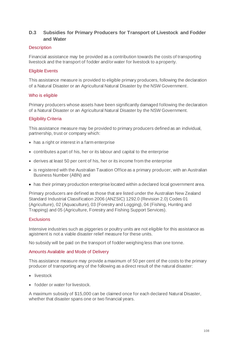# **D.3 Subsidies for Primary Producers for Transport of Livestock and Fodder and Water**

#### **Description**

Financial assistance may be provided as a contribution towards the costs of transporting livestock and the transport of fodder and/or water for livestock to a property.

### Eligible Events

This assistance measure is provided to eligible primary producers, following the declaration of a Natural Disaster or an Agricultural Natural Disaster by the NSW Government.

#### Who is eligible

Primary producers whose assets have been significantly damaged following the declaration of a Natural Disaster or an Agricultural Natural Disaster by the NSW Government.

#### Eligibility Criteria

This assistance measure may be provided to primary producers defined as an individual, partnership, trust or company which:

- has a right or interest in a farm enterprise
- contributes a part of his, her or its labour and capital to the enterprise
- derives at least 50 per cent of his, her or its income from the enterprise
- is registered with the Australian Taxation Office as a primary producer, with an Australian Business Number (ABN) and
- has their primary production enterprise located within a declared local government area.

Primary producers are defined as those that are listed under the Australian New Zealand Standard Industrial Classification 2006 (ANZSIC) 1292.0 (Revision 2.0) Codes 01 (Agriculture), 02 (Aquaculture), 03 (Forestry and Logging), 04 (Fishing, Hunting and Trapping) and 05 (Agriculture, Forestry and Fishing Support Services).

#### **Exclusions**

Intensive industries such as piggeries or poultry units are not eligible for this assistance as agistment is not a viable disaster relief measure for these units.

No subsidy will be paid on the transport of fodder weighing less than one tonne.

#### Amounts Available and Mode of Delivery

This assistance measure may provide a maximum of 50 per cent of the costs to the primary producer of transporting any of the following as a direct result of the natural disaster:

- livestock
- fodder or water for livestock.

A maximum subsidy of \$15,000 can be claimed once for each declared Natural Disaster, whether that disaster spans one or two financial years.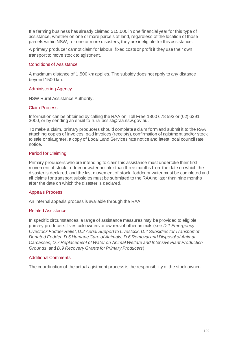If a farming business has already claimed \$15,000 in one financial year for this type of assistance, whether on one or more parcels of land, regardless of the location of those parcels within NSW, for one or more disasters, they are ineligible for this assistance.

A primary producer cannot claim for labour, fixed costs or profit if they use their own transport to move stock to agistment.

## Conditions of Assistance

A maximum distance of 1,500 km applies. The subsidy does not apply to any distance beyond 1500 km.

# Administering Agency

NSW Rural Assistance Authority.

#### Claim Process

Information can be obtained by calling the RAA on Toll Free 1800 678 593 or (02) 6391 3000, or by sending an email to rural.assist@raa.nsw.gov.au.

To make a claim, primary producers should complete a claim form and submit it to the RAA attaching copies of invoices, paid invoices (receipts), confirmation of agistment and/or stock to sale or slaughter, a copy of Local Land Services rate notice and latest local council rate notice.

#### Period for Claiming

Primary producers who are intending to claim this assistance must undertake their first movement of stock, fodder or water no later than three months from the date on which the disaster is declared, and the last movement of stock, fodder or water must be completed and all claims for transport subsidies must be submitted to the RAA no later than nine months after the date on which the disaster is declared.

#### Appeals Process

An internal appeals process is available through the RAA.

#### Related Assistance

In specific circumstances, a range of assistance measures may be provided to eligible primary producers, livestock owners or owners of other animals (see *D.1 Emergency Livestock Fodder Relief, D.2 Aerial Support to Livestock, D.4 Subsidies for Transport of Donated Fodder, D.5 Humane Care of Animals, D.6 Removal and Disposal of Animal Carcasses, D.7 Replacement of Water on Animal Welfare and Intensive Plant Production Grounds,* and *D.9 Recovery Grants for Primary Producers*).

#### Additional Comments

The coordination of the actual agistment process is the responsibility of the stock owner.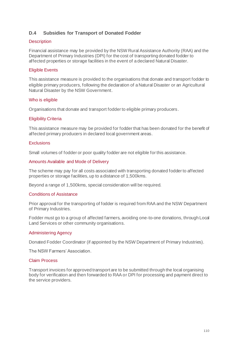# **D.4 Subsidies for Transport of Donated Fodder**

#### **Description**

Financial assistance may be provided by the NSW Rural Assistance Authority (RAA) and the Department of Primary Industries (DPI) for the cost of transporting donated fodder to affected properties or storage facilities in the event of a declared Natural Disaster.

## Eligible Events

This assistance measure is provided to the organisations that donate and transport fodder to eligible primary producers, following the declaration of a Natural Disaster or an Agricultural Natural Disaster by the NSW Government.

#### Who is eligible

Organisations that donate and transport fodder to eligible primary producers.

#### Eligibility Criteria

This assistance measure may be provided for fodder that has been donated for the benefit of affected primary producers in declared local government areas.

#### **Exclusions**

Small volumes of fodder or poor quality fodder are not eligible for this assistance.

#### Amounts Available and Mode of Delivery

The scheme may pay for all costs associated with transporting donated fodder to affected properties or storage facilities, up to a distance of 1,500kms.

Beyond a range of 1,500kms, special consideration will be required.

#### Conditions of Assistance

Prior approval for the transporting of fodder is required from RAA and the NSW Department of Primary Industries.

Fodder must go to a group of affected farmers, avoiding one-to-one donations, through Local Land Services or other community organisations.

#### Administering Agency

Donated Fodder Coordinator (if appointed by the NSW Department of Primary Industries).

The NSW Farmers' Association.

#### Claim Process

Transport invoices for approved transport are to be submitted through the local organising body for verification and then forwarded to RAA or DPI for processing and payment direct to the service providers.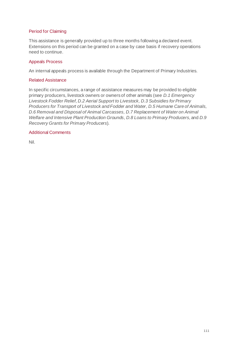# Period for Claiming

This assistance is generally provided up to three months following a declared event. Extensions on this period can be granted on a case by case basis if recovery operations need to continue.

#### Appeals Process

An internal appeals process is available through the Department of Primary Industries.

## Related Assistance

In specific circumstances, a range of assistance measures may be provided to eligible primary producers, livestock owners or owners of other animals (see *D.1 Emergency Livestock Fodder Relief, D.2 Aerial Support to Livestock, D.3 Subsidies for Primary Producers for Transport of Livestock and Fodder and Water, D.5 Humane Care of Animals, D.6 Removal and Disposal of Animal Carcasses, D.7 Replacement of Water on Animal Welfare and Intensive Plant Production Grounds, D.8 Loans to Primary Producers, and D.9 Recovery Grants for Primary Producers*).

# Additional Comments

Nil.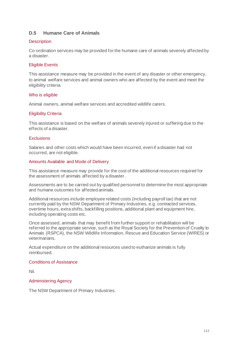# **D.5 Humane Care of Animals**

#### **Description**

Co-ordination services may be provided for the humane care of animals severely affected by a disaster.

# Eligible Events

This assistance measure may be provided in the event of any disaster or other emergency, to animal welfare services and animal owners who are affected by the event and meet the eligibility criteria.

# Who is eligible

Animal owners, animal welfare services and accredited wildlife carers.

# Eligibility Criteria

This assistance is based on the welfare of animals severely injured or suffering due to the effects of a disaster.

#### **Exclusions**

Salaries and other costs which would have been incurred, even if a disaster had not occurred, are not eligible.

#### Amounts Available and Mode of Delivery

This assistance measure may provide for the cost of the additional resources required for the assessment of animals affected by a disaster.

Assessments are to be carried out by qualified personnel to determine the most appropriate and humane outcomes for affected animals.

Additional resources include employee related costs (including payroll tax) that are not currently paid by the NSW Department of Primary Industries, e.g. contracted services, overtime hours, extra shifts, backfilling positions, additional plant and equipment hire, including operating costs etc.

Once assessed, animals that may benefit from further support or rehabilitation will be referred to the appropriate service, such as the Royal Society for the Prevention of Cruelty to Animals (RSPCA), the NSW Wildlife Information, Rescue and Education Service (WIRES) or veterinarians.

Actual expenditure on the additional resources used to euthanize animals is fully reimbursed.

#### Conditions of Assistance

Nil.

#### Administering Agency

The NSW Department of Primary Industries.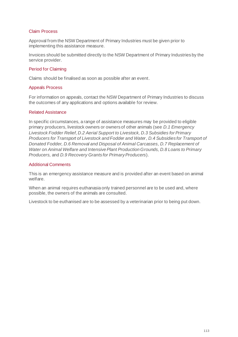#### Claim Process

Approval from the NSW Department of Primary Industries must be given prior to implementing this assistance measure.

Invoices should be submitted directly to the NSW Department of Primary Industries by the service provider.

#### Period for Claiming

Claims should be finalised as soon as possible after an event.

#### Appeals Process

For information on appeals, contact the NSW Department of Primary Industries to discuss the outcomes of any applications and options available for review.

#### Related Assistance

In specific circumstances, a range of assistance measures may be provided to eligible primary producers, livestock owners or owners of other animals (see *D.1 Emergency Livestock Fodder Relief, D.2 Aerial Support to Livestock, D.3 Subsidies for Primary Producers for Transport of Livestock and Fodder and Water, D.4 Subsidies for Transport of Donated Fodder, D.6 Removal and Disposal of Animal Carcasses, D.7 Replacement of Water on Animal Welfare and Intensive Plant Production Grounds, D.8 Loans to Primary Producers,* and *D.9 Recovery Grants for Primary Producers*).

#### Additional Comments

This is an emergency assistance measure and is provided after an event based on animal welfare.

When an animal requires euthanasia only trained personnel are to be used and, where possible, the owners of the animals are consulted.

Livestock to be euthanised are to be assessed by a veterinarian prior to being put down.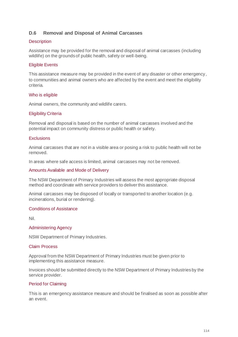# **D.6 Removal and Disposal of Animal Carcasses**

#### **Description**

Assistance may be provided for the removal and disposal of animal carcasses (including wildlife) on the grounds of public health, safety or well-being.

## Eligible Events

This assistance measure may be provided in the event of any disaster or other emergency, to communities and animal owners who are affected by the event and meet the eligibility criteria.

#### Who is eligible

Animal owners, the community and wildlife carers.

#### Eligibility Criteria

Removal and disposal is based on the number of animal carcasses involved and the potential impact on community distress or public health or safety.

#### **Exclusions**

Animal carcasses that are not in a visible area or posing a risk to public health will not be removed.

In areas where safe access is limited, animal carcasses may not be removed.

#### Amounts Available and Mode of Delivery

The NSW Department of Primary Industries will assess the most appropriate disposal method and coordinate with service providers to deliver this assistance.

Animal carcasses may be disposed of locally or transported to another location (e.g. incinerations, burial or rendering).

#### Conditions of Assistance

Nil.

#### Administering Agency

NSW Department of Primary Industries.

#### Claim Process

Approval from the NSW Department of Primary Industries must be given prior to implementing this assistance measure.

Invoices should be submitted directly to the NSW Department of Primary Industries by the service provider.

#### Period for Claiming

This is an emergency assistance measure and should be finalised as soon as possible after an event.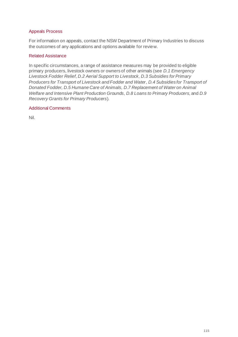# Appeals Process

For information on appeals, contact the NSW Department of Primary Industries to discuss the outcomes of any applications and options available for review.

# Related Assistance

In specific circumstances, a range of assistance measures may be provided to eligible primary producers, livestock owners or owners of other animals (see *D.1 Emergency Livestock Fodder Relief, D.2 Aerial Support to Livestock, D.3 Subsidies for Primary Producers for Transport of Livestock and Fodder and Water, D.4 Subsidies for Transport of Donated Fodder, D.5 Humane Care of Animals, D.7 Replacement of Water on Animal Welfare and Intensive Plant Production Grounds, D.8 Loans to Primary Producers, and D.9 Recovery Grants for Primary Producers*).

# Additional Comments

Nil.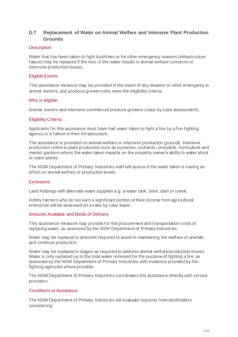# **D.7 Replacement of Water on Animal Welfare and Intensive Plant Production Grounds**

#### **Description**

Water that has been taken to fight bushfires or for other emergency reasons (infrastructure failure) may be replaced if the loss of the water results in animal welfare concerns or intensive production losses.

## Eligible Events

This assistance measure may be provided in the event of any disaster or other emergency to animal owners, and produce growers who meet the eligibility criteria.

#### Who is eligible

Animal owners and intensive commercial produce growers (case-by-case assessment).

# Eligibility Criteria

Applicants for this assistance must have had water taken to fight a fire by a fire-fighting agency or a failure in their infrastructure.

The assistance is provided on animal welfare or intensive production grounds. Intensive production refers to plant production such as nurseries, orchards, vineyards, horticulture and market gardens where the water taken impacts on the property owner's ability to water stock or water plants.

The NSW Department of Primary Industries staff will assess if the water taken is having an effect on animal welfare or production levels.

#### **Exclusions**

Land holdings with alternate water supplies e.g. a water tank, bore, dam or creek.

Hobby farmers who do not earn a significant portion of their income from agricultural enterprise will be assessed on a case by case basis.

#### Amounts Available and Mode of Delivery

This assistance measure may provide for the procurement and transportation costs of replacing water, as assessed by the NSW Department of Primary Industries.

Water may be replaced in amounts required to assist in maintaining the welfare of animals and continue production.

Water may be replaced in stages as required to address animal welfare/production losses. Water is only replaced up to the total water removed for the purpose of fighting a fire, as assessed by the NSW Department of Primary Industries with evidence provided by firefighting agencies where possible.

The NSW Department of Primary Industries coordinates this assistance directly with service providers.

#### Conditions of Assistance

The NSW Department of Primary Industries will evaluate requests from landholders considering: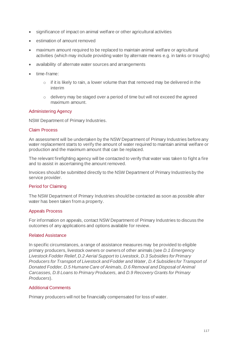- significance of impact on animal welfare or other agricultural activities
- estimation of amount removed
- maximum amount required to be replaced to maintain animal welfare or agricultural activities (which may include providing water by alternate means e.g. in tanks or troughs)
- availability of alternate water sources and arrangements
- time-frame:
	- $\circ$  if it is likely to rain, a lower volume than that removed may be delivered in the interim
	- o delivery may be staged over a period of time but will not exceed the agreed maximum amount.

#### Administering Agency

NSW Department of Primary Industries.

# Claim Process

An assessment will be undertaken by the NSW Department of Primary Industries before any water replacement starts to verify the amount of water required to maintain animal welfare or production and the maximum amount that can be replaced.

The relevant firefighting agency will be contacted to verify that water was taken to fight a fire and to assist in ascertaining the amount removed.

Invoices should be submitted directly to the NSW Department of Primary Industries by the service provider.

# Period for Claiming

The NSW Department of Primary Industries should be contacted as soon as possible after water has been taken from a property.

# Appeals Process

For information on appeals, contact NSW Department of Primary Industries to discuss the outcomes of any applications and options available for review.

#### Related Assistance

In specific circumstances, a range of assistance measures may be provided to eligible primary producers, livestock owners or owners of other animals (see *D.1 Emergency Livestock Fodder Relief, D.2 Aerial Support to Livestock, D.3 Subsidies for Primary Producers for Transport of Livestock and Fodder and Water, D.4 Subsidies for Transport of Donated Fodder, D.5 Humane Care of Animals, D.6 Removal and Disposal of Animal Carcasses, D.8 Loans to Primary Producers,* and *D.9 Recovery Grants for Primary Producers*).

# Additional Comments

Primary producers will not be financially compensated for loss of water.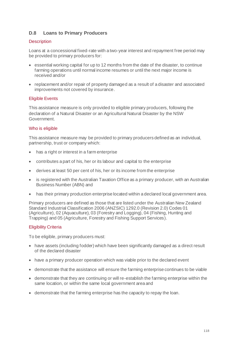# **D.8 Loans to Primary Producers**

## **Description**

Loans at a concessional fixed-rate with a two-year interest and repayment free period may be provided to primary producers for:

- essential working capital for up to 12 months from the date of the disaster, to continue farming operations until normal income resumes or until the next major income is received and/or
- replacement and/or repair of property damaged as a result of a disaster and associated improvements not covered by insurance.

# Eligible Events

This assistance measure is only provided to eligible primary producers, following the declaration of a Natural Disaster or an Agricultural Natural Disaster by the NSW Government.

# Who is eligible

This assistance measure may be provided to primary producers defined as an individual, partnership, trust or company which:

- has a right or interest in a farm enterprise
- contributes a part of his, her or its labour and capital to the enterprise
- derives at least 50 per cent of his, her or its income from the enterprise
- is registered with the Australian Taxation Office as a primary producer, with an Australian Business Number (ABN) and
- has their primary production enterprise located within a declared local government area.

Primary producers are defined as those that are listed under the Australian New Zealand Standard Industrial Classification 2006 (ANZSIC) 1292.0 (Revision 2.0) Codes 01 (Agriculture), 02 (Aquaculture), 03 (Forestry and Logging), 04 (Fishing, Hunting and Trapping) and 05 (Agriculture, Forestry and Fishing Support Services).

#### Eligibility Criteria

To be eligible, primary producers must:

- have assets (including fodder) which have been significantly damaged as a direct result of the declared disaster
- have a primary producer operation which was viable prior to the declared event
- demonstrate that the assistance will ensure the farming enterprise continues to be viable
- demonstrate that they are continuing or will re-establish the farming enterprise within the same location, or within the same local government area and
- demonstrate that the farming enterprise has the capacity to repay the loan.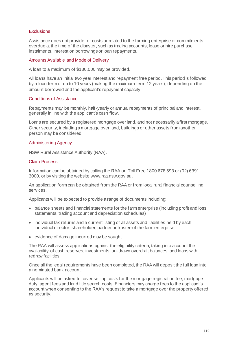# **Exclusions**

Assistance does not provide for costs unrelated to the farming enterprise or commitments overdue at the time of the disaster, such as trading accounts, lease or hire purchase instalments, interest on borrowings or loan repayments.

#### Amounts Available and Mode of Delivery

A loan to a maximum of \$130,000 may be provided.

All loans have an initial two year interest and repayment free period. This period is followed by a loan term of up to 10 years (making the maximum term 12 years), depending on the amount borrowed and the applicant's repayment capacity.

#### Conditions of Assistance

Repayments may be monthly, half-yearly or annual repayments of principal and interest, generally in line with the applicant's cash flow.

Loans are secured by a registered mortgage over land, and not necessarily a first mortgage. Other security, including a mortgage over land, buildings or other assets from another person may be considered.

#### Administering Agency

NSW Rural Assistance Authority (RAA).

#### Claim Process

Information can be obtained by calling the RAA on Toll Free 1800 678 593 or (02) 6391 3000, or by visiting the website www.raa.nsw.gov.au.

An application form can be obtained from the RAA or from local rural financial counselling services.

Applicants will be expected to provide a range of documents including:

- balance sheets and financial statements for the farm enterprise (including profit and loss statements, trading account and depreciation schedules)
- individual tax returns and a current listing of all assets and liabilities held by each individual director, shareholder, partner or trustee of the farm enterprise
- evidence of damage incurred may be sought.

The RAA will assess applications against the eligibility criteria, taking into account the availability of cash reserves, investments, un-drawn overdraft balances, and loans with redraw facilities.

Once all the legal requirements have been completed, the RAA will deposit the full loan into a nominated bank account.

Applicants will be asked to cover set-up costs for the mortgage registration fee, mortgage duty, agent fees and land title search costs. Financiers may charge fees to the applicant's account when consenting to the RAA's request to take a mortgage over the property offered as security.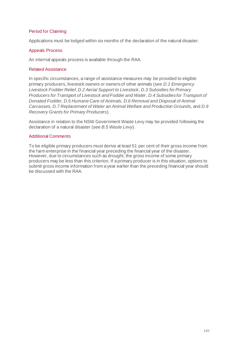# Period for Claiming

Applications must be lodged within six months of the declaration of the natural disaster.

#### Appeals Process

An internal appeals process is available through the RAA.

#### Related Assistance

In specific circumstances, a range of assistance measures may be provided to eligible primary producers, livestock owners or owners of other animals (see *D.1 Emergency Livestock Fodder Relief, D.2 Aerial Support to Livestock, D.3 Subsidies for Primary Producers for Transport of Livestock and Fodder and Water, D.4 Subsidies for Transport of Donated Fodder, D.5 Humane Care of Animals, D.6 Removal and Disposal of Animal Carcasses, D.7 Replacement of Water an Animal Welfare and Production Grounds,* and *D.9 Recovery Grants for Primary Producers*).

Assistance in relation to the NSW Government Waste Levy may be provided following the declaration of a natural disaster (see *B.5 Waste Levy*).

#### Additional Comments

To be eligible primary producers must derive at least 51 per cent of their gross income from the farm enterprise in the financial year preceding the financial year of the disaster. However, due to circumstances such as drought, the gross income of some primary producers may be less than this criterion. If a primary producer is in this situation, options to submit gross income information from a year earlier than the preceding financial year should be discussed with the RAA.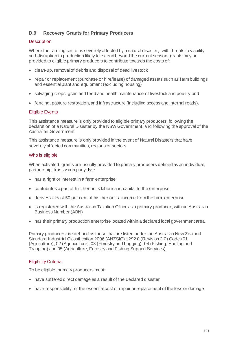# **D.9 Recovery Grants for Primary Producers**

# **Description**

Where the farming sector is severely affected by a natural disaster, with threats to viability and disruption to production likely to extend beyond the current season, grants may be provided to eligible primary producers to contribute towards the costs of:

- clean-up, removal of debris and disposal of dead livestock
- repair or replacement (purchase or hire/lease) of damaged assets such as farm buildings and essential plant and equipment (excluding housing)
- salvaging crops, grain and feed and health maintenance of livestock and poultry and
- fencing, pasture restoration, and infrastructure (including access and internal roads).

#### Eligible Events

This assistance measure is only provided to eligible primary producers, following the declaration of a Natural Disaster by the NSW Government, and following the approval of the Australian Government.

This assistance measure is only provided in the event of Natural Disasters that have severely affected communities, regions or sectors.

#### Who is eligible

When activated, grants are usually provided to primary producers defined as an individual, partnership, trust or company that:

- has a right or interest in a farm enterprise
- contributes a part of his, her or its labour and capital to the enterprise
- derives at least 50 per cent of his, her or its income from the farm enterprise
- is registered with the Australian Taxation Office as a primary producer, with an Australian Business Number (ABN)
- has their primary production enterprise located within a declared local government area.

Primary producers are defined as those that are listed under the Australian New Zealand Standard Industrial Classification 2006 (ANZSIC) 1292.0 (Revision 2.0) Codes 01 (Agriculture), 02 (Aquaculture), 03 (Forestry and Logging), 04 (Fishing, Hunting and Trapping) and 05 (Agriculture, Forestry and Fishing Support Services).

#### Eligibility Criteria

To be eligible, primary producers must:

- have suffered direct damage as a result of the declared disaster
- have responsibility for the essential cost of repair or replacement of the loss or damage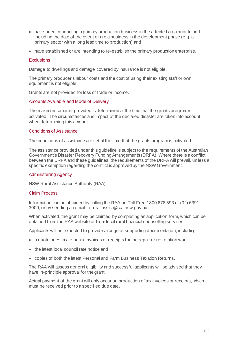- have been conducting a primary production business in the affected area prior to and including the date of the event or are a business in the development phase (e.g. a primary sector with a long lead time to production) and
- have established or are intending to re-establish the primary production enterprise.

#### **Exclusions**

Damage to dwellings and damage covered by insurance is not eligible.

The primary producer's labour costs and the cost of using their existing staff or own equipment is not eligible.

Grants are not provided for loss of trade or income.

#### Amounts Available and Mode of Delivery

The maximum amount provided is determined at the time that the grants program is activated. The circumstances and impact of the declared disaster are taken into account when determining this amount.

#### Conditions of Assistance

The conditions of assistance are set at the time that the grants program is activated.

The assistance provided under this guideline is subject to the requirements of the Australian Government's Disaster Recovery Funding Arrangements (DRFA). Where there is a conflict between the DRFA and these guidelines, the requirements of the DRFA will prevail, unless a specific exemption regarding the conflict is approved by the NSW Government.

#### Administering Agency

NSW Rural Assistance Authority (RAA).

#### Claim Process

Information can be obtained by calling the RAA on Toll Free 1800 678 593 or (02) 6391 3000, or by sending an email to rural.assist@raa.nsw.gov.au.

When activated, the grant may be claimed by completing an application form, which can be obtained from the RAA website or from local rural financial counselling services.

Applicants will be expected to provide a range of supporting documentation, including:

- a quote or estimate or tax invoices or receipts for the repair or restoration work
- the latest local council rate notice and
- copies of both the latest Personal and Farm Business Taxation Returns.

The RAA will assess general eligibility and successful applicants will be advised that they have in-principle approval for the grant.

Actual payment of the grant will only occur on production of tax invoices or receipts, which must be received prior to a specified due date.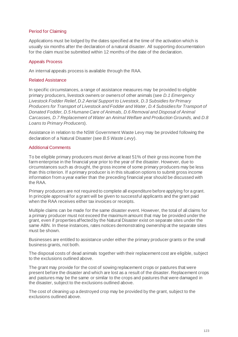# Period for Claiming

Applications must be lodged by the dates specified at the time of the activation which is usually six months after the declaration of a natural disaster. All supporting documentation for the claim must be submitted within 12 months of the date of the declaration.

## Appeals Process

An internal appeals process is available through the RAA.

## Related Assistance

In specific circumstances, a range of assistance measures may be provided to eligible primary producers, livestock owners or owners of other animals (see *D.1 Emergency Livestock Fodder Relief, D.2 Aerial Support to Livestock, D.3 Subsidies for Primary Producers for Transport of Livestock and Fodder and Water, D.4 Subsidies for Transport of Donated Fodder, D.5 Humane Care of Animals, D.6 Removal and Disposal of Animal Carcasses, D.7 Replacement of Water an Animal Welfare and Production Grounds,* and *D.8 Loans to Primary Producers*).

Assistance in relation to the NSW Government Waste Levy may be provided following the declaration of a Natural Disaster (see *B.5 Waste Levy*).

# Additional Comments

To be eligible primary producers must derive at least 51% of their gross income from the farm enterprise in the financial year prior to the year of the disaster. However, due to circumstances such as drought, the gross income of some primary producers may be less than this criterion. If a primary producer is in this situation options to submit gross income information from a year earlier than the preceding financial year should be discussed with the RAA.

Primary producers are not required to complete all expenditure before applying for a grant. In principle approval for a grant will be given to successful applicants and the grant paid when the RAA receives either tax invoices or receipts.

Multiple claims can be made for the same disaster event. However, the total of all claims for a primary producer must not exceed the maximum amount that may be provided under the grant, even if properties affected by the Natural Disaster exist on separate sites under the same ABN. In these instances, rates notices demonstrating ownership at the separate sites must be shown.

Businesses are entitled to assistance under either the primary producer grants or the small business grants, not both.

The disposal costs of dead animals together with their replacement cost are eligible, subject to the exclusions outlined above.

The grant may provide for the cost of sowing replacement crops or pastures that were present before the disaster and which are lost as a result of the disaster. Replacement crops and pastures may be the same or similar to the crops and pastures that were damaged in the disaster, subject to the exclusions outlined above.

The cost of cleaning up a destroyed crop may be provided by the grant, subject to the exclusions outlined above.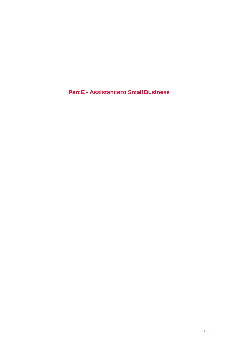**Part E - Assistance to Small Business**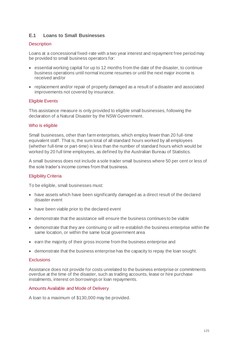# **E.1 Loans to Small Businesses**

#### **Description**

Loans at a concessional fixed-rate with a two year interest and repayment free period may be provided to small business operators for:

- essential working capital for up to 12 months from the date of the disaster, to continue business operations until normal income resumes or until the next major income is received and/or
- replacement and/or repair of property damaged as a result of a disaster and associated improvements not covered by insurance.

# Eligible Events

This assistance measure is only provided to eligible small businesses, following the declaration of a Natural Disaster by the NSW Government.

#### Who is eligible

Small businesses, other than farm enterprises, which employ fewer than 20 full-time equivalent staff. That is, the sum total of all standard hours worked by all employees (whether full-time or part-time) is less than the number of standard hours which would be worked by 20 full time employees, as defined by the Australian Bureau of Statistics.

A small business does not include a sole trader small business where 50 per cent or less of the sole trader's income comes from that business.

# Eligibility Criteria

To be eligible, small businesses must:

- have assets which have been significantly damaged as a direct result of the declared disaster event
- have been viable prior to the declared event
- demonstrate that the assistance will ensure the business continues to be viable
- demonstrate that they are continuing or will re-establish the business enterprise within the same location, or within the same local government area
- earn the majority of their gross income from the business enterprise and
- demonstrate that the business enterprise has the capacity to repay the loan sought.

#### **Exclusions**

Assistance does not provide for costs unrelated to the business enterprise or commitments overdue at the time of the disaster, such as trading accounts, lease or hire purchase instalments, interest on borrowings or loan repayments.

#### Amounts Available and Mode of Delivery

A loan to a maximum of \$130,000 may be provided.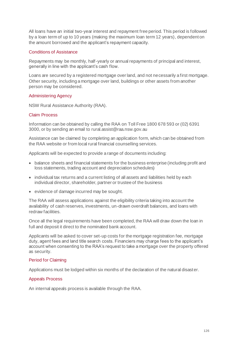All loans have an initial two-year interest and repayment free period. This period is followed by a loan term of up to 10 years (making the maximum loan term 12 years), dependent on the amount borrowed and the applicant's repayment capacity.

# Conditions of Assistance

Repayments may be monthly, half-yearly or annual repayments of principal and interest, generally in line with the applicant's cash flow.

Loans are secured by a registered mortgage over land, and not necessarily a first mortgage. Other security, including a mortgage over land, buildings or other assets from another person may be considered.

# Administering Agency

NSW Rural Assistance Authority (RAA).

#### Claim Process

Information can be obtained by calling the RAA on Toll Free 1800 678 593 or (02) 6391 3000, or by sending an email to rural.assist@raa.nsw.gov.au

Assistance can be claimed by completing an application form, which can be obtained from the RAA website or from local rural financial counselling services.

Applicants will be expected to provide a range of documents including:

- balance sheets and financial statements for the business enterprise (including profit and loss statements, trading account and depreciation schedules)
- individual tax returns and a current listing of all assets and liabilities held by each individual director, shareholder, partner or trustee of the business
- evidence of damage incurred may be sought.

The RAA will assess applications against the eligibility criteria taking into account the availability of cash reserves, investments, un-drawn overdraft balances, and loans with redraw facilities.

Once all the legal requirements have been completed, the RAA will draw down the loan in full and deposit it direct to the nominated bank account.

Applicants will be asked to cover set-up costs for the mortgage registration fee, mortgage duty, agent fees and land title search costs. Financiers may charge fees to the applicant's account when consenting to the RAA's request to take a mortgage over the property offered as security.

#### Period for Claiming

Applications must be lodged within six months of the declaration of the natural disaster.

#### Appeals Process

An internal appeals process is available through the RAA.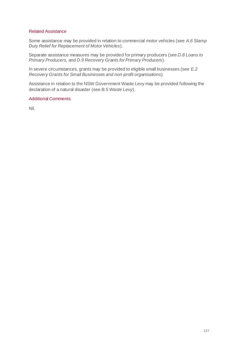#### Related Assistance

Some assistance may be provided in relation to commercial motor vehicles (see *A.6 Stamp Duty Relief for Replacement of Motor Vehicles*).

Separate assistance measures may be provided for primary producers (see *D.8 Loans to Primary Producers,* and *D.9 Recovery Grants for Primary Producers*).

In severe circumstances, grants may be provided to eligible small businesses (see *E.2 Recovery Grants for Small Businesses and non-profit organisations*).

Assistance in relation to the NSW Government Waste Levy may be provided following the declaration of a natural disaster (see *B.5 Waste Levy*).

# Additional Comments

Nil.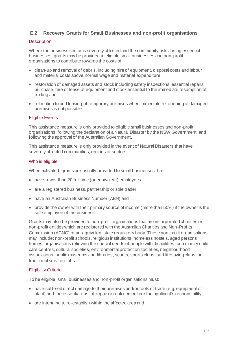# **E.2 Recovery Grants for Small Businesses and non-profit organisations**

## **Description**

Where the business sector is severely affected and the community risks losing essential businesses, grants may be provided to eligible small businesses and non-profit organisations to contribute towards the costs of:

- clean-up and removal of debris, including hire of equipment, disposal costs and labour and material costs above normal wage and material expenditure
- restoration of damaged assets and stock including safety inspections, essential repairs, purchase, hire or lease of equipment and stock essential to the immediate resumption of trading and
- relocation to and leasing of temporary premises when immediate re-opening of damaged premises is not possible.

# Eligible Events

This assistance measure is only provided to eligible small businesses and non-profit organisations, following the declaration of a Natural Disaster by the NSW Government, and following the approval of the Australian Government.

This assistance measure is only provided in the event of Natural Disasters that have severely affected communities, regions or sectors.

# Who is eligible

When activated, grants are usually provided to small businesses that:

- have fewer than 20 full time (or equivalent) employees
- are a registered business, partnership or sole trader
- have an Australian Business Number (ABN) and
- provide the owner with their primary source of income (more than 50%) if the owner is the sole employee of the business.

Grants may also be provided to non-profit organisations that are incorporated charities or non-profit entities which are registered with the Australian Charities and Non-Profits Commission (ACNC) or an equivalent state regulatory body. These non-profit organisations may include: non-profit schools, religious institutions, homeless hostels, aged persons homes, organisations relieving the special needs of people with disabilities, community child care centres, cultural societies, environmental protection societies, neighbourhood associations, public museums and libraries, scouts, sports clubs, surf lifesaving clubs, or traditional service clubs.

# Eligibility Criteria

To be eligible, small businesses and non-profit organisations must:

- have suffered direct damage to their premises and/or tools of trade (e.g. equipment or plant) and the essential cost of repair or replacement are the applicant's responsibility
- are intending to re-establish within the affected area and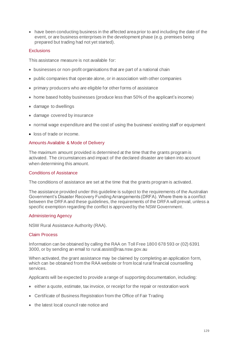• have been conducting business in the affected area prior to and including the date of the event, or are business enterprises in the development phase (e.g. premises being prepared but trading had not yet started).

# **Exclusions**

This assistance measure is not available for:

- businesses or non-profit organisations that are part of a national chain
- public companies that operate alone, or in association with other companies
- primary producers who are eligible for other forms of assistance
- home based hobby businesses (produce less than 50% of the applicant's income)
- damage to dwellings
- damage covered by insurance
- normal wage expenditure and the cost of using the business' existing staff or equipment
- loss of trade or income.

#### Amounts Available & Mode of Delivery

The maximum amount provided is determined at the time that the grants program is activated. The circumstances and impact of the declared disaster are taken into account when determining this amount.

#### Conditions of Assistance

The conditions of assistance are set at the time that the grants program is activated.

The assistance provided under this guideline is subject to the requirements of the Australian Government's Disaster Recovery Funding Arrangements (DRFA). Where there is a conflict between the DRFA and these guidelines, the requirements of the DRFA will prevail, unless a specific exemption regarding the conflict is approved by the NSW Government.

#### Administering Agency

NSW Rural Assistance Authority (RAA).

#### Claim Process

Information can be obtained by calling the RAA on Toll Free 1800 678 593 or (02) 6391 3000, or by sending an email to rural.assist@raa.nsw.gov.au

When activated, the grant assistance may be claimed by completing an application form, which can be obtained from the RAA website or from local rural financial counselling services.

Applicants will be expected to provide a range of supporting documentation, including:

- either a quote, estimate, tax invoice, or receipt for the repair or restoration work
- Certificate of Business Registration from the Office of Fair Trading
- the latest local council rate notice and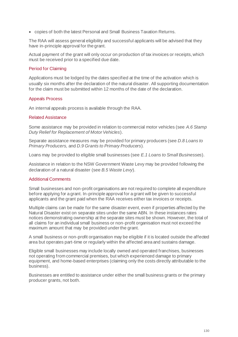• copies of both the latest Personal and Small Business Taxation Returns.

The RAA will assess general eligibility and successful applicants will be advised that they have in-principle approval for the grant.

Actual payment of the grant will only occur on production of tax invoices or receipts, which must be received prior to a specified due date.

#### Period for Claiming

Applications must be lodged by the dates specified at the time of the activation which is usually six months after the declaration of the natural disaster. All supporting documentation for the claim must be submitted within 12 months of the date of the declaration.

#### Appeals Process

An internal appeals process is available through the RAA.

#### Related Assistance

Some assistance may be provided in relation to commercial motor vehicles (see *A.6 Stamp Duty Relief for Replacement of Motor Vehicles*).

Separate assistance measures may be provided for primary producers (see *D.8 Loans to Primary Producers,* and *D.9 Grants to Primary Producers*).

Loans may be provided to eligible small businesses (see *E.1 Loans to Small Businesses*).

Assistance in relation to the NSW Government Waste Levy may be provided following the declaration of a natural disaster (see *B.5 Waste Levy*).

#### Additional Comments

Small businesses and non-profit organisations are not required to complete all expenditure before applying for a grant. In-principle approval for a grant will be given to successful applicants and the grant paid when the RAA receives either tax invoices or receipts.

Multiple claims can be made for the same disaster event, even if properties affected by the Natural Disaster exist on separate sites under the same ABN. In these instances rates notices demonstrating ownership at the separate sites must be shown. However, the total of all claims for an individual small business or non-profit organisation must not exceed the maximum amount that may be provided under the grant.

A small business or non-profit organisation may be eligible if it is located outside the affected area but operates part-time or regularly within the affected area and sustains damage.

Eligible small businesses may include locally owned and operated franchises, businesses not operating from commercial premises, but which experienced damage to primary equipment, and home-based enterprises (claiming only the costs directly attributable to the business).

Businesses are entitled to assistance under either the small business grants or the primary producer grants, not both.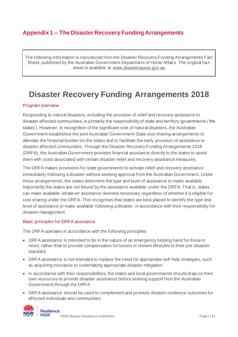# **Appendix 1 – The Disaster Recovery Funding Arrangements**

The following information is reproduced from the Disaster Recovery Funding Arrangements Fact Sheet, published by the Australian Government Department of Home Affairs. The original fact sheet is available at [www.disasterassist.gov.au](http://www.disasterassist.gov.au/)

# **Disaster Recovery Funding Arrangements 2018**

#### Program overview

Responding to natural disasters, including the provision of relief and recovery assistance to disaster affected communities, is primarily the responsibility of state and territory governments ('the states'). However, in recognition of the significant cost of natural disasters, the Australian Government established the joint Australian Government-State cost sharing arrangements to alleviate the financial burden on the states and to facilitate the early provision of assistance to disaster affected communities. Through the Disaster Recovery Funding Arrangements 2018 (DRFA), the Australian Government provides financial assistance directly to the states to assist them with costs associated with certain disaster relief and recovery assistance measures.

The DRFA makes provisions for state governments to activate relief and recovery assistance immediately following a disaster without seeking approval from the Australian Government. Under these arrangements, the states determine the type and level of assistance to make available. Importantly the states are not bound by the assistance available under the DRFA. That is, states can make available whatever assistance deemed necessary regardless of whether it is eligible for cost sharing under the DRFA. This recognises that states are best placed to identify the type and level of assistance to make available following a disaster, in accordance with their responsibility for disaster management.

#### Basic principles for DRFA assistance

The DRFA operates in accordance with the following principles:

- DRFA assistance is intended to be in the nature of an emergency helping hand for those in need, rather than to provide compensation for losses or restore lifestyles to their pre-disaster standard
- DRFA assistance is not intended to replace the need for appropriate self-help strategies, such as acquiring insurance or undertaking appropriate disaster mitigation
- in accordance with their responsibilities, the states and local governments should draw on their own resources to provide disaster assistance before seeking support from the Australian Government through the DRFA
- DRFA assistance should be used to complement and promote disaster resilience outcomes for affected individuals and communities

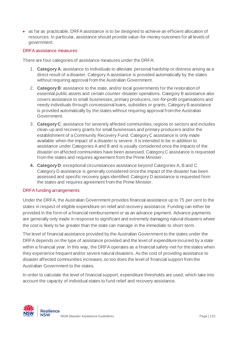• as far as practicable, DRFA assistance is to be designed to achieve an efficient allocation of resources. In particular, assistance should provide value-for-money outcomes for all levels of government.

# DRFA assistance measures

There are four categories of assistance measures under the DRFA:

- 1. **Category A**: assistance to individuals to alleviate personal hardship or distress arising as a direct result of a disaster. Category A assistance is provided automatically by the states without requiring approval from the Australian Government.
- 2. **Category B**: assistance to the state, and/or local governments for the restoration of essential public assets and certain counter-disaster operations. Category B assistance also covers assistance to small businesses, primary producers, not-for-profit organisations and needy individuals through concessional loans, subsidies or grants. Category B assistance is provided automatically by the states without requiring approval from the Australian Government.
- 3. **Category C**: assistance for severely affected communities, regions or sectors and includes clean-up and recovery grants for small businesses and primary producers and/or the establishment of a Community Recovery Fund. Category C assistance is only made available when the impact of a disaster is severe. It is intended to be in addition to assistance under Categories A and B and is usually considered once the impacts of the disaster on affected communities have been assessed. Category C assistance is requested from the states and requires agreement from the Prime Minister.
- **4. Category D**: exceptional circumstances assistance beyond Categories A, B and C. Category D assistance is generally considered once the impact of the disaster has been assessed and specific recovery gaps identified. Category D assistance is requested from the states and requires agreement from the Prime Minister.

# DRFA funding arrangements

Under the DRFA, the Australian Government provides financial assistance up to 75 per cent to the states in respect of eligible expenditure on relief and recovery assistance. Funding can either be provided in the form of a financial reimbursement or as an advance payment. Advance payments are generally only made in response to significant and extremely damaging natural disasters where the cost is likely to be greater than the state can manage in the immediate to short-term.

The level of financial assistance provided by the Australian Government to the states under the DRFA depends on the type of assistance provided and the level of expenditure incurred by a state within a financial year. In this way, the DRFA operates as a financial safety-net for the states when they experience frequent and/or severe natural disasters. As the cost of providing assistance to disaster affected communities increases, so too does the level of financial support from the Australian Government to the states.

In order to calculate the level of financial support, expenditure thresholds are used, which take into account the capacity of individual states to fund relief and recovery assistance.